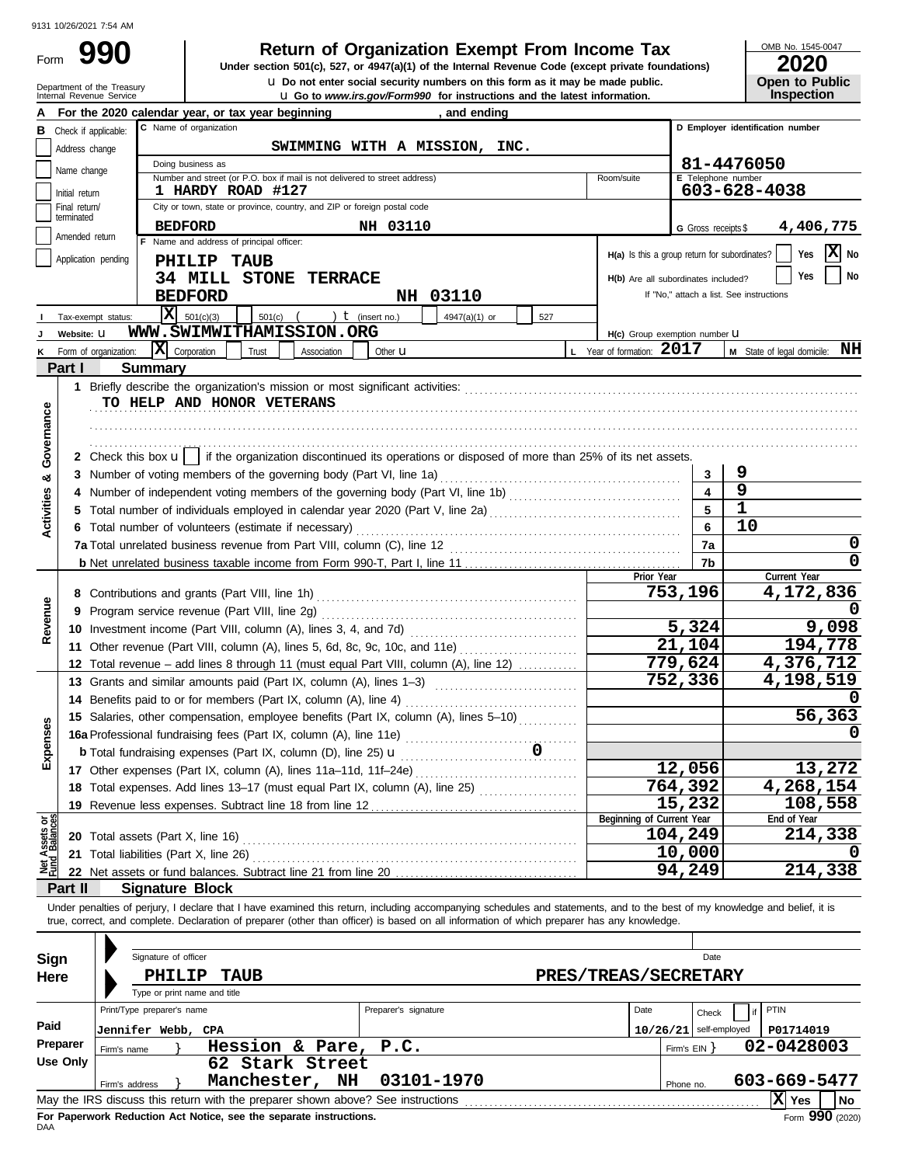Form 990

# **Return of Organization Exempt From Income Tax**

Internal Revenue Service u **Go to** *www.irs.gov/Form990* **for instructions and the latest information. u** Do not enter social security numbers on this form as it may be made public. **Under section 501(c), 527, or 4947(a)(1) of the Internal Revenue Code (except private foundations)** OMB No. 1545-0047

|  | LULU                  |
|--|-----------------------|
|  | <b>Open to Public</b> |
|  | <b>Inspection</b>     |

|                                | Department of the Treasury<br>Internal Revenue Service              | <b>u</b> Do not enter social security numbers on this form as it may be made public.<br><b>u</b> Go to www.irs.gov/Form990 for instructions and the latest information.    |                                               | <b>Open to Public</b><br>Inspection      |  |  |  |  |  |  |  |  |
|--------------------------------|---------------------------------------------------------------------|----------------------------------------------------------------------------------------------------------------------------------------------------------------------------|-----------------------------------------------|------------------------------------------|--|--|--|--|--|--|--|--|
|                                |                                                                     | For the 2020 calendar year, or tax year beginning<br>, and ending                                                                                                          |                                               |                                          |  |  |  |  |  |  |  |  |
| в                              | Check if applicable:                                                | C Name of organization                                                                                                                                                     |                                               | D Employer identification number         |  |  |  |  |  |  |  |  |
|                                | Address change                                                      | SWIMMING WITH A MISSION, INC.                                                                                                                                              |                                               |                                          |  |  |  |  |  |  |  |  |
|                                |                                                                     | Doing business as                                                                                                                                                          |                                               | 81-4476050                               |  |  |  |  |  |  |  |  |
|                                | Name change                                                         | E Telephone number                                                                                                                                                         |                                               |                                          |  |  |  |  |  |  |  |  |
|                                | Initial return                                                      |                                                                                                                                                                            | 603-628-4038                                  |                                          |  |  |  |  |  |  |  |  |
|                                | Final return/<br>terminated                                         | City or town, state or province, country, and ZIP or foreign postal code                                                                                                   |                                               | 4,406,775                                |  |  |  |  |  |  |  |  |
|                                | NH 03110<br><b>BEDFORD</b><br>G Gross receipts \$<br>Amended return |                                                                                                                                                                            |                                               |                                          |  |  |  |  |  |  |  |  |
|                                |                                                                     | F Name and address of principal officer:                                                                                                                                   | H(a) Is this a group return for subordinates? | $ \mathbf{X} $ No<br>Yes                 |  |  |  |  |  |  |  |  |
|                                | Application pending                                                 | PHILIP TAUB                                                                                                                                                                |                                               |                                          |  |  |  |  |  |  |  |  |
|                                |                                                                     | <b>34 MILL STONE TERRACE</b>                                                                                                                                               | H(b) Are all subordinates included?           | Yes<br>No                                |  |  |  |  |  |  |  |  |
|                                |                                                                     | <b>BEDFORD</b><br>NH 03110                                                                                                                                                 |                                               | If "No," attach a list. See instructions |  |  |  |  |  |  |  |  |
|                                | Tax-exempt status:                                                  | $ \mathbf{X} $ 501(c)(3)<br>501(c)<br>) $t$ (insert no.)<br>4947(a)(1) or<br>527                                                                                           |                                               |                                          |  |  |  |  |  |  |  |  |
|                                | Website: U                                                          | WWW.SWIMWITHAMISSION.ORG                                                                                                                                                   | H(c) Group exemption number <b>U</b>          |                                          |  |  |  |  |  |  |  |  |
|                                | Form of organization:                                               | X Corporation<br>L Year of formation: 2017<br>Trust<br>Association<br>Other $\mathbf u$                                                                                    |                                               | M State of legal domicile: NH            |  |  |  |  |  |  |  |  |
|                                | Part I                                                              | <b>Summary</b>                                                                                                                                                             |                                               |                                          |  |  |  |  |  |  |  |  |
|                                |                                                                     | TO HELP AND HONOR VETERANS                                                                                                                                                 |                                               |                                          |  |  |  |  |  |  |  |  |
|                                |                                                                     |                                                                                                                                                                            |                                               |                                          |  |  |  |  |  |  |  |  |
| Governance                     |                                                                     |                                                                                                                                                                            |                                               |                                          |  |  |  |  |  |  |  |  |
|                                |                                                                     | 2 Check this box $\mathbf{u}$   if the organization discontinued its operations or disposed of more than 25% of its net assets.                                            |                                               |                                          |  |  |  |  |  |  |  |  |
|                                |                                                                     |                                                                                                                                                                            | 3                                             | 9                                        |  |  |  |  |  |  |  |  |
| න්                             |                                                                     |                                                                                                                                                                            | 4                                             | $\overline{9}$                           |  |  |  |  |  |  |  |  |
| <b>Activities</b>              |                                                                     |                                                                                                                                                                            | 5                                             | 1                                        |  |  |  |  |  |  |  |  |
|                                |                                                                     | 6 Total number of volunteers (estimate if necessary)                                                                                                                       | 6                                             | 10                                       |  |  |  |  |  |  |  |  |
|                                |                                                                     |                                                                                                                                                                            | 7a                                            | 0                                        |  |  |  |  |  |  |  |  |
|                                |                                                                     |                                                                                                                                                                            | 7b                                            | 0                                        |  |  |  |  |  |  |  |  |
|                                |                                                                     | Prior Year                                                                                                                                                                 |                                               | Current Year                             |  |  |  |  |  |  |  |  |
|                                |                                                                     |                                                                                                                                                                            | 753,196                                       | 4,172,836                                |  |  |  |  |  |  |  |  |
| Revenue                        |                                                                     | 9 Program service revenue (Part VIII, line 2g)                                                                                                                             |                                               |                                          |  |  |  |  |  |  |  |  |
|                                |                                                                     |                                                                                                                                                                            | 5,324                                         | 9,098                                    |  |  |  |  |  |  |  |  |
|                                |                                                                     | 11 Other revenue (Part VIII, column (A), lines 5, 6d, 8c, 9c, 10c, and 11e)                                                                                                | 21,104                                        | 194,778                                  |  |  |  |  |  |  |  |  |
|                                |                                                                     | 12 Total revenue – add lines 8 through 11 (must equal Part VIII, column (A), line 12)                                                                                      | 779,624                                       | 4,376,712                                |  |  |  |  |  |  |  |  |
|                                |                                                                     | 13 Grants and similar amounts paid (Part IX, column (A), lines 1-3)                                                                                                        | 752,336                                       | 4,198,519                                |  |  |  |  |  |  |  |  |
|                                |                                                                     | 14 Benefits paid to or for members (Part IX, column (A), line 4)                                                                                                           |                                               |                                          |  |  |  |  |  |  |  |  |
| œ                              |                                                                     | 15 Salaries, other compensation, employee benefits (Part IX, column (A), lines 5-10)                                                                                       |                                               | 56,363                                   |  |  |  |  |  |  |  |  |
| ğδ                             |                                                                     | 16a Professional fundraising fees (Part IX, column (A), line 11e)                                                                                                          |                                               | O                                        |  |  |  |  |  |  |  |  |
| Exper                          |                                                                     |                                                                                                                                                                            |                                               |                                          |  |  |  |  |  |  |  |  |
|                                |                                                                     |                                                                                                                                                                            | 12,056<br>764,392                             | 13,272                                   |  |  |  |  |  |  |  |  |
|                                |                                                                     | 18 Total expenses. Add lines 13-17 (must equal Part IX, column (A), line 25)                                                                                               | 15,232                                        | 4,268,154<br>108,558                     |  |  |  |  |  |  |  |  |
|                                |                                                                     | 19 Revenue less expenses. Subtract line 18 from line 12<br>Beginning of Current Year                                                                                       |                                               | End of Year                              |  |  |  |  |  |  |  |  |
| Net Assets or<br>Fund Balances |                                                                     |                                                                                                                                                                            | 104,249                                       | 214,338                                  |  |  |  |  |  |  |  |  |
|                                |                                                                     | 21 Total liabilities (Part X, line 26)                                                                                                                                     | 10,000                                        |                                          |  |  |  |  |  |  |  |  |
|                                |                                                                     |                                                                                                                                                                            | 94,249                                        | 214,338                                  |  |  |  |  |  |  |  |  |
|                                | Part II                                                             | <b>Signature Block</b>                                                                                                                                                     |                                               |                                          |  |  |  |  |  |  |  |  |
|                                |                                                                     | Under penalties of perjury, I declare that I have examined this return, including accompanying schedules and statements, and to the best of my knowledge and belief, it is |                                               |                                          |  |  |  |  |  |  |  |  |
|                                |                                                                     | true, correct, and complete. Declaration of preparer (other than officer) is based on all information of which preparer has any knowledge.                                 |                                               |                                          |  |  |  |  |  |  |  |  |
|                                |                                                                     |                                                                                                                                                                            |                                               |                                          |  |  |  |  |  |  |  |  |
|                                | Sign                                                                | Signature of officer                                                                                                                                                       | Date                                          |                                          |  |  |  |  |  |  |  |  |
| Here                           |                                                                     | PHILIP<br><b>TAUB</b><br>PRES/TREAS/SECRETARY                                                                                                                              |                                               |                                          |  |  |  |  |  |  |  |  |
|                                |                                                                     | Type or print name and title                                                                                                                                               |                                               |                                          |  |  |  |  |  |  |  |  |
| Paid                           |                                                                     | Print/Type preparer's name<br>Preparer's signature<br>Date                                                                                                                 | Check                                         | PTIN                                     |  |  |  |  |  |  |  |  |
|                                | Preparer                                                            | Jennifer Webb, CPA                                                                                                                                                         | $10/26/21$ self-employed                      | P01714019                                |  |  |  |  |  |  |  |  |
|                                | Firm's name<br><b>Use Only</b>                                      | Hession & Pare,<br>P.C.<br>62 Stark Street                                                                                                                                 | Firm's $EIN$ }                                | 02-0428003                               |  |  |  |  |  |  |  |  |
|                                |                                                                     | 03101-1970<br>Manchester, NH                                                                                                                                               |                                               | 603-669-5477                             |  |  |  |  |  |  |  |  |
|                                | Firm's address                                                      | May the IRS discuss this return with the preparer shown above? See instructions [11] [11] May the IRS discuss this return with the preparer shown above? See instructions  | Phone no.                                     | $ X $ Yes<br><b>No</b>                   |  |  |  |  |  |  |  |  |
|                                |                                                                     |                                                                                                                                                                            |                                               |                                          |  |  |  |  |  |  |  |  |

| Sign<br>Here    | Signature of officer<br>PHILIP<br><b>TAUB</b><br>Type or print name and title         | <b>PRES/TREAS/SECRETARY</b> |          | Date          |                         |  |  |  |  |  |  |
|-----------------|---------------------------------------------------------------------------------------|-----------------------------|----------|---------------|-------------------------|--|--|--|--|--|--|
|                 | Print/Type preparer's name                                                            | Preparer's signature        | Date     | Check         | PTIN                    |  |  |  |  |  |  |
| Paid            | Jennifer Webb, CPA                                                                    |                             | 10/26/21 | self-employed | P01714019               |  |  |  |  |  |  |
| Preparer        | Hession & Pare, P.C.<br>Firm's name                                                   |                             |          | Firm's EIN Y  | 02-0428003              |  |  |  |  |  |  |
| <b>Use Only</b> | 62 Stark Street                                                                       |                             |          |               |                         |  |  |  |  |  |  |
|                 | Manchester, NH 03101-1970<br>Firm's address                                           |                             |          | Phone no.     | 603-669-5477            |  |  |  |  |  |  |
|                 | May the IRS discuss this return with the preparer shown above? See instructions       |                             |          |               | Ixl<br><b>No</b><br>Yes |  |  |  |  |  |  |
| <b>DAA</b>      | Form 990 (2020)<br>For Paperwork Reduction Act Notice, see the separate instructions. |                             |          |               |                         |  |  |  |  |  |  |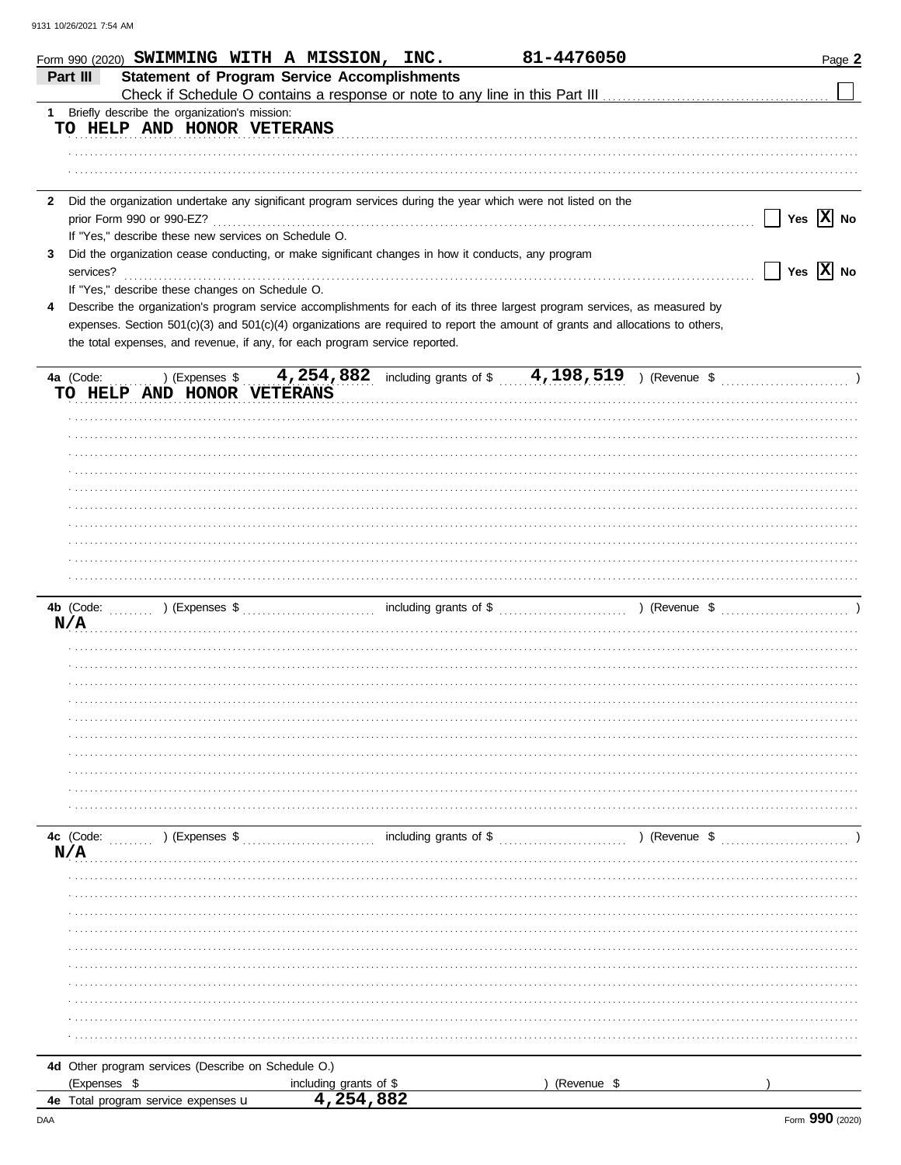|              | 81-4476050<br>Form 990 (2020) SWIMMING WITH A MISSION, INC.                                                                    | Page 2                             |
|--------------|--------------------------------------------------------------------------------------------------------------------------------|------------------------------------|
|              | <b>Statement of Program Service Accomplishments</b><br>Part III                                                                |                                    |
|              |                                                                                                                                |                                    |
| 1.           | Briefly describe the organization's mission:<br>TO HELP AND HONOR VETERANS                                                     |                                    |
|              |                                                                                                                                |                                    |
|              |                                                                                                                                |                                    |
|              |                                                                                                                                |                                    |
| $\mathbf{2}$ | Did the organization undertake any significant program services during the year which were not listed on the                   |                                    |
|              |                                                                                                                                | Yes $\boxed{\mathbf{X}}$ No        |
|              | If "Yes," describe these new services on Schedule O.                                                                           |                                    |
| 3            | Did the organization cease conducting, or make significant changes in how it conducts, any program                             |                                    |
|              | services?                                                                                                                      | $\Box$ Yes $\boxed{\textbf{X}}$ No |
|              | If "Yes," describe these changes on Schedule O.                                                                                |                                    |
| 4            | Describe the organization's program service accomplishments for each of its three largest program services, as measured by     |                                    |
|              | expenses. Section 501(c)(3) and 501(c)(4) organizations are required to report the amount of grants and allocations to others, |                                    |
|              | the total expenses, and revenue, if any, for each program service reported.                                                    |                                    |
|              | ) (Expenses \$                                                                                                                 |                                    |
|              | 4a (Code:<br>TO HELP AND HONOR VETERANS                                                                                        |                                    |
|              |                                                                                                                                |                                    |
|              |                                                                                                                                |                                    |
|              |                                                                                                                                |                                    |
|              |                                                                                                                                |                                    |
|              |                                                                                                                                |                                    |
|              |                                                                                                                                |                                    |
|              |                                                                                                                                |                                    |
|              |                                                                                                                                |                                    |
|              |                                                                                                                                |                                    |
|              |                                                                                                                                |                                    |
|              |                                                                                                                                |                                    |
|              | N/A                                                                                                                            |                                    |
|              |                                                                                                                                |                                    |
|              |                                                                                                                                |                                    |
|              |                                                                                                                                |                                    |
|              |                                                                                                                                |                                    |
|              |                                                                                                                                |                                    |
|              |                                                                                                                                |                                    |
|              |                                                                                                                                |                                    |
|              |                                                                                                                                |                                    |
|              |                                                                                                                                |                                    |
|              |                                                                                                                                |                                    |
|              | ) (Revenue \$                                                                                                                  |                                    |
|              | 4c (Code:<br>$\ldots$ (Expenses \$<br>N/A                                                                                      |                                    |
|              |                                                                                                                                |                                    |
|              |                                                                                                                                |                                    |
|              |                                                                                                                                |                                    |
|              |                                                                                                                                |                                    |
|              |                                                                                                                                |                                    |
|              |                                                                                                                                |                                    |
|              |                                                                                                                                |                                    |
|              |                                                                                                                                |                                    |
|              |                                                                                                                                |                                    |
|              |                                                                                                                                |                                    |
|              |                                                                                                                                |                                    |
|              | 4d Other program services (Describe on Schedule O.)<br>(Expenses \$<br>(Revenue \$<br>including grants of \$                   |                                    |
|              | 4,254,882<br>4e Total program service expenses u                                                                               |                                    |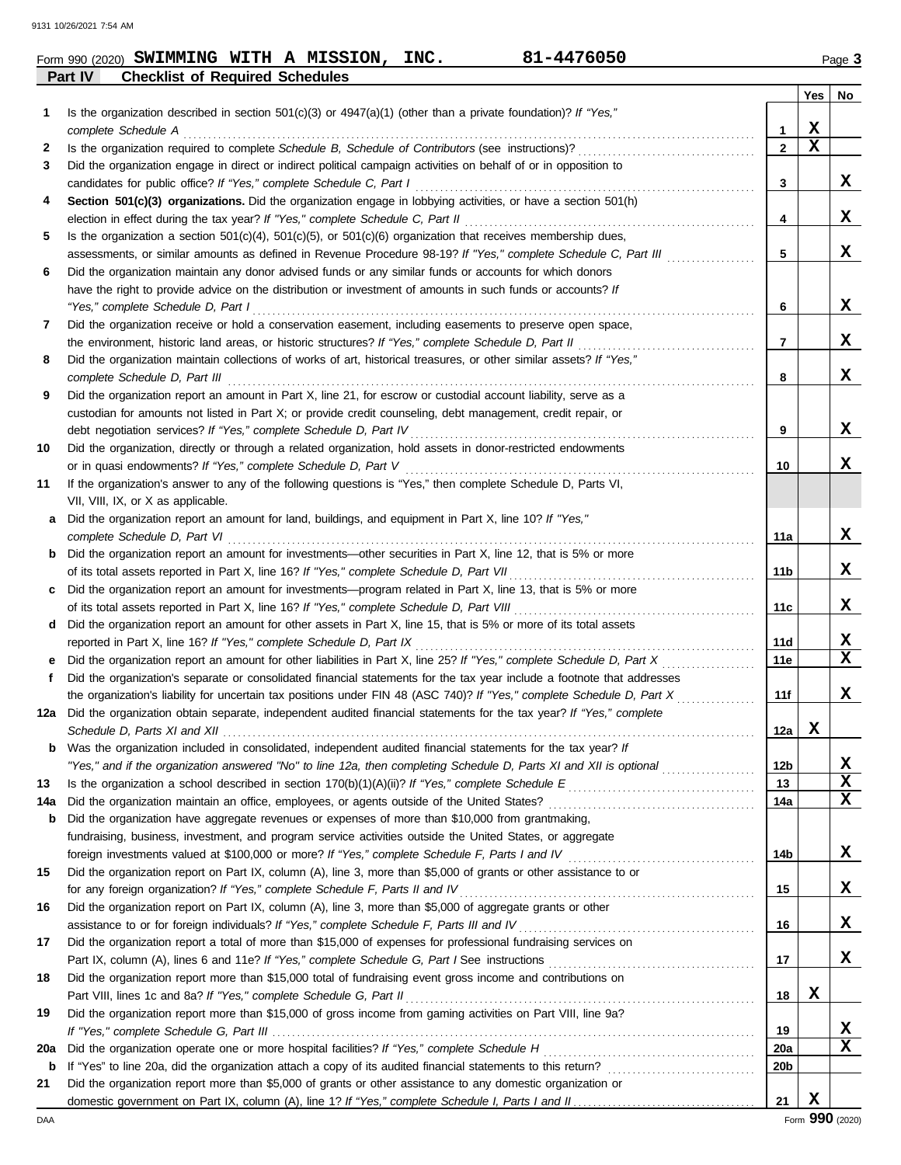|         | Form 990 (2020) SWIMMING WITH A MISSION, |  | INC. | 81-4476050 | $P$ aqe $\sim$ |
|---------|------------------------------------------|--|------|------------|----------------|
| Part IV | <b>Checklist of Required Schedules</b>   |  |      |            |                |

|         |                                                                                                                         |                 | Yes         | No          |
|---------|-------------------------------------------------------------------------------------------------------------------------|-----------------|-------------|-------------|
| 1       | Is the organization described in section 501(c)(3) or $4947(a)(1)$ (other than a private foundation)? If "Yes,"         |                 |             |             |
|         | complete Schedule A                                                                                                     | 1               | X           |             |
| 2       |                                                                                                                         | $\mathbf{2}$    | $\mathbf x$ |             |
| 3       | Did the organization engage in direct or indirect political campaign activities on behalf of or in opposition to        |                 |             |             |
|         |                                                                                                                         | 3               |             | X           |
| 4       | Section 501(c)(3) organizations. Did the organization engage in lobbying activities, or have a section 501(h)           |                 |             |             |
|         |                                                                                                                         | 4               |             | x           |
| 5       | Is the organization a section $501(c)(4)$ , $501(c)(5)$ , or $501(c)(6)$ organization that receives membership dues,    |                 |             |             |
|         | assessments, or similar amounts as defined in Revenue Procedure 98-19? If "Yes," complete Schedule C, Part III          | 5               |             | x           |
| 6       | Did the organization maintain any donor advised funds or any similar funds or accounts for which donors                 |                 |             |             |
|         | have the right to provide advice on the distribution or investment of amounts in such funds or accounts? If             |                 |             |             |
|         | "Yes," complete Schedule D, Part I                                                                                      | 6               |             | X           |
| 7       | Did the organization receive or hold a conservation easement, including easements to preserve open space,               |                 |             |             |
|         | the environment, historic land areas, or historic structures? If "Yes," complete Schedule D, Part II                    | 7               |             | x           |
| 8       | Did the organization maintain collections of works of art, historical treasures, or other similar assets? If "Yes,"     |                 |             |             |
|         | complete Schedule D, Part III                                                                                           | 8               |             | x           |
| 9       | Did the organization report an amount in Part X, line 21, for escrow or custodial account liability, serve as a         |                 |             |             |
|         | custodian for amounts not listed in Part X; or provide credit counseling, debt management, credit repair, or            |                 |             | X           |
|         |                                                                                                                         | 9               |             |             |
| 10      | Did the organization, directly or through a related organization, hold assets in donor-restricted endowments            |                 |             | x           |
| 11      | If the organization's answer to any of the following questions is "Yes," then complete Schedule D, Parts VI,            | 10              |             |             |
|         | VII, VIII, IX, or X as applicable.                                                                                      |                 |             |             |
| a       | Did the organization report an amount for land, buildings, and equipment in Part X, line 10? If "Yes,"                  |                 |             |             |
|         | complete Schedule D, Part VI                                                                                            | 11a             |             | x           |
| b       | Did the organization report an amount for investments—other securities in Part X, line 12, that is 5% or more           |                 |             |             |
|         | of its total assets reported in Part X, line 16? If "Yes," complete Schedule D, Part VII                                | 11 <sub>b</sub> |             | x           |
| c       | Did the organization report an amount for investments—program related in Part X, line 13, that is 5% or more            |                 |             |             |
|         |                                                                                                                         | 11c             |             | X           |
| d       | Did the organization report an amount for other assets in Part X, line 15, that is 5% or more of its total assets       |                 |             |             |
|         | reported in Part X, line 16? If "Yes," complete Schedule D, Part IX                                                     | 11d             |             | X           |
| е       | Did the organization report an amount for other liabilities in Part X, line 25? If "Yes," complete Schedule D, Part X   | 11e             |             | $\mathbf x$ |
| f       | Did the organization's separate or consolidated financial statements for the tax year include a footnote that addresses |                 |             |             |
|         | the organization's liability for uncertain tax positions under FIN 48 (ASC 740)? If "Yes," complete Schedule D, Part X  | 11f             |             | x           |
| 12a     | Did the organization obtain separate, independent audited financial statements for the tax year? If "Yes," complete     |                 |             |             |
|         |                                                                                                                         | 12a             | x           |             |
| b       | Was the organization included in consolidated, independent audited financial statements for the tax year? If            |                 |             |             |
|         | "Yes," and if the organization answered "No" to line 12a, then completing Schedule D, Parts XI and XII is optional      | 12 <sub>b</sub> |             | X           |
| 13      |                                                                                                                         | 13              |             | X           |
| 14a     |                                                                                                                         | 14a             |             | $\mathbf x$ |
| b       | Did the organization have aggregate revenues or expenses of more than \$10,000 from grantmaking,                        |                 |             |             |
|         | fundraising, business, investment, and program service activities outside the United States, or aggregate               |                 |             |             |
|         |                                                                                                                         | 14b             |             | X           |
| 15      | Did the organization report on Part IX, column (A), line 3, more than \$5,000 of grants or other assistance to or       |                 |             |             |
|         | for any foreign organization? If "Yes," complete Schedule F, Parts II and IV                                            | 15              |             | X           |
| 16      | Did the organization report on Part IX, column (A), line 3, more than \$5,000 of aggregate grants or other              |                 |             |             |
|         |                                                                                                                         | 16              |             | х           |
| 17      | Did the organization report a total of more than \$15,000 of expenses for professional fundraising services on          |                 |             |             |
|         |                                                                                                                         | 17              |             | X           |
| 18      | Did the organization report more than \$15,000 total of fundraising event gross income and contributions on             |                 |             |             |
|         | Part VIII, lines 1c and 8a? If "Yes," complete Schedule G, Part II                                                      | 18              | X           |             |
| 19      | Did the organization report more than \$15,000 of gross income from gaming activities on Part VIII, line 9a?            |                 |             |             |
|         |                                                                                                                         | 19              |             | x<br>X      |
| 20a     |                                                                                                                         | 20a             |             |             |
| b<br>21 | Did the organization report more than \$5,000 of grants or other assistance to any domestic organization or             | 20 <sub>b</sub> |             |             |
|         |                                                                                                                         | 21              | X           |             |
|         |                                                                                                                         |                 |             |             |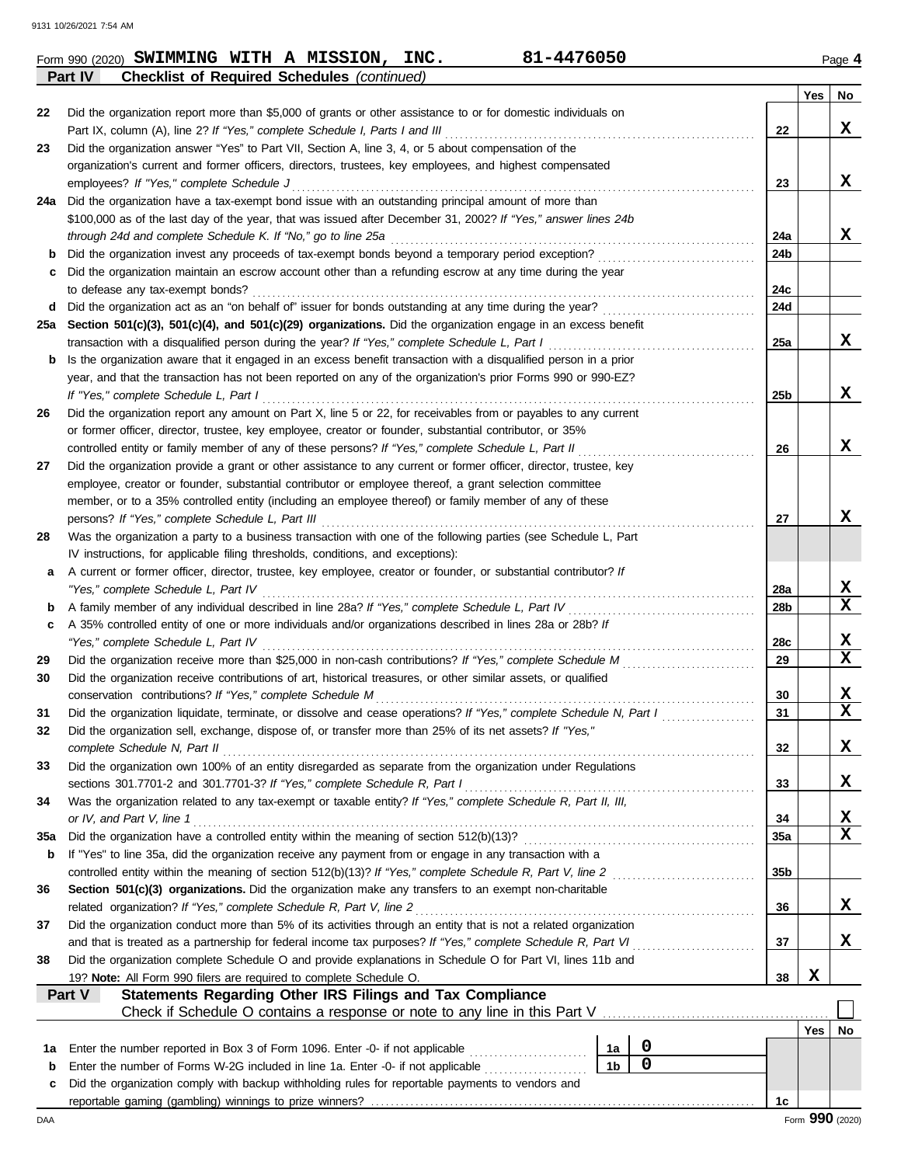|     | Part IV<br><b>Checklist of Required Schedules (continued)</b>                                                                                                                                                     |                 |     |                              |
|-----|-------------------------------------------------------------------------------------------------------------------------------------------------------------------------------------------------------------------|-----------------|-----|------------------------------|
|     |                                                                                                                                                                                                                   |                 | Yes | No                           |
| 22  | Did the organization report more than \$5,000 of grants or other assistance to or for domestic individuals on                                                                                                     |                 |     |                              |
|     | Part IX, column (A), line 2? If "Yes," complete Schedule I, Parts I and III                                                                                                                                       | 22              |     | x                            |
| 23  | Did the organization answer "Yes" to Part VII, Section A, line 3, 4, or 5 about compensation of the                                                                                                               |                 |     |                              |
|     | organization's current and former officers, directors, trustees, key employees, and highest compensated                                                                                                           |                 |     | x                            |
| 24a | employees? If "Yes," complete Schedule J<br>Did the organization have a tax-exempt bond issue with an outstanding principal amount of more than                                                                   | 23              |     |                              |
|     | \$100,000 as of the last day of the year, that was issued after December 31, 2002? If "Yes," answer lines 24b                                                                                                     |                 |     |                              |
|     | through 24d and complete Schedule K. If "No," go to line 25a                                                                                                                                                      | 24a             |     | x                            |
| b   | Did the organization invest any proceeds of tax-exempt bonds beyond a temporary period exception?                                                                                                                 | 24b             |     |                              |
| c   | Did the organization maintain an escrow account other than a refunding escrow at any time during the year                                                                                                         |                 |     |                              |
|     | to defease any tax-exempt bonds?                                                                                                                                                                                  | 24c             |     |                              |
| d   | Did the organization act as an "on behalf of" issuer for bonds outstanding at any time during the year?                                                                                                           | 24d             |     |                              |
| 25a | Section 501(c)(3), 501(c)(4), and 501(c)(29) organizations. Did the organization engage in an excess benefit                                                                                                      |                 |     |                              |
|     | transaction with a disqualified person during the year? If "Yes," complete Schedule L, Part I                                                                                                                     | 25a             |     | x                            |
| b   | Is the organization aware that it engaged in an excess benefit transaction with a disqualified person in a prior                                                                                                  |                 |     |                              |
|     | year, and that the transaction has not been reported on any of the organization's prior Forms 990 or 990-EZ?                                                                                                      |                 |     |                              |
|     | If "Yes," complete Schedule L, Part I                                                                                                                                                                             | 25 <sub>b</sub> |     | x                            |
| 26  | Did the organization report any amount on Part X, line 5 or 22, for receivables from or payables to any current                                                                                                   |                 |     |                              |
|     | or former officer, director, trustee, key employee, creator or founder, substantial contributor, or 35%                                                                                                           |                 |     |                              |
|     | controlled entity or family member of any of these persons? If "Yes," complete Schedule L, Part II                                                                                                                | 26              |     | x                            |
| 27  | Did the organization provide a grant or other assistance to any current or former officer, director, trustee, key                                                                                                 |                 |     |                              |
|     | employee, creator or founder, substantial contributor or employee thereof, a grant selection committee                                                                                                            |                 |     |                              |
|     | member, or to a 35% controlled entity (including an employee thereof) or family member of any of these                                                                                                            |                 |     | x                            |
| 28  | persons? If "Yes," complete Schedule L, Part III<br>Was the organization a party to a business transaction with one of the following parties (see Schedule L, Part                                                | 27              |     |                              |
|     | IV instructions, for applicable filing thresholds, conditions, and exceptions):                                                                                                                                   |                 |     |                              |
| а   | A current or former officer, director, trustee, key employee, creator or founder, or substantial contributor? If                                                                                                  |                 |     |                              |
|     | "Yes," complete Schedule L, Part IV                                                                                                                                                                               | 28a             |     | x                            |
| b   | A family member of any individual described in line 28a? If "Yes," complete Schedule L, Part IV                                                                                                                   | 28 <sub>b</sub> |     | $\overline{\mathbf{x}}$      |
| c   | A 35% controlled entity of one or more individuals and/or organizations described in lines 28a or 28b? If                                                                                                         |                 |     |                              |
|     | "Yes," complete Schedule L, Part IV                                                                                                                                                                               | 28c             |     | x                            |
| 29  |                                                                                                                                                                                                                   | 29              |     | $\overline{\mathbf{x}}$      |
| 30  | Did the organization receive contributions of art, historical treasures, or other similar assets, or qualified                                                                                                    |                 |     |                              |
|     | conservation contributions? If "Yes," complete Schedule M                                                                                                                                                         | 30              |     | X                            |
| 31  | Did the organization liquidate, terminate, or dissolve and cease operations? If "Yes," complete Schedule N, Part I                                                                                                | 31              |     | $\overline{\mathbf{x}}$      |
| 32  | Did the organization sell, exchange, dispose of, or transfer more than 25% of its net assets? If "Yes,"                                                                                                           |                 |     |                              |
|     | complete Schedule N, Part II                                                                                                                                                                                      | 32              |     | X                            |
| 33  | Did the organization own 100% of an entity disregarded as separate from the organization under Regulations                                                                                                        |                 |     |                              |
|     | sections 301.7701-2 and 301.7701-3? If "Yes," complete Schedule R, Part I                                                                                                                                         | 33              |     | X                            |
| 34  | Was the organization related to any tax-exempt or taxable entity? If "Yes," complete Schedule R, Part II, III,                                                                                                    |                 |     |                              |
|     | or IV, and Part V, line 1                                                                                                                                                                                         | 34              |     | x<br>$\overline{\mathbf{x}}$ |
| 35a | Did the organization have a controlled entity within the meaning of section 512(b)(13)?                                                                                                                           | 35a             |     |                              |
| b   | If "Yes" to line 35a, did the organization receive any payment from or engage in any transaction with a                                                                                                           | 35 <sub>b</sub> |     |                              |
| 36  | controlled entity within the meaning of section 512(b)(13)? If "Yes," complete Schedule R, Part V, line 2<br>Section 501(c)(3) organizations. Did the organization make any transfers to an exempt non-charitable |                 |     |                              |
|     | related organization? If "Yes," complete Schedule R, Part V, line 2                                                                                                                                               | 36              |     | X                            |
| 37  | Did the organization conduct more than 5% of its activities through an entity that is not a related organization                                                                                                  |                 |     |                              |
|     | and that is treated as a partnership for federal income tax purposes? If "Yes," complete Schedule R, Part VI                                                                                                      | 37              |     | x                            |
| 38  | Did the organization complete Schedule O and provide explanations in Schedule O for Part VI, lines 11b and                                                                                                        |                 |     |                              |
|     | 19? Note: All Form 990 filers are required to complete Schedule O.                                                                                                                                                | 38              | X   |                              |
|     | Statements Regarding Other IRS Filings and Tax Compliance<br>Part V                                                                                                                                               |                 |     |                              |
|     |                                                                                                                                                                                                                   |                 |     |                              |
|     |                                                                                                                                                                                                                   |                 | Yes | No                           |
| 1а  | $\mathbf 0$<br>Enter the number reported in Box 3 of Form 1096. Enter -0- if not applicable<br>1a                                                                                                                 |                 |     |                              |
| b   | $\overline{\mathbf{0}}$<br>1 <sub>b</sub><br>Enter the number of Forms W-2G included in line 1a. Enter -0- if not applicable                                                                                      |                 |     |                              |
| c   | Did the organization comply with backup withholding rules for reportable payments to vendors and                                                                                                                  |                 |     |                              |
|     |                                                                                                                                                                                                                   | 1c              |     |                              |
| DAA |                                                                                                                                                                                                                   |                 |     | Form 990 (2020)              |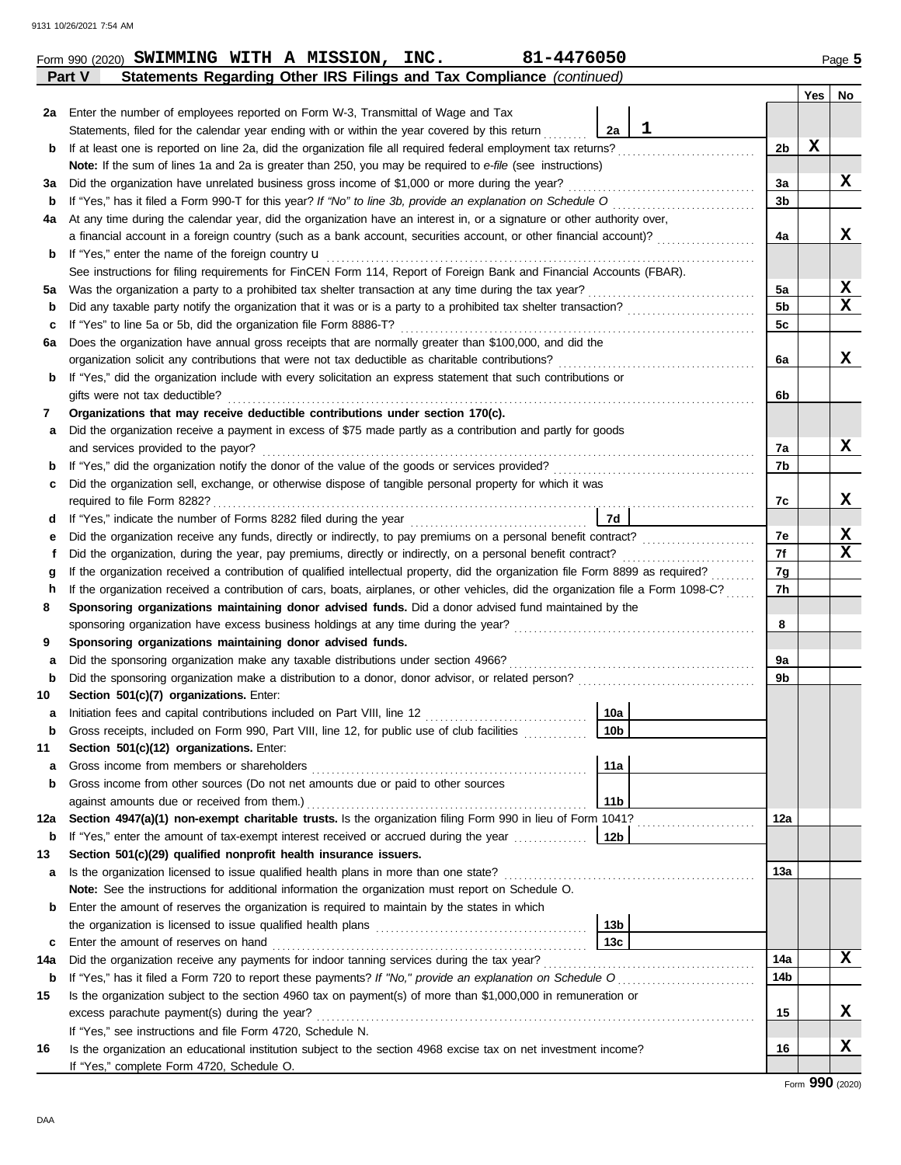|          |                                                                                                                                      |                 |   |                      | Yes | No     |  |  |  |  |  |  |
|----------|--------------------------------------------------------------------------------------------------------------------------------------|-----------------|---|----------------------|-----|--------|--|--|--|--|--|--|
| 2a       | Enter the number of employees reported on Form W-3, Transmittal of Wage and Tax                                                      |                 |   |                      |     |        |  |  |  |  |  |  |
|          | Statements, filed for the calendar year ending with or within the year covered by this return                                        | 2a              | 1 |                      |     |        |  |  |  |  |  |  |
| b        | If at least one is reported on line 2a, did the organization file all required federal employment tax returns?                       |                 |   | 2b                   | X   |        |  |  |  |  |  |  |
|          | Note: If the sum of lines 1a and 2a is greater than 250, you may be required to e-file (see instructions)                            |                 |   |                      |     |        |  |  |  |  |  |  |
| За       | Did the organization have unrelated business gross income of \$1,000 or more during the year?                                        |                 |   | За                   |     | x      |  |  |  |  |  |  |
| b        | If "Yes," has it filed a Form 990-T for this year? If "No" to line 3b, provide an explanation on Schedule O                          |                 |   | 3b                   |     |        |  |  |  |  |  |  |
| 4a       | At any time during the calendar year, did the organization have an interest in, or a signature or other authority over,              |                 |   |                      |     |        |  |  |  |  |  |  |
|          | a financial account in a foreign country (such as a bank account, securities account, or other financial account)?                   |                 |   | 4a                   |     | x      |  |  |  |  |  |  |
| b        | If "Yes," enter the name of the foreign country <b>u</b>                                                                             |                 |   |                      |     |        |  |  |  |  |  |  |
|          | See instructions for filing requirements for FinCEN Form 114, Report of Foreign Bank and Financial Accounts (FBAR).                  |                 |   |                      |     |        |  |  |  |  |  |  |
| 5а       | Was the organization a party to a prohibited tax shelter transaction at any time during the tax year?                                |                 |   | 5a<br>5 <sub>b</sub> |     | x<br>X |  |  |  |  |  |  |
| b        |                                                                                                                                      |                 |   |                      |     |        |  |  |  |  |  |  |
| c        | If "Yes" to line 5a or 5b, did the organization file Form 8886-T?                                                                    |                 |   | 5c                   |     |        |  |  |  |  |  |  |
| 6а       | Does the organization have annual gross receipts that are normally greater than \$100,000, and did the                               |                 |   |                      |     |        |  |  |  |  |  |  |
|          |                                                                                                                                      |                 |   | 6a                   |     | X.     |  |  |  |  |  |  |
| b        | If "Yes," did the organization include with every solicitation an express statement that such contributions or                       |                 |   |                      |     |        |  |  |  |  |  |  |
|          | gifts were not tax deductible?                                                                                                       |                 |   | 6b                   |     |        |  |  |  |  |  |  |
| 7        | Organizations that may receive deductible contributions under section 170(c).                                                        |                 |   |                      |     |        |  |  |  |  |  |  |
| а        | Did the organization receive a payment in excess of \$75 made partly as a contribution and partly for goods                          |                 |   |                      |     | X      |  |  |  |  |  |  |
|          | and services provided to the payor?                                                                                                  |                 |   | 7a<br>7b             |     |        |  |  |  |  |  |  |
| b        | Did the organization sell, exchange, or otherwise dispose of tangible personal property for which it was                             |                 |   |                      |     |        |  |  |  |  |  |  |
| c        |                                                                                                                                      |                 |   | 7c                   |     | X.     |  |  |  |  |  |  |
| d        |                                                                                                                                      | 7d              |   |                      |     |        |  |  |  |  |  |  |
| е        | Did the organization receive any funds, directly or indirectly, to pay premiums on a personal benefit contract?                      |                 |   | 7e                   |     | х      |  |  |  |  |  |  |
| f        | Did the organization, during the year, pay premiums, directly or indirectly, on a personal benefit contract?                         |                 |   | 7f                   |     | X      |  |  |  |  |  |  |
| g        | If the organization received a contribution of qualified intellectual property, did the organization file Form 8899 as required?<br> |                 |   | 7g                   |     |        |  |  |  |  |  |  |
| h        | If the organization received a contribution of cars, boats, airplanes, or other vehicles, did the organization file a Form 1098-C?   |                 |   | 7h                   |     |        |  |  |  |  |  |  |
| 8        | Sponsoring organizations maintaining donor advised funds. Did a donor advised fund maintained by the                                 |                 |   |                      |     |        |  |  |  |  |  |  |
|          | sponsoring organization have excess business holdings at any time during the year?                                                   |                 |   | 8                    |     |        |  |  |  |  |  |  |
| 9        | Sponsoring organizations maintaining donor advised funds.                                                                            |                 |   |                      |     |        |  |  |  |  |  |  |
| а        |                                                                                                                                      |                 |   | 9a                   |     |        |  |  |  |  |  |  |
| b        |                                                                                                                                      |                 |   | 9b                   |     |        |  |  |  |  |  |  |
| 10       | Section 501(c)(7) organizations. Enter:                                                                                              |                 |   |                      |     |        |  |  |  |  |  |  |
| а        | Initiation fees and capital contributions included on Part VIII, line 12                                                             | 10a             |   |                      |     |        |  |  |  |  |  |  |
| b        | Gross receipts, included on Form 990, Part VIII, line 12, for public use of club facilities                                          | 10 <sub>b</sub> |   |                      |     |        |  |  |  |  |  |  |
| 11       | Section 501(c)(12) organizations. Enter:                                                                                             |                 |   |                      |     |        |  |  |  |  |  |  |
| а        | Gross income from members or shareholders                                                                                            | 11a             |   |                      |     |        |  |  |  |  |  |  |
| b        | Gross income from other sources (Do not net amounts due or paid to other sources                                                     |                 |   |                      |     |        |  |  |  |  |  |  |
|          | against amounts due or received from them.)                                                                                          | 11 <sub>b</sub> |   |                      |     |        |  |  |  |  |  |  |
| 12a      | Section 4947(a)(1) non-exempt charitable trusts. Is the organization filing Form 990 in lieu of Form 1041?                           |                 |   | 12a                  |     |        |  |  |  |  |  |  |
| b        | If "Yes," enter the amount of tax-exempt interest received or accrued during the year                                                | 12b             |   |                      |     |        |  |  |  |  |  |  |
| 13       | Section 501(c)(29) qualified nonprofit health insurance issuers.                                                                     |                 |   |                      |     |        |  |  |  |  |  |  |
| а        | Is the organization licensed to issue qualified health plans in more than one state?                                                 |                 |   | 13а                  |     |        |  |  |  |  |  |  |
|          | Note: See the instructions for additional information the organization must report on Schedule O.                                    |                 |   |                      |     |        |  |  |  |  |  |  |
| b        | Enter the amount of reserves the organization is required to maintain by the states in which                                         | 13b             |   |                      |     |        |  |  |  |  |  |  |
|          | Enter the amount of reserves on hand                                                                                                 | 13c             |   |                      |     |        |  |  |  |  |  |  |
| с<br>14a |                                                                                                                                      |                 |   | 14a                  |     | x      |  |  |  |  |  |  |
| b        |                                                                                                                                      |                 |   | 14b                  |     |        |  |  |  |  |  |  |
| 15       | Is the organization subject to the section 4960 tax on payment(s) of more than \$1,000,000 in remuneration or                        |                 |   |                      |     |        |  |  |  |  |  |  |
|          | excess parachute payment(s) during the year?                                                                                         |                 |   | 15                   |     | x      |  |  |  |  |  |  |
|          | If "Yes," see instructions and file Form 4720, Schedule N.                                                                           |                 |   |                      |     |        |  |  |  |  |  |  |
| 16       | Is the organization an educational institution subject to the section 4968 excise tax on net investment income?                      |                 |   | 16                   |     | x      |  |  |  |  |  |  |
|          | If "Yes," complete Form 4720, Schedule O.                                                                                            |                 |   |                      |     |        |  |  |  |  |  |  |
|          |                                                                                                                                      |                 |   |                      |     |        |  |  |  |  |  |  |

**Part V Statements Regarding Other IRS Filings and Tax Compliance** *(continued)*

Form 990 (2020) Page **5 SWIMMING WITH A MISSION, INC. 81-4476050**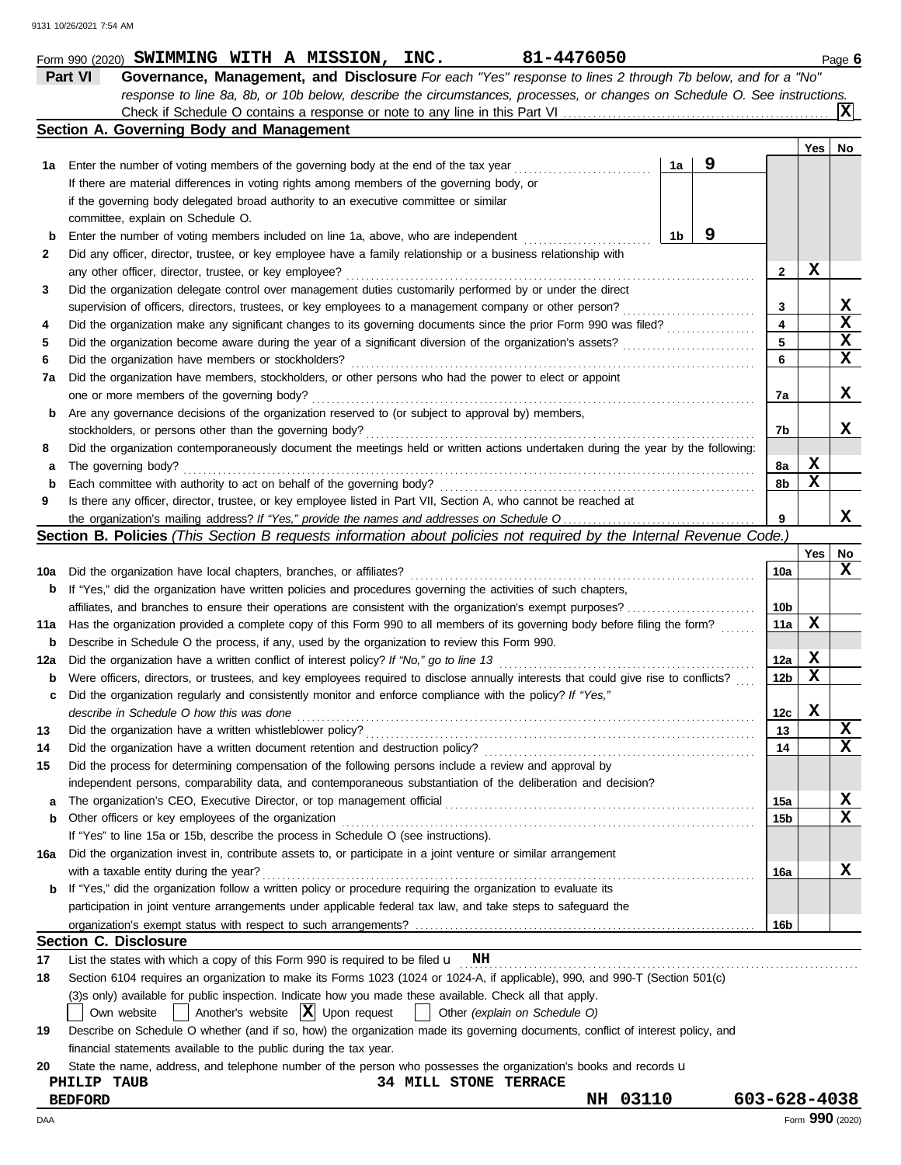|     | 81-4476050<br>Form 990 (2020) SWIMMING WITH A MISSION, INC.                                                                         |                 |                 | Page 6      |
|-----|-------------------------------------------------------------------------------------------------------------------------------------|-----------------|-----------------|-------------|
|     | Part VI<br>Governance, Management, and Disclosure For each "Yes" response to lines 2 through 7b below, and for a "No"               |                 |                 |             |
|     | response to line 8a, 8b, or 10b below, describe the circumstances, processes, or changes on Schedule O. See instructions.           |                 |                 |             |
|     |                                                                                                                                     |                 |                 | ΙXΙ         |
|     | Section A. Governing Body and Management                                                                                            |                 |                 |             |
|     |                                                                                                                                     |                 | Yes             | No          |
| 1а  | 9<br>1a<br>Enter the number of voting members of the governing body at the end of the tax year                                      |                 |                 |             |
|     | If there are material differences in voting rights among members of the governing body, or                                          |                 |                 |             |
|     | if the governing body delegated broad authority to an executive committee or similar                                                |                 |                 |             |
|     | committee, explain on Schedule O.                                                                                                   |                 |                 |             |
| b   | 9<br>1b<br>Enter the number of voting members included on line 1a, above, who are independent                                       |                 |                 |             |
| 2   | Did any officer, director, trustee, or key employee have a family relationship or a business relationship with                      |                 |                 |             |
|     | any other officer, director, trustee, or key employee?                                                                              | $\mathbf{2}$    | X               |             |
| 3   | Did the organization delegate control over management duties customarily performed by or under the direct                           |                 |                 |             |
|     | supervision of officers, directors, trustees, or key employees to a management company or other person?                             | 3               |                 | X           |
| 4   | Did the organization make any significant changes to its governing documents since the prior Form 990 was filed?                    | 4               |                 | $\mathbf x$ |
| 5   | Did the organization become aware during the year of a significant diversion of the organization's assets?                          | 5               |                 | X           |
| 6   | Did the organization have members or stockholders?                                                                                  | 6               |                 | $\mathbf x$ |
| 7a  | Did the organization have members, stockholders, or other persons who had the power to elect or appoint                             |                 |                 |             |
|     | one or more members of the governing body?                                                                                          | 7a              |                 | X           |
| b   | Are any governance decisions of the organization reserved to (or subject to approval by) members,                                   |                 |                 |             |
|     | stockholders, or persons other than the governing body?                                                                             | 7b              |                 | x           |
| 8   | Did the organization contemporaneously document the meetings held or written actions undertaken during the year by the following:   |                 |                 |             |
| а   | The governing body?                                                                                                                 | 8а              | X               |             |
| b   | Each committee with authority to act on behalf of the governing body?                                                               | 8b              | X               |             |
| 9   | Is there any officer, director, trustee, or key employee listed in Part VII, Section A, who cannot be reached at                    |                 |                 |             |
|     |                                                                                                                                     | 9               |                 | X           |
|     | Section B. Policies (This Section B requests information about policies not required by the Internal Revenue Code.)                 |                 |                 |             |
|     |                                                                                                                                     |                 |                 | No          |
|     |                                                                                                                                     |                 | Yes             | x           |
| 10a | Did the organization have local chapters, branches, or affiliates?                                                                  | 10a             |                 |             |
| b   | If "Yes," did the organization have written policies and procedures governing the activities of such chapters,                      |                 |                 |             |
|     |                                                                                                                                     | 10b             | X               |             |
| 11a | Has the organization provided a complete copy of this Form 990 to all members of its governing body before filing the form?         | 11a             |                 |             |
| b   | Describe in Schedule O the process, if any, used by the organization to review this Form 990.                                       |                 |                 |             |
| 12a | Did the organization have a written conflict of interest policy? If "No," go to line 13                                             | 12a             | X               |             |
| b   | Were officers, directors, or trustees, and key employees required to disclose annually interests that could give rise to conflicts? | 12 <sub>b</sub> | X               |             |
| с   | Did the organization regularly and consistently monitor and enforce compliance with the policy? If "Yes,"                           |                 |                 |             |
|     | describe in Schedule O how this was done                                                                                            | 12c             | $\mathbf x$     |             |
| 13  | Did the organization have a written whistleblower policy?                                                                           | 13              |                 | X           |
| 14  | Did the organization have a written document retention and destruction policy?                                                      | 14              |                 | x           |
| 15  | Did the process for determining compensation of the following persons include a review and approval by                              |                 |                 |             |
|     | independent persons, comparability data, and contemporaneous substantiation of the deliberation and decision?                       |                 |                 |             |
| а   | The organization's CEO, Executive Director, or top management official                                                              | 15a             |                 | X           |
| b   | Other officers or key employees of the organization                                                                                 | 15 <sub>b</sub> |                 | X           |
|     | If "Yes" to line 15a or 15b, describe the process in Schedule O (see instructions).                                                 |                 |                 |             |
| 16a | Did the organization invest in, contribute assets to, or participate in a joint venture or similar arrangement                      |                 |                 |             |
|     | with a taxable entity during the year?                                                                                              | 16a             |                 | X           |
| b   | If "Yes," did the organization follow a written policy or procedure requiring the organization to evaluate its                      |                 |                 |             |
|     | participation in joint venture arrangements under applicable federal tax law, and take steps to safeguard the                       |                 |                 |             |
|     |                                                                                                                                     | 16b             |                 |             |
|     | <b>Section C. Disclosure</b>                                                                                                        |                 |                 |             |
| 17  | List the states with which a copy of this Form 990 is required to be filed $\mathbf{u}$ NH                                          |                 |                 |             |
| 18  | Section 6104 requires an organization to make its Forms 1023 (1024 or 1024-A, if applicable), 990, and 990-T (Section 501(c)        |                 |                 |             |
|     | (3)s only) available for public inspection. Indicate how you made these available. Check all that apply.                            |                 |                 |             |
|     | Another's website $ \mathbf{X} $ Upon request<br>Own website<br>Other (explain on Schedule O)                                       |                 |                 |             |
| 19  | Describe on Schedule O whether (and if so, how) the organization made its governing documents, conflict of interest policy, and     |                 |                 |             |
|     | financial statements available to the public during the tax year.                                                                   |                 |                 |             |
| 20  | State the name, address, and telephone number of the person who possesses the organization's books and records u                    |                 |                 |             |
|     | <b>34 MILL STONE TERRACE</b><br><b>PHILIP TAUB</b>                                                                                  |                 |                 |             |
|     | NH 03110<br><b>BEDFORD</b>                                                                                                          | 603-628-4038    |                 |             |
| DAA |                                                                                                                                     |                 | Form 990 (2020) |             |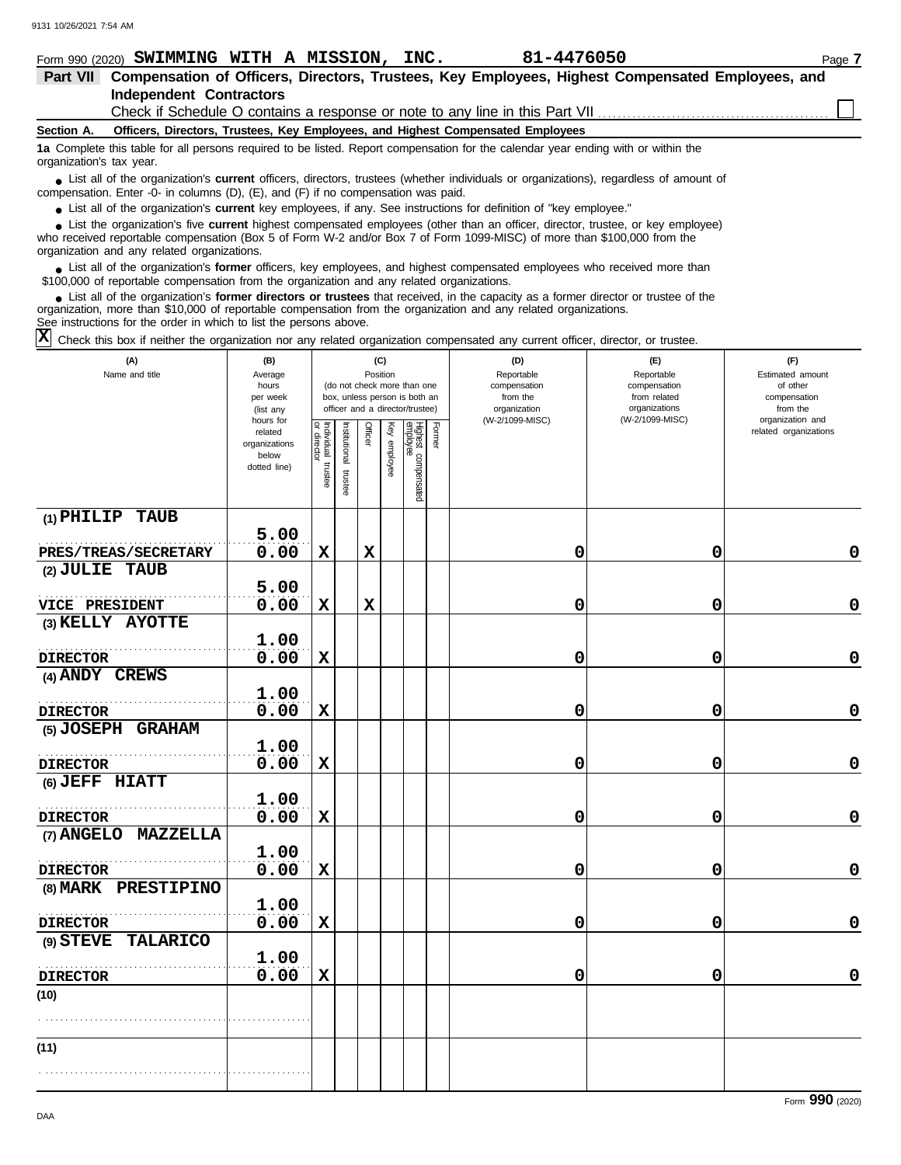|                          | 81-4476050<br>Form 990 (2020) SWIMMING WITH A MISSION, INC.                                                                                                                                                                         | Page 7 |
|--------------------------|-------------------------------------------------------------------------------------------------------------------------------------------------------------------------------------------------------------------------------------|--------|
| <b>Part VII</b>          | Compensation of Officers, Directors, Trustees, Key Employees, Highest Compensated Employees, and                                                                                                                                    |        |
|                          | <b>Independent Contractors</b>                                                                                                                                                                                                      |        |
|                          |                                                                                                                                                                                                                                     |        |
| Section A.               | Officers, Directors, Trustees, Key Employees, and Highest Compensated Employees                                                                                                                                                     |        |
| organization's tax year. | 1a Complete this table for all persons required to be listed. Report compensation for the calendar year ending with or within the                                                                                                   |        |
|                          | • List all of the organization's current officers, directors, trustees (whether individuals or organizations), regardless of amount of<br>compensation. Enter -0- in columns $(D)$ , $(E)$ , and $(F)$ if no compensation was paid. |        |
|                          | • List all of the organization's current key employees, if any. See instructions for definition of "key employee."                                                                                                                  |        |
|                          | • List the organization's five current highest compensated employees (other than an officer, director, trustee, or key employee)                                                                                                    |        |

who received reportable compensation (Box 5 of Form W-2 and/or Box 7 of Form 1099-MISC) of more than \$100,000 from the organization and any related organizations. **•**

■ List all of the organization's **former** officers, key employees, and highest compensated employees who received more than<br> **•** 00.00 of reportable compensation from the ergonization and any related ergonizations \$100,000 of reportable compensation from the organization and any related organizations.

List all of the organization's **former directors or trustees** that received, in the capacity as a former director or trustee of the organization, more than \$10,000 of reportable compensation from the organization and any related organizations. See instructions for the order in which to list the persons above. **•**

Check this box if neither the organization nor any related organization compensated any current officer, director, or trustee. **X**

| (A)<br>Name and title             | (B)<br>Average<br>hours                                        |                                   |                       | (C)<br>Position |                 | (do not check more than one                                      |        | (D)<br>Reportable<br>compensation | (E)<br>Reportable<br>compensation | (F)<br>Estimated amount<br>of other       |
|-----------------------------------|----------------------------------------------------------------|-----------------------------------|-----------------------|-----------------|-----------------|------------------------------------------------------------------|--------|-----------------------------------|-----------------------------------|-------------------------------------------|
|                                   | per week<br>(list any                                          |                                   |                       |                 |                 | box, unless person is both an<br>officer and a director/trustee) |        | from the<br>organization          | from related<br>organizations     | compensation<br>from the                  |
|                                   | hours for<br>related<br>organizations<br>below<br>dotted line) | Individual trustee<br>or director | Institutional trustee | <b>Officer</b>  | Key<br>employee | Highest compensated<br>employee                                  | Former | (W-2/1099-MISC)                   | (W-2/1099-MISC)                   | organization and<br>related organizations |
| (1) PHILIP TAUB                   | 5.00                                                           |                                   |                       |                 |                 |                                                                  |        |                                   |                                   |                                           |
| PRES/TREAS/SECRETARY              | 0.00                                                           | $\mathbf x$                       |                       | $\mathbf x$     |                 |                                                                  |        | 0                                 | 0                                 | 0                                         |
| (2) JULIE TAUB                    |                                                                |                                   |                       |                 |                 |                                                                  |        |                                   |                                   |                                           |
|                                   | 5.00                                                           |                                   |                       |                 |                 |                                                                  |        |                                   |                                   |                                           |
| VICE PRESIDENT                    | 0.00                                                           | X                                 |                       | $\mathbf x$     |                 |                                                                  |        | 0                                 | 0                                 | $\mathbf 0$                               |
| (3) KELLY AYOTTE                  |                                                                |                                   |                       |                 |                 |                                                                  |        |                                   |                                   |                                           |
|                                   | 1.00                                                           |                                   |                       |                 |                 |                                                                  |        |                                   |                                   |                                           |
| <b>DIRECTOR</b>                   | 0.00                                                           | X                                 |                       |                 |                 |                                                                  |        | 0                                 | 0                                 | $\mathbf 0$                               |
| (4) ANDY CREWS                    |                                                                |                                   |                       |                 |                 |                                                                  |        |                                   |                                   |                                           |
|                                   | 1.00                                                           |                                   |                       |                 |                 |                                                                  |        |                                   |                                   |                                           |
| <b>DIRECTOR</b>                   | 0.00                                                           | $\mathbf x$                       |                       |                 |                 |                                                                  |        | 0                                 | 0                                 | 0                                         |
| (5) JOSEPH GRAHAM                 |                                                                |                                   |                       |                 |                 |                                                                  |        |                                   |                                   |                                           |
|                                   | 1.00<br>0.00                                                   |                                   |                       |                 |                 |                                                                  |        | 0                                 |                                   | $\mathbf 0$                               |
| <b>DIRECTOR</b><br>(6) JEFF HIATT |                                                                | $\mathbf x$                       |                       |                 |                 |                                                                  |        |                                   | 0                                 |                                           |
|                                   | 1.00                                                           |                                   |                       |                 |                 |                                                                  |        |                                   |                                   |                                           |
| <b>DIRECTOR</b>                   | 0.00                                                           | $\mathbf x$                       |                       |                 |                 |                                                                  |        | 0                                 | 0                                 | 0                                         |
| (7) ANGELO<br>MAZZELLA            |                                                                |                                   |                       |                 |                 |                                                                  |        |                                   |                                   |                                           |
|                                   | 1.00                                                           |                                   |                       |                 |                 |                                                                  |        |                                   |                                   |                                           |
| <b>DIRECTOR</b>                   | 0.00                                                           | $\mathbf x$                       |                       |                 |                 |                                                                  |        | 0                                 | 0                                 | 0                                         |
| (8) MARK PRESTIPINO               |                                                                |                                   |                       |                 |                 |                                                                  |        |                                   |                                   |                                           |
|                                   | 1.00                                                           |                                   |                       |                 |                 |                                                                  |        |                                   |                                   |                                           |
| <b>DIRECTOR</b>                   | 0.00                                                           | X                                 |                       |                 |                 |                                                                  |        | 0                                 | 0                                 | $\mathbf 0$                               |
| <b>TALARICO</b><br>$(9)$ STEVE    |                                                                |                                   |                       |                 |                 |                                                                  |        |                                   |                                   |                                           |
|                                   | 1.00                                                           |                                   |                       |                 |                 |                                                                  |        |                                   |                                   |                                           |
| <b>DIRECTOR</b>                   | 0.00                                                           | $\mathbf x$                       |                       |                 |                 |                                                                  |        | 0                                 | 0                                 | 0                                         |
| (10)                              |                                                                |                                   |                       |                 |                 |                                                                  |        |                                   |                                   |                                           |
|                                   |                                                                |                                   |                       |                 |                 |                                                                  |        |                                   |                                   |                                           |
| (11)                              |                                                                |                                   |                       |                 |                 |                                                                  |        |                                   |                                   |                                           |
|                                   |                                                                |                                   |                       |                 |                 |                                                                  |        |                                   |                                   |                                           |

Form **990** (2020)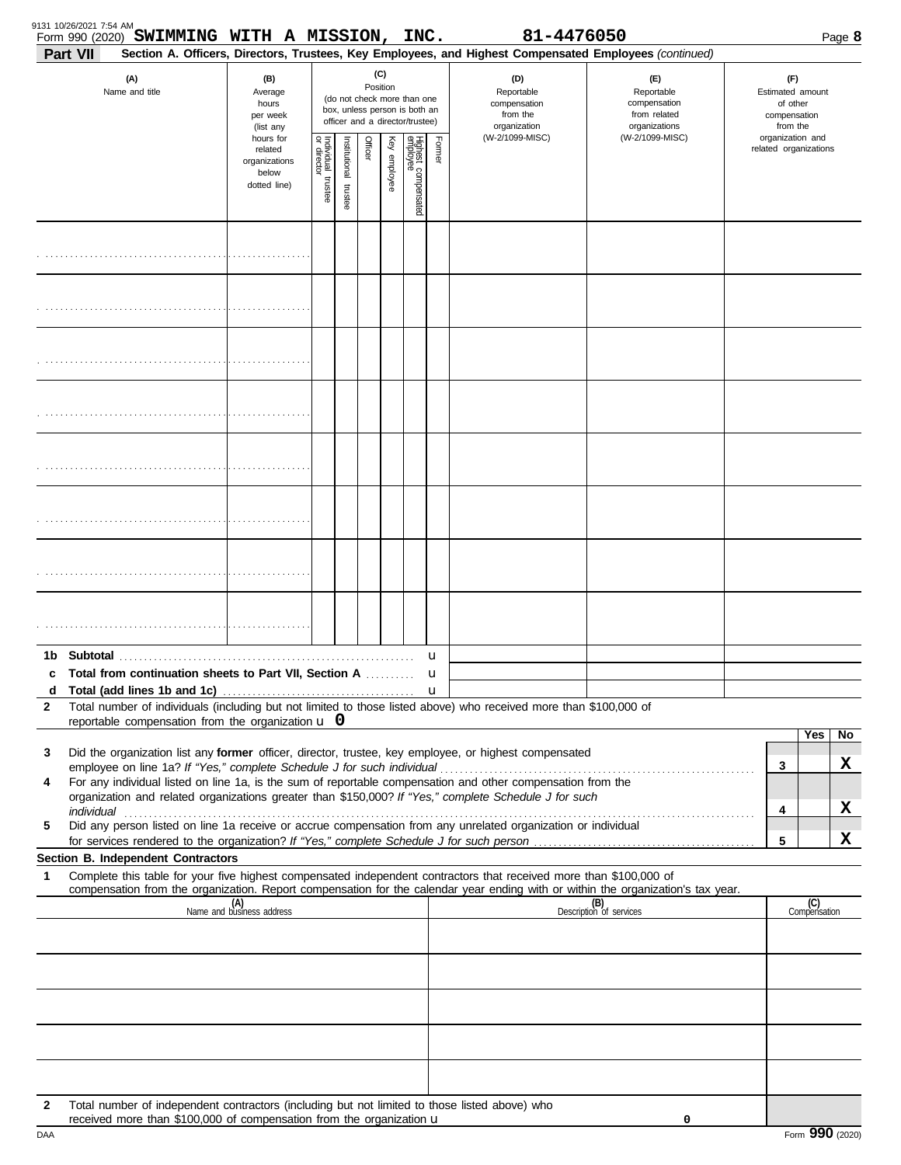| Form 990 (2020)<br>Part VII | SWIMMING WITH A MISSION, INC.                                                                                                                                                   |                                                                |                                                                                                                    |                       |         |              |                                 |             | 81-4476050<br>Section A. Officers, Directors, Trustees, Key Employees, and Highest Compensated Employees (continued)                                                                                                 |                                                                                                                                  |        |                                                                 | Page 8 |
|-----------------------------|---------------------------------------------------------------------------------------------------------------------------------------------------------------------------------|----------------------------------------------------------------|--------------------------------------------------------------------------------------------------------------------|-----------------------|---------|--------------|---------------------------------|-------------|----------------------------------------------------------------------------------------------------------------------------------------------------------------------------------------------------------------------|----------------------------------------------------------------------------------------------------------------------------------|--------|-----------------------------------------------------------------|--------|
|                             | (A)<br>Name and title                                                                                                                                                           | (B)<br>Average<br>hours<br>per week<br>(list any               | (C)<br>Position<br>(do not check more than one<br>box, unless person is both an<br>officer and a director/trustee) |                       |         |              |                                 |             | (D)<br>Reportable<br>compensation<br>from the<br>organization                                                                                                                                                        | (E)<br>Reportable<br>compensation<br>from related<br>organizations                                                               |        | (F)<br>Estimated amount<br>of other<br>compensation<br>from the |        |
|                             |                                                                                                                                                                                 | hours for<br>related<br>organizations<br>below<br>dotted line) | Individual 1<br>trustee                                                                                            | Institutional trustee | Officer | Key employee | Highest compensated<br>employee | Former      | (W-2/1099-MISC)                                                                                                                                                                                                      | (W-2/1099-MISC)                                                                                                                  |        | organization and<br>related organizations                       |        |
|                             |                                                                                                                                                                                 |                                                                |                                                                                                                    |                       |         |              |                                 |             |                                                                                                                                                                                                                      |                                                                                                                                  |        |                                                                 |        |
|                             |                                                                                                                                                                                 |                                                                |                                                                                                                    |                       |         |              |                                 |             |                                                                                                                                                                                                                      |                                                                                                                                  |        |                                                                 |        |
|                             |                                                                                                                                                                                 | .                                                              |                                                                                                                    |                       |         |              |                                 |             |                                                                                                                                                                                                                      |                                                                                                                                  |        |                                                                 |        |
|                             |                                                                                                                                                                                 |                                                                |                                                                                                                    |                       |         |              |                                 |             |                                                                                                                                                                                                                      |                                                                                                                                  |        |                                                                 |        |
|                             |                                                                                                                                                                                 |                                                                |                                                                                                                    |                       |         |              |                                 |             |                                                                                                                                                                                                                      |                                                                                                                                  |        |                                                                 |        |
|                             |                                                                                                                                                                                 |                                                                |                                                                                                                    |                       |         |              |                                 |             |                                                                                                                                                                                                                      |                                                                                                                                  |        |                                                                 |        |
|                             |                                                                                                                                                                                 |                                                                |                                                                                                                    |                       |         |              |                                 |             |                                                                                                                                                                                                                      |                                                                                                                                  |        |                                                                 |        |
|                             |                                                                                                                                                                                 |                                                                |                                                                                                                    |                       |         |              |                                 |             |                                                                                                                                                                                                                      |                                                                                                                                  |        |                                                                 |        |
| d                           | c Total from continuation sheets to Part VII, Section A                                                                                                                         |                                                                |                                                                                                                    |                       |         |              |                                 | u<br>u<br>u |                                                                                                                                                                                                                      |                                                                                                                                  |        |                                                                 |        |
| 2                           | reportable compensation from the organization $\bf{u}$ 0                                                                                                                        |                                                                |                                                                                                                    |                       |         |              |                                 |             | Total number of individuals (including but not limited to those listed above) who received more than \$100,000 of                                                                                                    |                                                                                                                                  |        |                                                                 |        |
| 3                           |                                                                                                                                                                                 |                                                                |                                                                                                                    |                       |         |              |                                 |             | Did the organization list any former officer, director, trustee, key employee, or highest compensated                                                                                                                |                                                                                                                                  |        | Yes                                                             | No     |
| 4                           |                                                                                                                                                                                 |                                                                |                                                                                                                    |                       |         |              |                                 |             | For any individual listed on line 1a, is the sum of reportable compensation and other compensation from the<br>organization and related organizations greater than \$150,000? If "Yes," complete Schedule J for such |                                                                                                                                  | 3      |                                                                 | x      |
| 5                           |                                                                                                                                                                                 |                                                                |                                                                                                                    |                       |         |              |                                 |             | Did any person listed on line 1a receive or accrue compensation from any unrelated organization or individual                                                                                                        |                                                                                                                                  | 4<br>5 |                                                                 | X<br>x |
|                             | Section B. Independent Contractors                                                                                                                                              |                                                                |                                                                                                                    |                       |         |              |                                 |             |                                                                                                                                                                                                                      |                                                                                                                                  |        |                                                                 |        |
| 1                           |                                                                                                                                                                                 |                                                                |                                                                                                                    |                       |         |              |                                 |             | Complete this table for your five highest compensated independent contractors that received more than \$100,000 of                                                                                                   | compensation from the organization. Report compensation for the calendar year ending with or within the organization's tax year. |        |                                                                 |        |
|                             |                                                                                                                                                                                 | (A)<br>Name and business address                               |                                                                                                                    |                       |         |              |                                 |             |                                                                                                                                                                                                                      | (B)<br>Description of services                                                                                                   |        | (C)<br>Compensation                                             |        |
|                             |                                                                                                                                                                                 |                                                                |                                                                                                                    |                       |         |              |                                 |             |                                                                                                                                                                                                                      |                                                                                                                                  |        |                                                                 |        |
|                             |                                                                                                                                                                                 |                                                                |                                                                                                                    |                       |         |              |                                 |             |                                                                                                                                                                                                                      |                                                                                                                                  |        |                                                                 |        |
|                             |                                                                                                                                                                                 |                                                                |                                                                                                                    |                       |         |              |                                 |             |                                                                                                                                                                                                                      |                                                                                                                                  |        |                                                                 |        |
| 2                           | Total number of independent contractors (including but not limited to those listed above) who<br>received more than \$100,000 of compensation from the organization $\mathbf u$ |                                                                |                                                                                                                    |                       |         |              |                                 |             |                                                                                                                                                                                                                      | 0                                                                                                                                |        |                                                                 |        |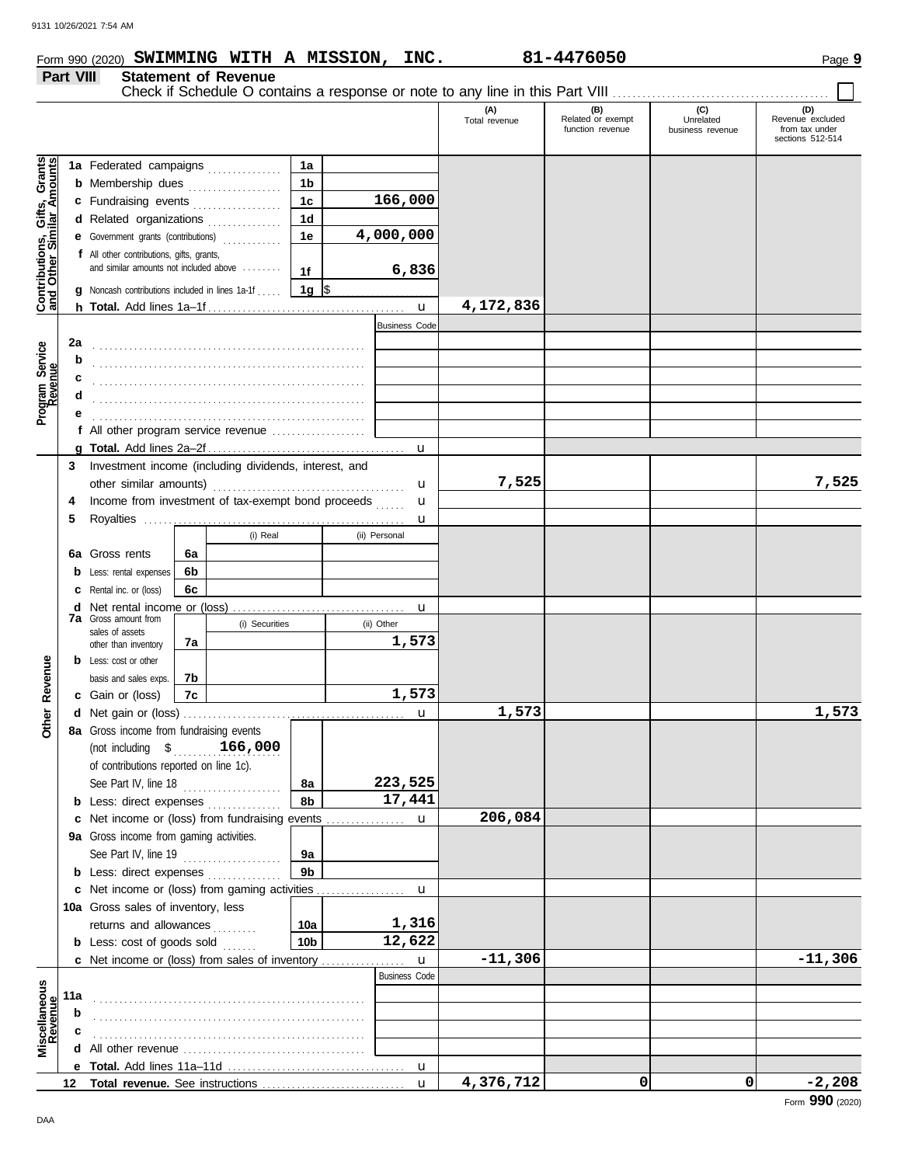# Form 990 (2020) Page **9 SWIMMING WITH A MISSION, INC. 81-4476050**

## **Part VIII Statement of Revenue**

|                                                           |     |                                                            |    |            |                 |            |                      | (A)<br>Total revenue | (B)<br>Related or exempt<br>function revenue | (C)<br>Unrelated<br>business revenue | (D)<br>Revenue excluded<br>from tax under<br>sections 512-514 |
|-----------------------------------------------------------|-----|------------------------------------------------------------|----|------------|-----------------|------------|----------------------|----------------------|----------------------------------------------|--------------------------------------|---------------------------------------------------------------|
|                                                           |     |                                                            |    |            |                 |            |                      |                      |                                              |                                      |                                                               |
|                                                           |     | 1a Federated campaigns                                     |    | .          | 1a              |            |                      |                      |                                              |                                      |                                                               |
|                                                           |     | <b>b</b> Membership dues                                   |    | .          | 1b              |            |                      |                      |                                              |                                      |                                                               |
|                                                           |     | c Fundraising events                                       |    |            | 1c              |            | 166,000              |                      |                                              |                                      |                                                               |
|                                                           |     | d Related organizations                                    |    | .          | 1 <sub>d</sub>  |            |                      |                      |                                              |                                      |                                                               |
| Contributions, Gifts, Grants<br>and Other Similar Amounts | е   | Government grants (contributions)                          |    |            | 1e              |            | 4,000,000            |                      |                                              |                                      |                                                               |
|                                                           |     | f All other contributions, gifts, grants,                  |    |            |                 |            |                      |                      |                                              |                                      |                                                               |
|                                                           |     | and similar amounts not included above                     |    |            | 1f              |            | 6,836                |                      |                                              |                                      |                                                               |
|                                                           | a   | Noncash contributions included in lines 1a-1f              |    |            | 1g $\sqrt{5}$   |            |                      |                      |                                              |                                      |                                                               |
|                                                           |     |                                                            |    |            |                 |            | $\mathbf u$          | 4,172,836            |                                              |                                      |                                                               |
|                                                           |     |                                                            |    |            |                 |            | <b>Business Code</b> |                      |                                              |                                      |                                                               |
| Program Service<br>Revenue                                | 2a  |                                                            |    |            |                 |            |                      |                      |                                              |                                      |                                                               |
|                                                           | b   |                                                            |    |            |                 |            |                      |                      |                                              |                                      |                                                               |
|                                                           | c   |                                                            |    |            |                 |            |                      |                      |                                              |                                      |                                                               |
|                                                           | d   |                                                            |    |            |                 |            |                      |                      |                                              |                                      |                                                               |
|                                                           |     |                                                            |    |            |                 |            |                      |                      |                                              |                                      |                                                               |
|                                                           |     | f All other program service revenue $\ldots$ , $\ldots$    |    |            |                 |            |                      |                      |                                              |                                      |                                                               |
|                                                           |     |                                                            |    |            |                 |            | u                    |                      |                                              |                                      |                                                               |
|                                                           | 3   | Investment income (including dividends, interest, and      |    |            |                 |            |                      |                      |                                              |                                      |                                                               |
|                                                           |     | other similar amounts)                                     |    |            |                 |            | u                    | 7,525                |                                              |                                      | 7,525                                                         |
|                                                           | 4   | Income from investment of tax-exempt bond proceeds         |    |            |                 |            | u                    |                      |                                              |                                      |                                                               |
|                                                           | 5   |                                                            |    |            |                 |            | u                    |                      |                                              |                                      |                                                               |
|                                                           |     |                                                            |    | (i) Real   |                 |            | (ii) Personal        |                      |                                              |                                      |                                                               |
|                                                           | 6а  | Gross rents                                                | 6a |            |                 |            |                      |                      |                                              |                                      |                                                               |
|                                                           |     |                                                            | 6b |            |                 |            |                      |                      |                                              |                                      |                                                               |
|                                                           | b   | Less: rental expenses                                      |    |            |                 |            |                      |                      |                                              |                                      |                                                               |
|                                                           |     | Rental inc. or (loss)                                      | 6с |            |                 |            |                      |                      |                                              |                                      |                                                               |
|                                                           | d   | Net rental income or (loss)<br><b>7a</b> Gross amount from |    |            |                 |            | u                    |                      |                                              |                                      |                                                               |
|                                                           |     | (i) Securities<br>sales of assets                          |    |            |                 | (ii) Other |                      |                      |                                              |                                      |                                                               |
|                                                           |     | other than inventory                                       | 7a |            |                 |            | 1,573                |                      |                                              |                                      |                                                               |
| <b>Other Revenue</b>                                      | b   | Less: cost or other                                        |    |            |                 |            |                      |                      |                                              |                                      |                                                               |
|                                                           |     | basis and sales exps.                                      | 7b |            |                 |            |                      |                      |                                              |                                      |                                                               |
|                                                           |     | c Gain or (loss)                                           | 7c |            |                 |            | 1,573                |                      |                                              |                                      |                                                               |
|                                                           | d   |                                                            |    |            |                 |            | u                    | 1,573                |                                              |                                      | 1,573                                                         |
|                                                           |     | 8a Gross income from fundraising events                    |    |            |                 |            |                      |                      |                                              |                                      |                                                               |
|                                                           |     | (not including $$$ 166,000                                 |    |            |                 |            |                      |                      |                                              |                                      |                                                               |
|                                                           |     | of contributions reported on line 1c).                     |    |            |                 |            |                      |                      |                                              |                                      |                                                               |
|                                                           |     | See Part IV, line 18                                       |    | .          | 8a              |            | 223,525              |                      |                                              |                                      |                                                               |
|                                                           |     | <b>b</b> Less: direct expenses                             |    |            | 8b              |            | 17,441               |                      |                                              |                                      |                                                               |
|                                                           | C   | Net income or (loss) from fundraising events               |    |            |                 |            | u                    | 206,084              |                                              |                                      |                                                               |
|                                                           |     | 9a Gross income from gaming activities.                    |    |            |                 |            |                      |                      |                                              |                                      |                                                               |
|                                                           |     | See Part IV, line 19                                       |    | .          | 9а              |            |                      |                      |                                              |                                      |                                                               |
|                                                           |     | <b>b</b> Less: direct expenses                             |    |            | 9 <sub>b</sub>  |            |                      |                      |                                              |                                      |                                                               |
|                                                           |     |                                                            |    |            |                 |            |                      |                      |                                              |                                      |                                                               |
|                                                           |     | 10a Gross sales of inventory, less                         |    |            |                 |            |                      |                      |                                              |                                      |                                                               |
|                                                           |     | returns and allowances                                     |    | de de 2000 | 10a             |            | 1,316                |                      |                                              |                                      |                                                               |
|                                                           |     | <b>b</b> Less: cost of goods sold                          |    |            | 10 <sub>b</sub> |            | 12,622               |                      |                                              |                                      |                                                               |
|                                                           |     | <b>c</b> Net income or (loss) from sales of inventory      |    |            |                 |            | $\mathbf{u}$         | $-11,306$            |                                              |                                      | $-11,306$                                                     |
|                                                           |     |                                                            |    |            |                 |            | <b>Business Code</b> |                      |                                              |                                      |                                                               |
|                                                           | 11a |                                                            |    |            |                 |            |                      |                      |                                              |                                      |                                                               |
|                                                           | b   |                                                            |    |            |                 |            |                      |                      |                                              |                                      |                                                               |
|                                                           |     |                                                            |    |            |                 |            |                      |                      |                                              |                                      |                                                               |
| Miscellaneous<br>Revenue                                  |     |                                                            |    |            |                 |            |                      |                      |                                              |                                      |                                                               |
|                                                           | е   |                                                            |    |            |                 |            |                      |                      |                                              |                                      |                                                               |
|                                                           | 12  |                                                            |    |            |                 |            | $\mathbf{u}$         | 4,376,712            | 0                                            | 0                                    | $-2,208$                                                      |
|                                                           |     |                                                            |    |            |                 |            |                      |                      |                                              |                                      |                                                               |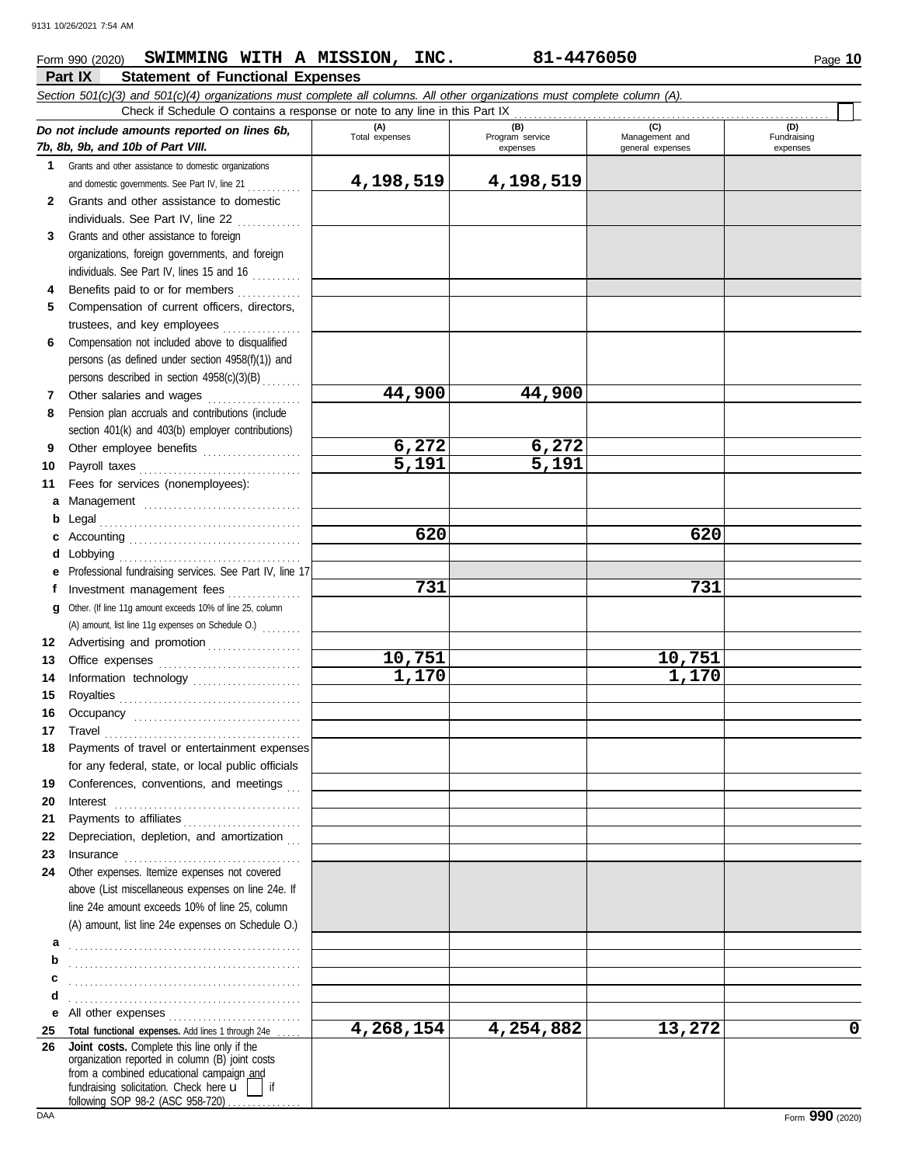#### **Part IX Statement of Functional Expenses** Form 990 (2020) Page **10 SWIMMING WITH A MISSION, INC. 81-4476050**

*Section 501(c)(3) and 501(c)(4) organizations must complete all columns. All other organizations must complete column (A).*

#### *Do not include amounts reported on lines 6b, 7b, 8b, 9b, and 10b of Part VIII.* **1 2 3** Grants and other assistance to foreign **4 5 6 7 8 9 10 11 a** Management ................................ **b** Legal . . . . . . . . . . . . . . . . . . . . . . . . . . . . . . . . . . . . . . . . . **c** Accounting . . . . . . . . . . . . . . . . . . . . . . . . . . . . . . . . . . . **d** Lobbying . . . . . . . . . . . . . . . . . . . . . . . . . . . . . . . . . . . . . **e** Professional fundraising services. See Part IV, line 17 **f g** Other. (If line 11g amount exceeds 10% of line 25, column **12** Advertising and promotion . . . . . . . . . . . . . . . . . . **13 14 15 16 17 18 19 20 21 22** Depreciation, depletion, and amortization ... **23 24 a b c d e** All other expenses . . . . . . . . . . . . . . . . . . . . . . . . . . . **25 Total functional expenses.** Add lines 1 through 24e . . . . . **26** Grants and other assistance to domestic organizations and domestic governments. See Part IV, line 21 . . . . . . . . . . Grants and other assistance to domestic individuals. See Part IV, line 22 .............. organizations, foreign governments, and foreign individuals. See Part IV, lines 15 and 16 Benefits paid to or for members ............. Compensation of current officers, directors, trustees, and key employees . . . . . . . . . . . . . . . . Compensation not included above to disqualified persons (as defined under section 4958(f)(1)) and persons described in section  $4958(c)(3)(B)$  ....... Other salaries and wages ................... Pension plan accruals and contributions (include section 401(k) and 403(b) employer contributions) Other employee benefits .................... Payroll taxes . . . . . . . . . . . . . . . . . . . . . . . . . . . . . . . . . Fees for services (nonemployees): Investment management fees ................ Office expenses ................................. Information technology . . . . . . . . . . . . . . . . . . . . . . Royalties . . . . . . . . . . . . . . . . . . . . . . . . . . . . . . . . . . . . . Occupancy . . . . . . . . . . . . . . . . . . . . . . . . . . . . . . . . . . Travel . . . . . . . . . . . . . . . . . . . . . . . . . . . . . . . . . . . . . . . . Payments of travel or entertainment expenses for any federal, state, or local public officials Conferences, conventions, and meetings Interest . . . . . . . . . . . . . . . . . . . . . . . . . . . . . . . . . . . . . . Payments to affiliates . . . . . . . . . . . . . . . . . . . . . . . . Insurance . . . . . . . . . . . . . . . . . . . . . . . . . . . . . . . . . . . . Other expenses. Itemize expenses not covered above (List miscellaneous expenses on line 24e. If line 24e amount exceeds 10% of line 25, column (A) amount, list line 24e expenses on Schedule O.) fundraising solicitation. Check here  $\mathbf{u}$ organization reported in column (B) joint costs from a combined educational campaign and following SOP 98-2 (ASC 958-720) **(A) (B) (C) (D)** Total expenses Program service Management and expenses and general expenses (D)<br>Fundraising expenses . . . . . . . . . . . . . . . . . . . . . . . . . . . . . . . . . . . . . . . . . . . . . . . . . . . . . . . . . . . . . . . . . . . . . . . . . . . . . . . . . . . . . . . . . . . . . . . . . . . . . . . . . . . . . . . . . . . . . . . . . . . . . . . . . . . . . . . . . . . . . Check if Schedule O contains a response or note to any line in this Part IX **Joint costs.** Complete this line only if the (A) amount, list line 11g expenses on Schedule O.) ........ **4,198,519 4,198,519 44,900 44,900 6,272 6,272 5,191 5,191 620 620 731 731 10,751 10,751 1,170 1,170 4,268,154 4,254,882 13,272 0**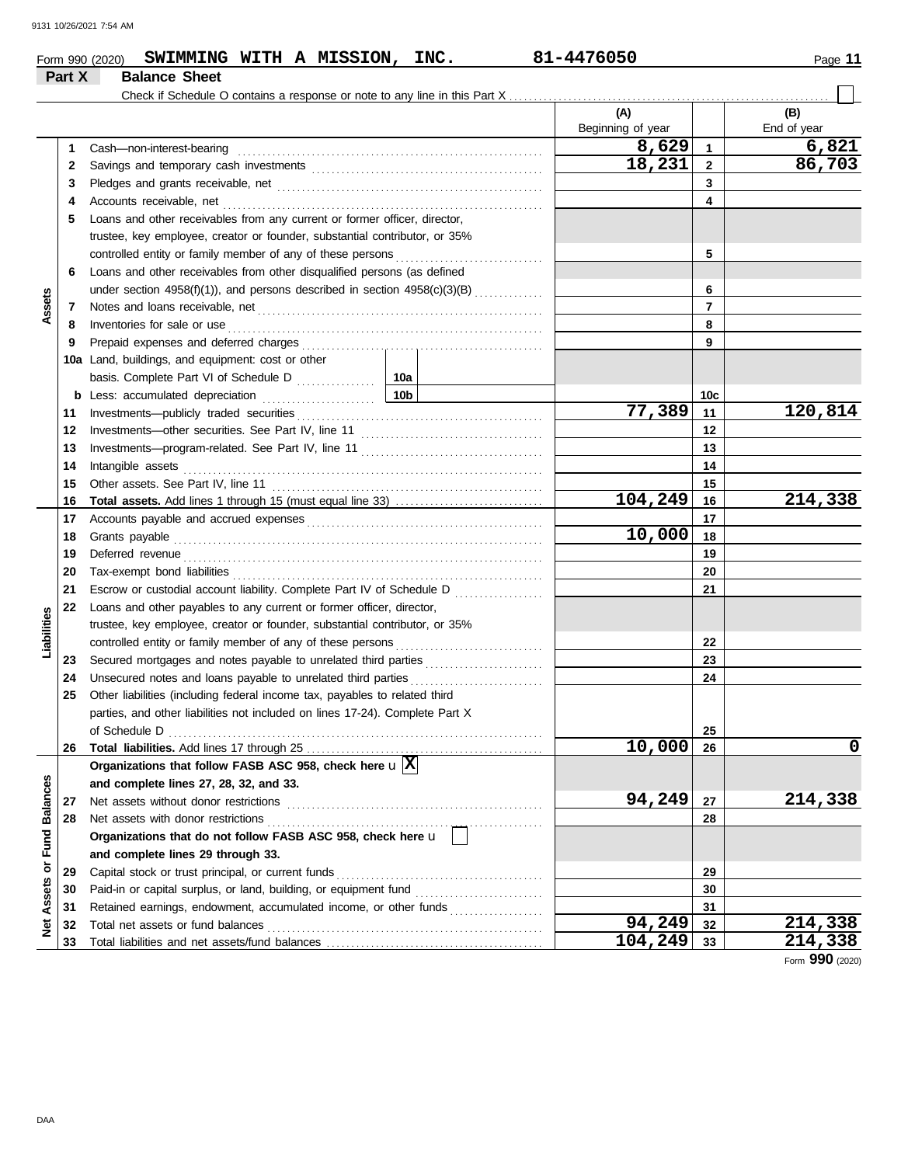|                 |          | SWIMMING WITH A MISSION, INC.<br>Form 990 (2020)                                                                                                                                                                                    | 81-4476050        |                         | Page 11     |
|-----------------|----------|-------------------------------------------------------------------------------------------------------------------------------------------------------------------------------------------------------------------------------------|-------------------|-------------------------|-------------|
|                 | Part X   | <b>Balance Sheet</b>                                                                                                                                                                                                                |                   |                         |             |
|                 |          |                                                                                                                                                                                                                                     |                   |                         |             |
|                 |          |                                                                                                                                                                                                                                     | (A)               |                         | (B)         |
|                 |          |                                                                                                                                                                                                                                     | Beginning of year |                         | End of year |
|                 | 1        | Cash-non-interest-bearing                                                                                                                                                                                                           | 8,629             | $\mathbf{1}$            | 6,821       |
|                 | 2        |                                                                                                                                                                                                                                     | 18,231            | $\mathbf{2}$            | 86,703      |
|                 | 3        |                                                                                                                                                                                                                                     |                   | 3                       |             |
|                 | 4        |                                                                                                                                                                                                                                     |                   | $\overline{\mathbf{4}}$ |             |
|                 | 5        | Loans and other receivables from any current or former officer, director,                                                                                                                                                           |                   |                         |             |
|                 |          | trustee, key employee, creator or founder, substantial contributor, or 35%                                                                                                                                                          |                   |                         |             |
|                 |          |                                                                                                                                                                                                                                     |                   | 5                       |             |
|                 | 6        | Loans and other receivables from other disqualified persons (as defined                                                                                                                                                             |                   |                         |             |
|                 |          | under section 4958(f)(1)), and persons described in section 4958(c)(3)(B)                                                                                                                                                           |                   | 6                       |             |
| Assets          | 7        |                                                                                                                                                                                                                                     |                   | $\overline{7}$          |             |
|                 | 8        | Inventories for sale or use <i>communication</i> and the state of the state or use of the state of the state of the state of the state of the state of the state of the state of the state of the state of the state of the state o |                   | 8                       |             |
|                 | 9        |                                                                                                                                                                                                                                     |                   | 9                       |             |
|                 |          | 10a Land, buildings, and equipment: cost or other                                                                                                                                                                                   |                   |                         |             |
|                 |          |                                                                                                                                                                                                                                     |                   |                         |             |
|                 |          |                                                                                                                                                                                                                                     |                   | 10c                     |             |
|                 | 11       |                                                                                                                                                                                                                                     | 77,389            | 11                      | 120,814     |
|                 | 12       |                                                                                                                                                                                                                                     |                   | 12                      |             |
|                 | 13       |                                                                                                                                                                                                                                     |                   | 13                      |             |
|                 | 14       | Intangible assets                                                                                                                                                                                                                   |                   | 14                      |             |
|                 | 15       |                                                                                                                                                                                                                                     |                   | 15                      |             |
|                 | 16       |                                                                                                                                                                                                                                     | 104,249           | 16                      | 214,338     |
|                 | 17       |                                                                                                                                                                                                                                     | 10,000            | 17                      |             |
|                 | 18<br>19 |                                                                                                                                                                                                                                     |                   | 18<br>19                |             |
|                 | 20       |                                                                                                                                                                                                                                     |                   | 20                      |             |
|                 | 21       | Escrow or custodial account liability. Complete Part IV of Schedule D                                                                                                                                                               |                   | 21                      |             |
|                 | 22       | Loans and other payables to any current or former officer, director,                                                                                                                                                                |                   |                         |             |
| Liabilities     |          | trustee, key employee, creator or founder, substantial contributor, or 35%                                                                                                                                                          |                   |                         |             |
|                 |          |                                                                                                                                                                                                                                     |                   | 22                      |             |
|                 | 23       | Secured mortgages and notes payable to unrelated third parties [[[[[[[[[[[[[[[[[[[[[[[[[[[[[]]]]]]]]                                                                                                                                |                   | 23                      |             |
|                 | 24       |                                                                                                                                                                                                                                     |                   | 24                      |             |
|                 | 25       | Other liabilities (including federal income tax, payables to related third                                                                                                                                                          |                   |                         |             |
|                 |          | parties, and other liabilities not included on lines 17-24). Complete Part X                                                                                                                                                        |                   |                         |             |
|                 |          | of Schedule D                                                                                                                                                                                                                       |                   | 25                      |             |
|                 | 26       |                                                                                                                                                                                                                                     | 10,000            | 26                      | 0           |
|                 |          | Organizations that follow FASB ASC 958, check here $\mathbf{u}[\overline{\mathbf{X}}]$                                                                                                                                              |                   |                         |             |
|                 |          | and complete lines 27, 28, 32, and 33.                                                                                                                                                                                              |                   |                         |             |
| <b>Balances</b> | 27       |                                                                                                                                                                                                                                     | 94,249            | 27                      | 214,338     |
|                 | 28       |                                                                                                                                                                                                                                     |                   | 28                      |             |
|                 |          | Organizations that do not follow FASB ASC 958, check here u                                                                                                                                                                         |                   |                         |             |
| Fund            |          | and complete lines 29 through 33.                                                                                                                                                                                                   |                   |                         |             |
| ŏ               | 29       |                                                                                                                                                                                                                                     |                   | 29                      |             |
|                 | 30       |                                                                                                                                                                                                                                     |                   | 30                      |             |
| Assets          | 31       | Retained earnings, endowment, accumulated income, or other funds                                                                                                                                                                    |                   | 31                      |             |
| <b>Net</b>      | 32       | Total net assets or fund balances                                                                                                                                                                                                   | 94,249            | 32                      | 214,338     |
|                 | 33       |                                                                                                                                                                                                                                     | 104,249           | 33                      | 214,338     |

Form **990** (2020)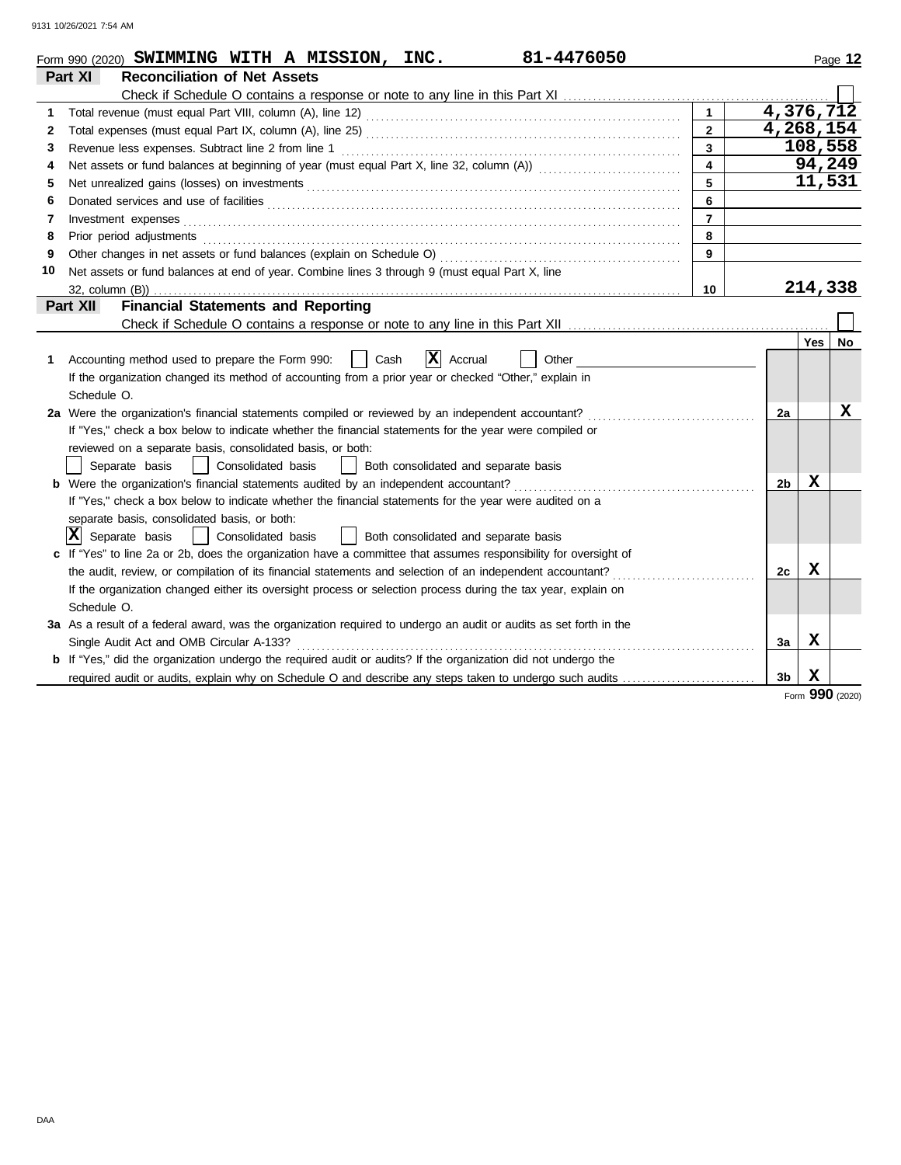|    | 81-4476050<br>Form 990 (2020) SWIMMING WITH A MISSION, INC.                                                                     |                         |                |                                | Page 12 |
|----|---------------------------------------------------------------------------------------------------------------------------------|-------------------------|----------------|--------------------------------|---------|
|    | <b>Reconciliation of Net Assets</b><br>Part XI                                                                                  |                         |                |                                |         |
|    |                                                                                                                                 |                         |                |                                |         |
| 1  |                                                                                                                                 |                         | 4,376,712      |                                |         |
| 2  | Total expenses (must equal Part IX, column (A), line 25) Mathematic material expenses (must equal Part IX, column (A), line 25) | $\overline{2}$          | 4,268,154      |                                |         |
| 3  | Revenue less expenses. Subtract line 2 from line 1                                                                              | $\overline{3}$          |                | 108,558                        |         |
| 4  |                                                                                                                                 | $\overline{\mathbf{4}}$ |                | 94,249                         |         |
| 5  |                                                                                                                                 | 5                       |                | 11,531                         |         |
| 6  |                                                                                                                                 | 6                       |                |                                |         |
| 7  | Investment expenses                                                                                                             | $\overline{7}$          |                |                                |         |
| 8  | Prior period adjustments <b>construction and construction of the construction</b> and construction of the construction          | 8                       |                |                                |         |
| 9  | Other changes in net assets or fund balances (explain on Schedule O)                                                            | 9                       |                |                                |         |
| 10 | Net assets or fund balances at end of year. Combine lines 3 through 9 (must equal Part X, line                                  |                         |                |                                |         |
|    | 32, column (B))                                                                                                                 | 10                      |                | 214,338                        |         |
|    | <b>Financial Statements and Reporting</b><br>Part XII                                                                           |                         |                |                                |         |
|    |                                                                                                                                 |                         |                |                                |         |
|    |                                                                                                                                 |                         |                | Yes                            | No      |
| 1  | x <br>Accounting method used to prepare the Form 990:<br>Cash<br>Accrual<br>Other                                               |                         |                |                                |         |
|    | If the organization changed its method of accounting from a prior year or checked "Other," explain in                           |                         |                |                                |         |
|    | Schedule O.                                                                                                                     |                         |                |                                |         |
|    | 2a Were the organization's financial statements compiled or reviewed by an independent accountant?                              |                         | 2a             |                                | X       |
|    | If "Yes," check a box below to indicate whether the financial statements for the year were compiled or                          |                         |                |                                |         |
|    | reviewed on a separate basis, consolidated basis, or both:                                                                      |                         |                |                                |         |
|    | Consolidated basis<br>Separate basis<br>Both consolidated and separate basis                                                    |                         |                |                                |         |
|    | <b>b</b> Were the organization's financial statements audited by an independent accountant?                                     |                         | 2b             | x                              |         |
|    | If "Yes," check a box below to indicate whether the financial statements for the year were audited on a                         |                         |                |                                |         |
|    | separate basis, consolidated basis, or both:                                                                                    |                         |                |                                |         |
|    | $ X $ Separate basis<br>Consolidated basis<br>  Both consolidated and separate basis                                            |                         |                |                                |         |
|    | If "Yes" to line 2a or 2b, does the organization have a committee that assumes responsibility for oversight of                  |                         |                |                                |         |
|    | the audit, review, or compilation of its financial statements and selection of an independent accountant?                       |                         | 2c             | X                              |         |
|    | If the organization changed either its oversight process or selection process during the tax year, explain on                   |                         |                |                                |         |
|    | Schedule O.                                                                                                                     |                         |                |                                |         |
|    | 3a As a result of a federal award, was the organization required to undergo an audit or audits as set forth in the              |                         |                |                                |         |
|    | Single Audit Act and OMB Circular A-133?                                                                                        |                         | 3a             | X                              |         |
|    | <b>b</b> If "Yes," did the organization undergo the required audit or audits? If the organization did not undergo the           |                         |                |                                |         |
|    | required audit or audits, explain why on Schedule O and describe any steps taken to undergo such audits                         |                         | 3 <sub>b</sub> | $\mathbf x$<br>0 <sub>00</sub> |         |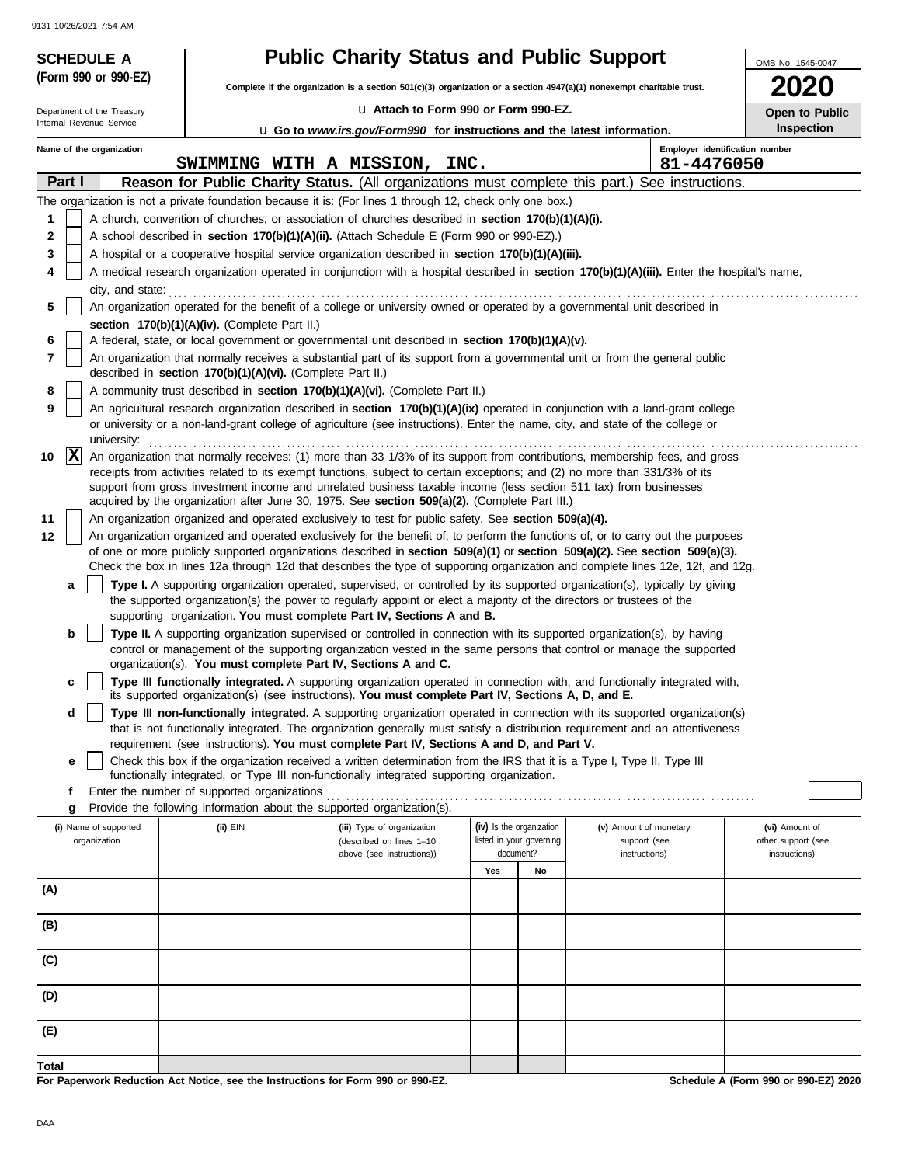|                                                                                                        |              | <b>SCHEDULE A</b>                     |                                                            | <b>Public Charity Status and Public Support</b>                                                                                                                                                                                                     |      |                                                      |                                        | OMB No. 1545-0047                    |
|--------------------------------------------------------------------------------------------------------|--------------|---------------------------------------|------------------------------------------------------------|-----------------------------------------------------------------------------------------------------------------------------------------------------------------------------------------------------------------------------------------------------|------|------------------------------------------------------|----------------------------------------|--------------------------------------|
|                                                                                                        |              | (Form 990 or 990-EZ)                  |                                                            | Complete if the organization is a section $501(c)(3)$ organization or a section $4947(a)(1)$ nonexempt charitable trust.                                                                                                                            | 2020 |                                                      |                                        |                                      |
|                                                                                                        |              | Department of the Treasury            |                                                            | La Attach to Form 990 or Form 990-EZ.                                                                                                                                                                                                               |      |                                                      |                                        | Open to Public                       |
|                                                                                                        |              | Internal Revenue Service              |                                                            | <b>u</b> Go to www.irs.gov/Form990 for instructions and the latest information.                                                                                                                                                                     |      |                                                      |                                        | Inspection                           |
|                                                                                                        |              | Name of the organization              |                                                            |                                                                                                                                                                                                                                                     |      |                                                      | 81-4476050                             | Employer identification number       |
|                                                                                                        | Part I       |                                       |                                                            | SWIMMING WITH A MISSION, INC.<br>Reason for Public Charity Status. (All organizations must complete this part.)                                                                                                                                     |      |                                                      | See instructions.                      |                                      |
|                                                                                                        |              |                                       |                                                            | The organization is not a private foundation because it is: (For lines 1 through 12, check only one box.)                                                                                                                                           |      |                                                      |                                        |                                      |
| 1                                                                                                      |              |                                       |                                                            | A church, convention of churches, or association of churches described in <b>section 170(b)(1)(A)(i).</b>                                                                                                                                           |      |                                                      |                                        |                                      |
| $\mathbf 2$                                                                                            |              |                                       |                                                            | A school described in section 170(b)(1)(A)(ii). (Attach Schedule E (Form 990 or 990-EZ).)                                                                                                                                                           |      |                                                      |                                        |                                      |
| 3<br>A hospital or a cooperative hospital service organization described in section 170(b)(1)(A)(iii). |              |                                       |                                                            |                                                                                                                                                                                                                                                     |      |                                                      |                                        |                                      |
| 4                                                                                                      |              |                                       |                                                            | A medical research organization operated in conjunction with a hospital described in section 170(b)(1)(A)(iii). Enter the hospital's name,                                                                                                          |      |                                                      |                                        |                                      |
|                                                                                                        |              | city, and state:                      |                                                            |                                                                                                                                                                                                                                                     |      |                                                      |                                        |                                      |
| 5                                                                                                      |              |                                       |                                                            | An organization operated for the benefit of a college or university owned or operated by a governmental unit described in                                                                                                                           |      |                                                      |                                        |                                      |
| 6                                                                                                      |              |                                       | section 170(b)(1)(A)(iv). (Complete Part II.)              | A federal, state, or local government or governmental unit described in section 170(b)(1)(A)(v).                                                                                                                                                    |      |                                                      |                                        |                                      |
| 7                                                                                                      |              |                                       |                                                            | An organization that normally receives a substantial part of its support from a governmental unit or from the general public                                                                                                                        |      |                                                      |                                        |                                      |
|                                                                                                        |              |                                       | described in section 170(b)(1)(A)(vi). (Complete Part II.) |                                                                                                                                                                                                                                                     |      |                                                      |                                        |                                      |
| 8<br>9                                                                                                 |              |                                       |                                                            | A community trust described in section 170(b)(1)(A)(vi). (Complete Part II.)<br>An agricultural research organization described in section 170(b)(1)(A)(ix) operated in conjunction with a land-grant college                                       |      |                                                      |                                        |                                      |
|                                                                                                        |              | university:                           |                                                            | or university or a non-land-grant college of agriculture (see instructions). Enter the name, city, and state of the college or                                                                                                                      |      |                                                      |                                        |                                      |
| 10                                                                                                     | $\mathbf{x}$ |                                       |                                                            | An organization that normally receives: (1) more than 33 1/3% of its support from contributions, membership fees, and gross                                                                                                                         |      |                                                      |                                        |                                      |
|                                                                                                        |              |                                       |                                                            | receipts from activities related to its exempt functions, subject to certain exceptions; and (2) no more than 331/3% of its                                                                                                                         |      |                                                      |                                        |                                      |
|                                                                                                        |              |                                       |                                                            | support from gross investment income and unrelated business taxable income (less section 511 tax) from businesses<br>acquired by the organization after June 30, 1975. See section 509(a)(2). (Complete Part III.)                                  |      |                                                      |                                        |                                      |
| 11                                                                                                     |              |                                       |                                                            | An organization organized and operated exclusively to test for public safety. See section 509(a)(4).                                                                                                                                                |      |                                                      |                                        |                                      |
| 12                                                                                                     |              |                                       |                                                            | An organization organized and operated exclusively for the benefit of, to perform the functions of, or to carry out the purposes                                                                                                                    |      |                                                      |                                        |                                      |
|                                                                                                        |              |                                       |                                                            | of one or more publicly supported organizations described in section 509(a)(1) or section 509(a)(2). See section 509(a)(3).                                                                                                                         |      |                                                      |                                        |                                      |
|                                                                                                        |              |                                       |                                                            | Check the box in lines 12a through 12d that describes the type of supporting organization and complete lines 12e, 12f, and 12g.                                                                                                                     |      |                                                      |                                        |                                      |
|                                                                                                        | a            |                                       |                                                            | Type I. A supporting organization operated, supervised, or controlled by its supported organization(s), typically by giving<br>the supported organization(s) the power to regularly appoint or elect a majority of the directors or trustees of the |      |                                                      |                                        |                                      |
|                                                                                                        | b            |                                       |                                                            | supporting organization. You must complete Part IV, Sections A and B.<br>Type II. A supporting organization supervised or controlled in connection with its supported organization(s), by having                                                    |      |                                                      |                                        |                                      |
|                                                                                                        |              |                                       |                                                            | control or management of the supporting organization vested in the same persons that control or manage the supported                                                                                                                                |      |                                                      |                                        |                                      |
|                                                                                                        |              |                                       |                                                            | organization(s). You must complete Part IV, Sections A and C.                                                                                                                                                                                       |      |                                                      |                                        |                                      |
|                                                                                                        | c            |                                       |                                                            | Type III functionally integrated. A supporting organization operated in connection with, and functionally integrated with,<br>its supported organization(s) (see instructions). You must complete Part IV, Sections A, D, and E.                    |      |                                                      |                                        |                                      |
|                                                                                                        | d            |                                       |                                                            | Type III non-functionally integrated. A supporting organization operated in connection with its supported organization(s)                                                                                                                           |      |                                                      |                                        |                                      |
|                                                                                                        |              |                                       |                                                            | that is not functionally integrated. The organization generally must satisfy a distribution requirement and an attentiveness                                                                                                                        |      |                                                      |                                        |                                      |
|                                                                                                        | е            |                                       |                                                            | requirement (see instructions). You must complete Part IV, Sections A and D, and Part V.<br>Check this box if the organization received a written determination from the IRS that it is a Type I, Type II, Type III                                 |      |                                                      |                                        |                                      |
|                                                                                                        |              |                                       |                                                            | functionally integrated, or Type III non-functionally integrated supporting organization.                                                                                                                                                           |      |                                                      |                                        |                                      |
|                                                                                                        | f            |                                       | Enter the number of supported organizations                |                                                                                                                                                                                                                                                     |      |                                                      |                                        |                                      |
|                                                                                                        | g            |                                       |                                                            | Provide the following information about the supported organization(s).                                                                                                                                                                              |      |                                                      |                                        |                                      |
|                                                                                                        |              | (i) Name of supported<br>organization | (ii) EIN                                                   | (iii) Type of organization<br>(described on lines 1-10                                                                                                                                                                                              |      | (iv) Is the organization<br>listed in your governing | (v) Amount of monetary<br>support (see | (vi) Amount of<br>other support (see |
|                                                                                                        |              |                                       |                                                            | above (see instructions))                                                                                                                                                                                                                           |      | document?                                            | instructions)                          | instructions)                        |
|                                                                                                        |              |                                       |                                                            |                                                                                                                                                                                                                                                     | Yes  | No                                                   |                                        |                                      |
| (A)                                                                                                    |              |                                       |                                                            |                                                                                                                                                                                                                                                     |      |                                                      |                                        |                                      |
| (B)                                                                                                    |              |                                       |                                                            |                                                                                                                                                                                                                                                     |      |                                                      |                                        |                                      |
| (C)                                                                                                    |              |                                       |                                                            |                                                                                                                                                                                                                                                     |      |                                                      |                                        |                                      |
| (D)                                                                                                    |              |                                       |                                                            |                                                                                                                                                                                                                                                     |      |                                                      |                                        |                                      |
| (E)                                                                                                    |              |                                       |                                                            |                                                                                                                                                                                                                                                     |      |                                                      |                                        |                                      |
| Total                                                                                                  |              |                                       |                                                            |                                                                                                                                                                                                                                                     |      |                                                      |                                        |                                      |
|                                                                                                        |              |                                       |                                                            | For Paperwork Reduction Act Notice, see the Instructions for Form 990 or 990-EZ.                                                                                                                                                                    |      |                                                      |                                        | Schedule A (Form 990 or 990-EZ) 2020 |

DAA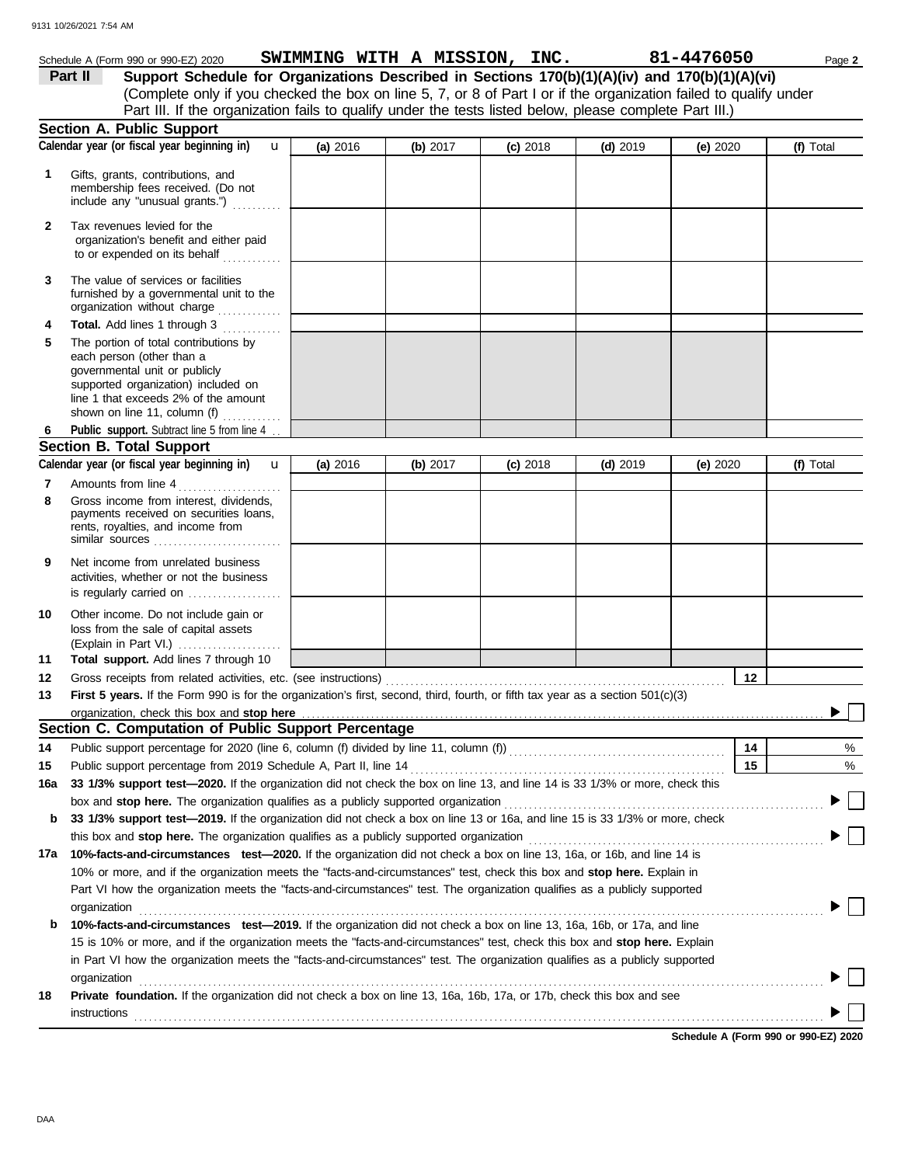|              | Schedule A (Form 990 or 990-EZ) 2020                                                                                                                                                                                                                                                       |          |            | SWIMMING WITH A MISSION, INC. |                                                                                           | 81-4476050 | Page 2       |
|--------------|--------------------------------------------------------------------------------------------------------------------------------------------------------------------------------------------------------------------------------------------------------------------------------------------|----------|------------|-------------------------------|-------------------------------------------------------------------------------------------|------------|--------------|
|              | Support Schedule for Organizations Described in Sections 170(b)(1)(A)(iv) and 170(b)(1)(A)(vi)<br>Part II<br>(Complete only if you checked the box on line 5, 7, or 8 of Part I or if the organization failed to qualify under                                                             |          |            |                               |                                                                                           |            |              |
|              | Part III. If the organization fails to qualify under the tests listed below, please complete Part III.)                                                                                                                                                                                    |          |            |                               |                                                                                           |            |              |
|              | Section A. Public Support                                                                                                                                                                                                                                                                  |          |            |                               |                                                                                           |            |              |
|              | Calendar year (or fiscal year beginning in)<br>$\mathbf{u}$                                                                                                                                                                                                                                | (a) 2016 | (b) 2017   | $(c)$ 2018                    | $(d)$ 2019                                                                                | (e) $2020$ | (f) Total    |
| 1            | Gifts, grants, contributions, and<br>membership fees received. (Do not<br>include any "unusual grants.")                                                                                                                                                                                   |          |            |                               |                                                                                           |            |              |
| $\mathbf{2}$ | Tax revenues levied for the<br>organization's benefit and either paid<br>to or expended on its behalf                                                                                                                                                                                      |          |            |                               |                                                                                           |            |              |
| 3            | The value of services or facilities<br>furnished by a governmental unit to the<br>organization without charge                                                                                                                                                                              |          |            |                               |                                                                                           |            |              |
| 4            | Total. Add lines 1 through 3<br>.                                                                                                                                                                                                                                                          |          |            |                               |                                                                                           |            |              |
| 5            | The portion of total contributions by<br>each person (other than a<br>governmental unit or publicly<br>supported organization) included on<br>line 1 that exceeds 2% of the amount<br>shown on line 11, column (f) $\ldots$                                                                |          |            |                               |                                                                                           |            |              |
| 6            | Public support. Subtract line 5 from line 4.<br><b>Section B. Total Support</b>                                                                                                                                                                                                            |          |            |                               |                                                                                           |            |              |
|              | Calendar year (or fiscal year beginning in)<br>$\mathbf{u}$                                                                                                                                                                                                                                | (a) 2016 | (b) $2017$ | $(c)$ 2018                    | $(d)$ 2019                                                                                | (e) $2020$ | (f) Total    |
|              |                                                                                                                                                                                                                                                                                            |          |            |                               |                                                                                           |            |              |
| 7<br>8       | Amounts from line 4<br>Gross income from interest, dividends,<br>payments received on securities loans,<br>rents, royalties, and income from<br>similar sources                                                                                                                            |          |            |                               |                                                                                           |            |              |
| 9            | Net income from unrelated business<br>activities, whether or not the business<br>is regularly carried on                                                                                                                                                                                   |          |            |                               |                                                                                           |            |              |
| 10           | Other income. Do not include gain or<br>loss from the sale of capital assets<br>(Explain in Part VI.)                                                                                                                                                                                      |          |            |                               |                                                                                           |            |              |
| 11           | Total support. Add lines 7 through 10                                                                                                                                                                                                                                                      |          |            |                               |                                                                                           |            |              |
| 12           |                                                                                                                                                                                                                                                                                            |          |            |                               |                                                                                           |            | 12           |
| 13           | First 5 years. If the Form 990 is for the organization's first, second, third, fourth, or fifth tax year as a section 501(c)(3)                                                                                                                                                            |          |            |                               |                                                                                           |            |              |
|              | organization, check this box and stop here <b>conservation and conservation</b> conservation of the state of the state of the state of the state of the state of the state of the state of the state of the state of the state of t<br>Section C. Computation of Public Support Percentage |          |            |                               |                                                                                           |            |              |
|              |                                                                                                                                                                                                                                                                                            |          |            |                               | the control of the control of the control of the control of the control of the control of |            | 14           |
| 14<br>15     | Public support percentage for 2020 (line 6, column (f) divided by line 11, column (f)) [[[[[[[[[[[[[[[[[[[[[[<br>Public support percentage from 2019 Schedule A, Part II, line 14                                                                                                          |          |            |                               |                                                                                           |            | %<br>15<br>% |
| 16a          | 33 1/3% support test-2020. If the organization did not check the box on line 13, and line 14 is 33 1/3% or more, check this                                                                                                                                                                |          |            |                               |                                                                                           |            |              |
|              | box and stop here. The organization qualifies as a publicly supported organization [11] content content content content or space and stop here. The organization content of the state of the state or space or space or space                                                              |          |            |                               |                                                                                           |            |              |
| b            | 33 1/3% support test-2019. If the organization did not check a box on line 13 or 16a, and line 15 is 33 1/3% or more, check                                                                                                                                                                |          |            |                               |                                                                                           |            |              |
|              |                                                                                                                                                                                                                                                                                            |          |            |                               |                                                                                           |            |              |
|              | 17a 10%-facts-and-circumstances test-2020. If the organization did not check a box on line 13, 16a, or 16b, and line 14 is                                                                                                                                                                 |          |            |                               |                                                                                           |            |              |
|              | 10% or more, and if the organization meets the "facts-and-circumstances" test, check this box and stop here. Explain in<br>Part VI how the organization meets the "facts-and-circumstances" test. The organization qualifies as a publicly supported                                       |          |            |                               |                                                                                           |            |              |
| b            | organization<br>10%-facts-and-circumstances test-2019. If the organization did not check a box on line 13, 16a, 16b, or 17a, and line                                                                                                                                                      |          |            |                               |                                                                                           |            |              |
|              | 15 is 10% or more, and if the organization meets the "facts-and-circumstances" test, check this box and stop here. Explain                                                                                                                                                                 |          |            |                               |                                                                                           |            |              |
|              | in Part VI how the organization meets the "facts-and-circumstances" test. The organization qualifies as a publicly supported                                                                                                                                                               |          |            |                               |                                                                                           |            |              |
|              | organization                                                                                                                                                                                                                                                                               |          |            |                               |                                                                                           |            |              |
| 18           | Private foundation. If the organization did not check a box on line 13, 16a, 16b, 17a, or 17b, check this box and see                                                                                                                                                                      |          |            |                               |                                                                                           |            |              |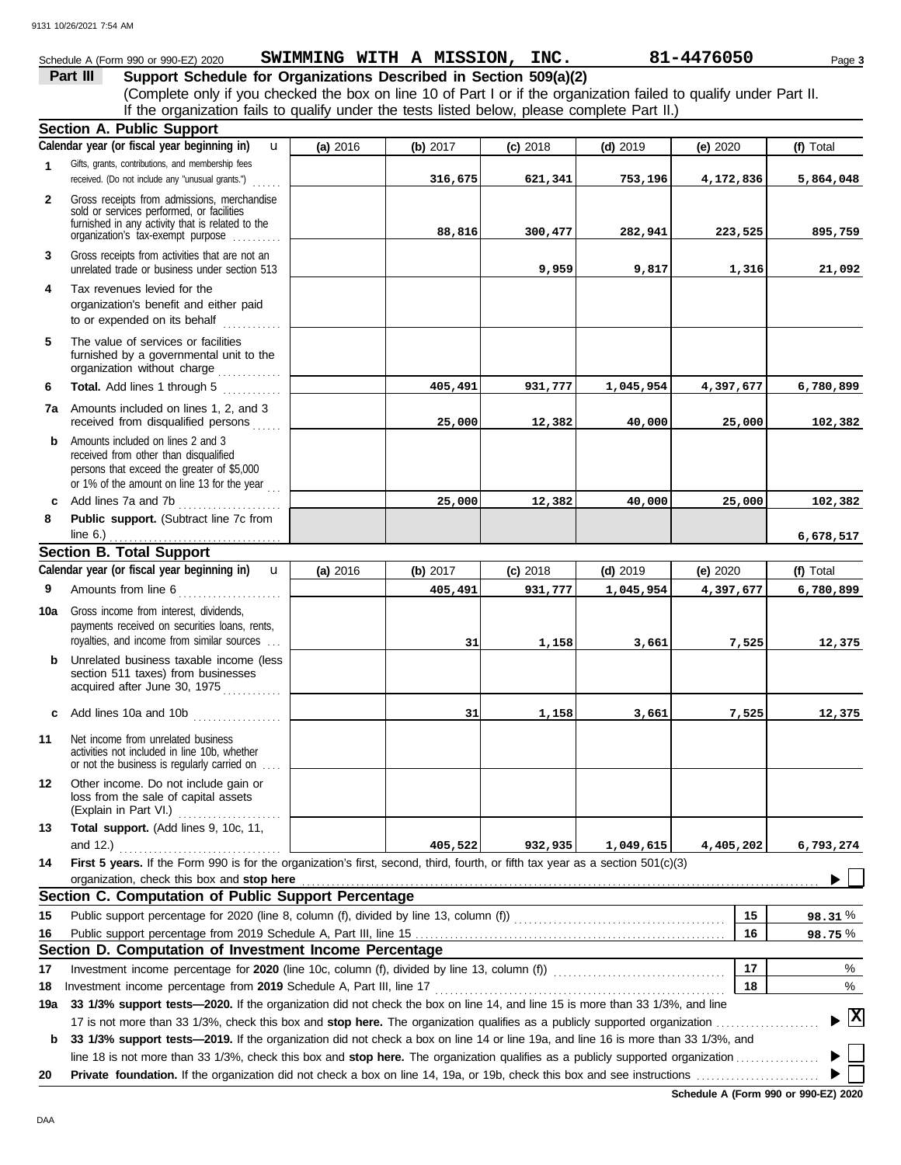## Schedule A (Form 990 or 990-EZ) 2020 Page **3 SWIMMING WITH A MISSION, INC. 81-4476050**

**Part III Support Schedule for Organizations Described in Section 509(a)(2)** (Complete only if you checked the box on line 10 of Part I or if the organization failed to qualify under Part II. If the organization fails to qualify under the tests listed below, please complete Part II.)

|              | <b>Section A. Public Support</b>                                                                                                                                                 |          |            |            |            |            |                                         |
|--------------|----------------------------------------------------------------------------------------------------------------------------------------------------------------------------------|----------|------------|------------|------------|------------|-----------------------------------------|
|              | Calendar year (or fiscal year beginning in)<br>u                                                                                                                                 | (a) 2016 | (b) $2017$ | $(c)$ 2018 | $(d)$ 2019 | (e) $2020$ | (f) Total                               |
| 1            | Gifts, grants, contributions, and membership fees<br>received. (Do not include any "unusual grants.")                                                                            |          | 316,675    | 621,341    | 753,196    | 4,172,836  | 5,864,048                               |
| $\mathbf{2}$ | Gross receipts from admissions, merchandise                                                                                                                                      |          |            |            |            |            |                                         |
|              | sold or services performed, or facilities                                                                                                                                        |          |            |            |            |            |                                         |
|              | furnished in any activity that is related to the<br>organization's fax-exempt purpose                                                                                            |          | 88,816     | 300,477    | 282,941    | 223,525    | 895,759                                 |
| 3            | Gross receipts from activities that are not an                                                                                                                                   |          |            |            |            |            |                                         |
|              | unrelated trade or business under section 513                                                                                                                                    |          |            | 9,959      | 9,817      | 1,316      | 21,092                                  |
| 4            | Tax revenues levied for the<br>organization's benefit and either paid<br>to or expended on its behalf                                                                            |          |            |            |            |            |                                         |
| 5            | The value of services or facilities<br>furnished by a governmental unit to the<br>organization without charge                                                                    |          |            |            |            |            |                                         |
| 6            | Total. Add lines 1 through 5<br>.                                                                                                                                                |          | 405,491    | 931,777    | 1,045,954  | 4,397,677  | 6,780,899                               |
|              | <b>7a</b> Amounts included on lines 1, 2, and 3<br>received from disqualified persons                                                                                            |          | 25,000     | 12,382     | 40,000     | 25,000     | 102,382                                 |
| b            | Amounts included on lines 2 and 3<br>received from other than disqualified<br>persons that exceed the greater of \$5,000<br>or 1% of the amount on line 13 for the year $\ldots$ |          |            |            |            |            |                                         |
| c            | Add lines 7a and 7b                                                                                                                                                              |          | 25,000     | 12,382     | 40,000     | 25,000     | 102,382                                 |
| 8            | Public support. (Subtract line 7c from<br>line $6.$ )                                                                                                                            |          |            |            |            |            | 6,678,517                               |
|              | <b>Section B. Total Support</b>                                                                                                                                                  |          |            |            |            |            |                                         |
|              | Calendar year (or fiscal year beginning in)<br>$\mathbf{u}$                                                                                                                      | (a) 2016 | (b) $2017$ | $(c)$ 2018 | $(d)$ 2019 | (e) $2020$ | (f) Total                               |
| 9            | Amounts from line 6                                                                                                                                                              |          | 405,491    | 931,777    | 1,045,954  | 4,397,677  | 6,780,899                               |
| 10a          | Gross income from interest, dividends,<br>payments received on securities loans, rents,<br>royalties, and income from similar sources                                            |          | 31         | 1,158      | 3,661      | 7,525      | 12,375                                  |
| b            | Unrelated business taxable income (less<br>section 511 taxes) from businesses<br>acquired after June 30, 1975                                                                    |          |            |            |            |            |                                         |
|              | c Add lines 10a and 10b                                                                                                                                                          |          | 31         | 1,158      | 3,661      | 7,525      | 12,375                                  |
| 11           | Net income from unrelated business<br>activities not included in line 10b, whether<br>or not the business is regularly carried on                                                |          |            |            |            |            |                                         |
| 12           | Other income. Do not include gain or<br>loss from the sale of capital assets<br>(Explain in Part VI.)                                                                            |          |            |            |            |            |                                         |
| 13           | Total support. (Add lines 9, 10c, 11,                                                                                                                                            |          |            |            |            |            |                                         |
|              | and $12.$ )                                                                                                                                                                      |          | 405,522    | 932,935    | 1,049,615  | 4,405,202  | 6,793,274                               |
| 14           | First 5 years. If the Form 990 is for the organization's first, second, third, fourth, or fifth tax year as a section 501(c)(3)                                                  |          |            |            |            |            |                                         |
|              | organization, check this box and stop here                                                                                                                                       |          |            |            |            |            |                                         |
|              | Section C. Computation of Public Support Percentage                                                                                                                              |          |            |            |            |            |                                         |
| 15           |                                                                                                                                                                                  |          |            |            |            | 15<br>16   | 98.31%                                  |
| 16           | Section D. Computation of Investment Income Percentage                                                                                                                           |          |            |            |            |            | 98.75%                                  |
| 17           | Investment income percentage for 2020 (line 10c, column (f), divided by line 13, column (f)) [[[[[[[[[[[[[[[[[                                                                   |          |            |            |            | 17         | %                                       |
| 18           |                                                                                                                                                                                  |          |            |            |            | 18         | %                                       |
| 19a          | 33 1/3% support tests-2020. If the organization did not check the box on line 14, and line 15 is more than 33 1/3%, and line                                                     |          |            |            |            |            |                                         |
|              |                                                                                                                                                                                  |          |            |            |            |            | $\blacktriangleright$ $\mathbf{X}$      |
| b            | 33 1/3% support tests-2019. If the organization did not check a box on line 14 or line 19a, and line 16 is more than 33 1/3%, and                                                |          |            |            |            |            |                                         |
|              |                                                                                                                                                                                  |          |            |            |            |            | $\blacktriangleright \bigsqcup$         |
| 20           |                                                                                                                                                                                  |          |            |            |            |            | $\blacktriangleright$ $\mid \bar{\;}\,$ |

**Schedule A (Form 990 or 990-EZ) 2020**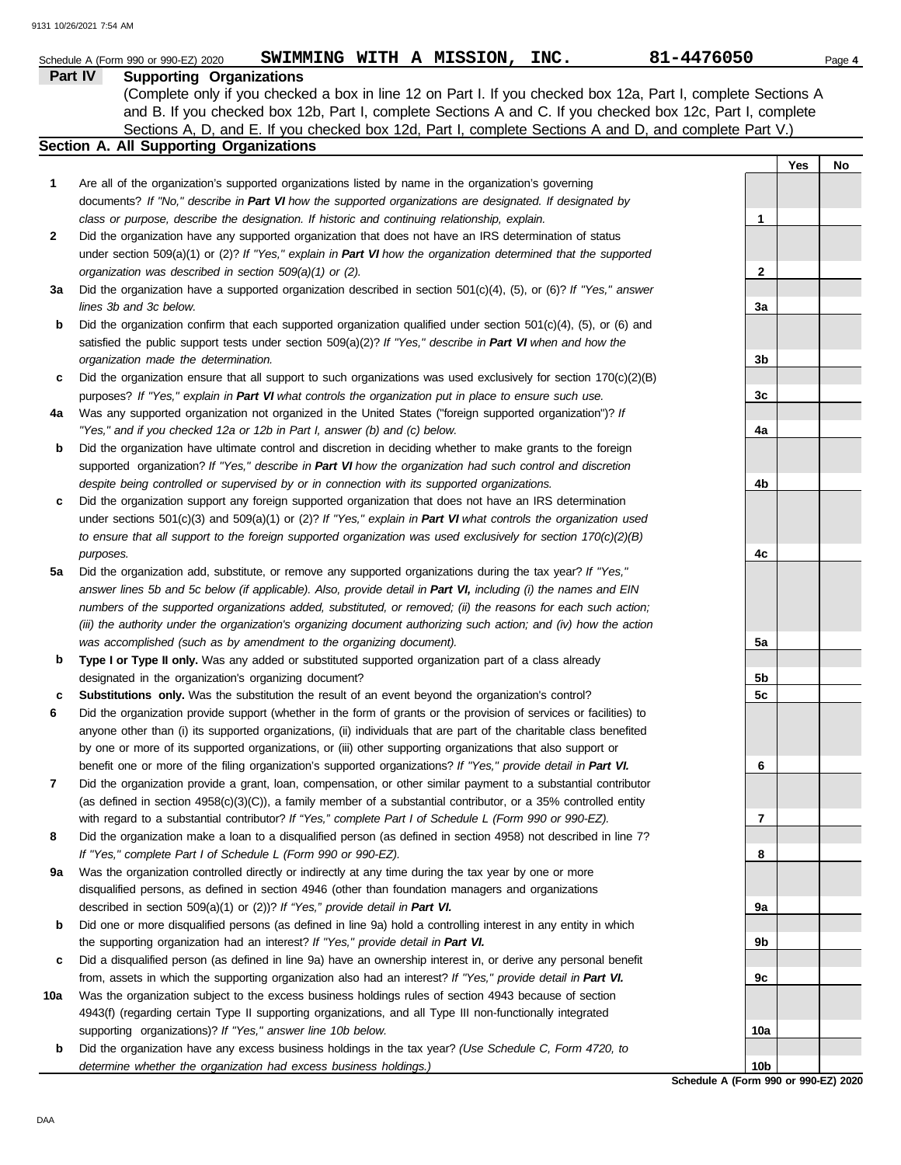|     | SWIMMING WITH A MISSION, INC.<br>Schedule A (Form 990 or 990-EZ) 2020                                               | 81-4476050                           | Page 4    |
|-----|---------------------------------------------------------------------------------------------------------------------|--------------------------------------|-----------|
|     | <b>Part IV</b><br><b>Supporting Organizations</b>                                                                   |                                      |           |
|     | (Complete only if you checked a box in line 12 on Part I. If you checked box 12a, Part I, complete Sections A       |                                      |           |
|     | and B. If you checked box 12b, Part I, complete Sections A and C. If you checked box 12c, Part I, complete          |                                      |           |
|     | Sections A, D, and E. If you checked box 12d, Part I, complete Sections A and D, and complete Part V.)              |                                      |           |
|     | Section A. All Supporting Organizations                                                                             |                                      |           |
|     |                                                                                                                     |                                      | Yes<br>No |
| 1   | Are all of the organization's supported organizations listed by name in the organization's governing                |                                      |           |
|     | documents? If "No," describe in Part VI how the supported organizations are designated. If designated by            |                                      |           |
|     | class or purpose, describe the designation. If historic and continuing relationship, explain.                       | 1                                    |           |
| 2   | Did the organization have any supported organization that does not have an IRS determination of status              |                                      |           |
|     | under section 509(a)(1) or (2)? If "Yes," explain in Part VI how the organization determined that the supported     |                                      |           |
|     | organization was described in section 509(a)(1) or (2).                                                             | $\mathbf{2}$                         |           |
| 3a  | Did the organization have a supported organization described in section $501(c)(4)$ , (5), or (6)? If "Yes," answer |                                      |           |
|     |                                                                                                                     |                                      |           |
|     | lines 3b and 3c below.                                                                                              | За                                   |           |
| b   | Did the organization confirm that each supported organization qualified under section 501(c)(4), (5), or (6) and    |                                      |           |
|     | satisfied the public support tests under section 509(a)(2)? If "Yes," describe in Part VI when and how the          |                                      |           |
|     | organization made the determination.                                                                                | 3b                                   |           |
| c   | Did the organization ensure that all support to such organizations was used exclusively for section $170(c)(2)(B)$  |                                      |           |
|     | purposes? If "Yes," explain in Part VI what controls the organization put in place to ensure such use.              | 3c                                   |           |
| 4a  | Was any supported organization not organized in the United States ("foreign supported organization")? If            |                                      |           |
|     | "Yes," and if you checked 12a or 12b in Part I, answer (b) and (c) below.                                           | 4a                                   |           |
| b   | Did the organization have ultimate control and discretion in deciding whether to make grants to the foreign         |                                      |           |
|     | supported organization? If "Yes," describe in Part VI how the organization had such control and discretion          |                                      |           |
|     | despite being controlled or supervised by or in connection with its supported organizations.                        | 4b                                   |           |
| c   | Did the organization support any foreign supported organization that does not have an IRS determination             |                                      |           |
|     | under sections 501(c)(3) and 509(a)(1) or (2)? If "Yes," explain in Part VI what controls the organization used     |                                      |           |
|     | to ensure that all support to the foreign supported organization was used exclusively for section $170(c)(2)(B)$    |                                      |           |
|     | purposes.                                                                                                           | 4c                                   |           |
| 5a  | Did the organization add, substitute, or remove any supported organizations during the tax year? If "Yes,"          |                                      |           |
|     | answer lines 5b and 5c below (if applicable). Also, provide detail in Part VI, including (i) the names and EIN      |                                      |           |
|     | numbers of the supported organizations added, substituted, or removed; (ii) the reasons for each such action;       |                                      |           |
|     | (iii) the authority under the organization's organizing document authorizing such action; and (iv) how the action   |                                      |           |
|     |                                                                                                                     | 5a                                   |           |
|     | was accomplished (such as by amendment to the organizing document).                                                 |                                      |           |
| b   | Type I or Type II only. Was any added or substituted supported organization part of a class already                 |                                      |           |
|     | designated in the organization's organizing document?                                                               | 5b                                   |           |
| с   | Substitutions only. Was the substitution the result of an event beyond the organization's control?                  | 5c                                   |           |
| 6   | Did the organization provide support (whether in the form of grants or the provision of services or facilities) to  |                                      |           |
|     | anyone other than (i) its supported organizations, (ii) individuals that are part of the charitable class benefited |                                      |           |
|     | by one or more of its supported organizations, or (iii) other supporting organizations that also support or         |                                      |           |
|     | benefit one or more of the filing organization's supported organizations? If "Yes," provide detail in Part VI.      | 6                                    |           |
| 7   | Did the organization provide a grant, loan, compensation, or other similar payment to a substantial contributor     |                                      |           |
|     | (as defined in section 4958(c)(3)(C)), a family member of a substantial contributor, or a 35% controlled entity     |                                      |           |
|     | with regard to a substantial contributor? If "Yes," complete Part I of Schedule L (Form 990 or 990-EZ).             | 7                                    |           |
| 8   | Did the organization make a loan to a disqualified person (as defined in section 4958) not described in line 7?     |                                      |           |
|     | If "Yes," complete Part I of Schedule L (Form 990 or 990-EZ).                                                       | 8                                    |           |
| 9а  | Was the organization controlled directly or indirectly at any time during the tax year by one or more               |                                      |           |
|     | disqualified persons, as defined in section 4946 (other than foundation managers and organizations                  |                                      |           |
|     | described in section 509(a)(1) or (2))? If "Yes," provide detail in Part VI.                                        | 9а                                   |           |
| b   | Did one or more disqualified persons (as defined in line 9a) hold a controlling interest in any entity in which     |                                      |           |
|     | the supporting organization had an interest? If "Yes," provide detail in Part VI.                                   | 9b                                   |           |
| c   | Did a disqualified person (as defined in line 9a) have an ownership interest in, or derive any personal benefit     |                                      |           |
|     | from, assets in which the supporting organization also had an interest? If "Yes," provide detail in Part VI.        | 9с                                   |           |
| 10a | Was the organization subject to the excess business holdings rules of section 4943 because of section               |                                      |           |
|     | 4943(f) (regarding certain Type II supporting organizations, and all Type III non-functionally integrated           |                                      |           |
|     | supporting organizations)? If "Yes," answer line 10b below.                                                         | 10a                                  |           |
| b   | Did the organization have any excess business holdings in the tax year? (Use Schedule C, Form 4720, to              |                                      |           |
|     | determine whether the organization had excess business holdings.)                                                   | 10b                                  |           |
|     |                                                                                                                     | Schedule A (Form 990 or 990-F7) 2020 |           |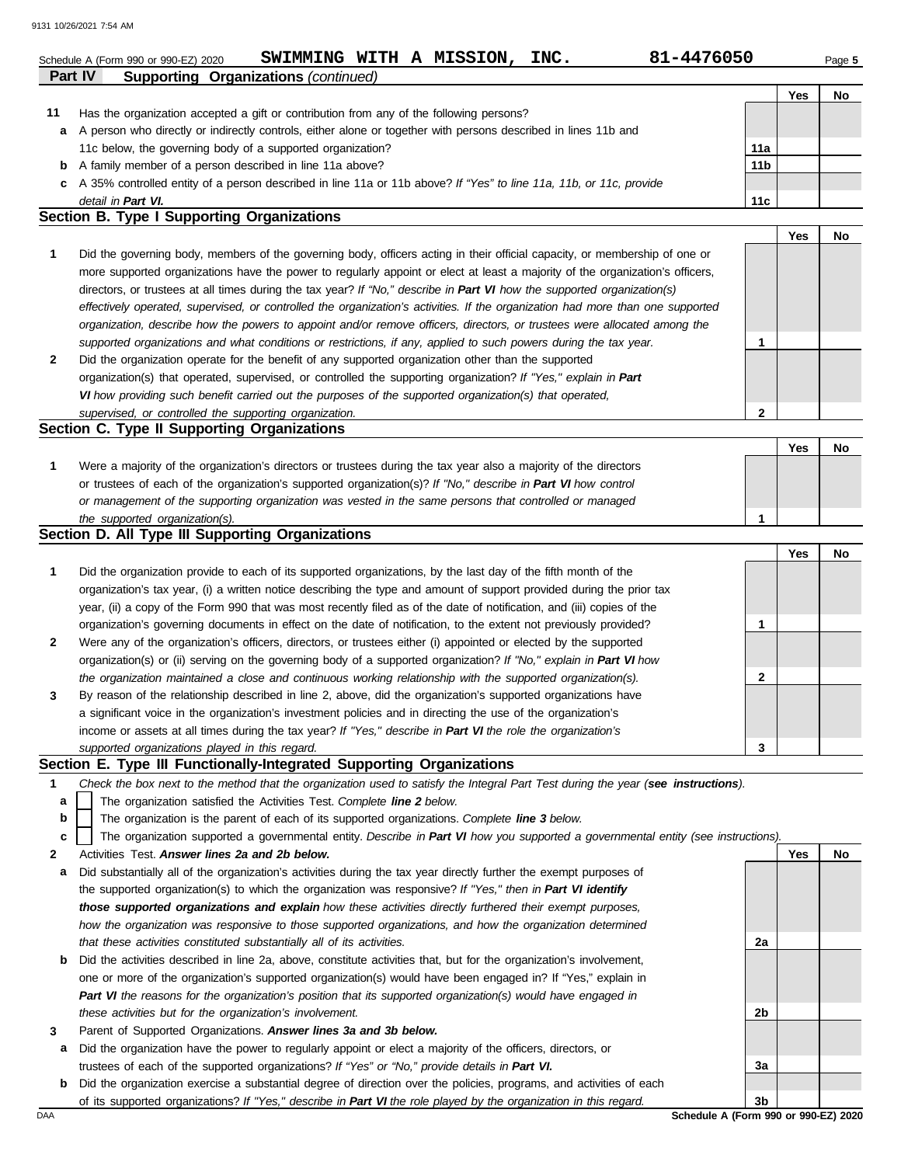|    | 81-4476050<br>INC.<br>SWIMMING WITH A MISSION,<br>Schedule A (Form 990 or 990-EZ) 2020                               |                 |     | Page 5 |
|----|----------------------------------------------------------------------------------------------------------------------|-----------------|-----|--------|
|    | <b>Part IV</b><br><b>Supporting Organizations (continued)</b>                                                        |                 |     |        |
|    |                                                                                                                      |                 | Yes | No     |
| 11 | Has the organization accepted a gift or contribution from any of the following persons?                              |                 |     |        |
| a  | A person who directly or indirectly controls, either alone or together with persons described in lines 11b and       |                 |     |        |
|    | 11c below, the governing body of a supported organization?                                                           | 11a             |     |        |
|    | <b>b</b> A family member of a person described in line 11a above?                                                    | 11 <sub>b</sub> |     |        |
|    | c A 35% controlled entity of a person described in line 11a or 11b above? If "Yes" to line 11a, 11b, or 11c, provide |                 |     |        |
|    | detail in Part VI.                                                                                                   | 11c             |     |        |
|    | Section B. Type I Supporting Organizations                                                                           |                 |     |        |
|    |                                                                                                                      |                 | Yes | Nο     |

|              |                                                                                                                                |   | 15S | IVU |
|--------------|--------------------------------------------------------------------------------------------------------------------------------|---|-----|-----|
| 1            | Did the governing body, members of the governing body, officers acting in their official capacity, or membership of one or     |   |     |     |
|              | more supported organizations have the power to regularly appoint or elect at least a majority of the organization's officers,  |   |     |     |
|              | directors, or trustees at all times during the tax year? If "No," describe in Part VI how the supported organization(s)        |   |     |     |
|              | effectively operated, supervised, or controlled the organization's activities. If the organization had more than one supported |   |     |     |
|              | organization, describe how the powers to appoint and/or remove officers, directors, or trustees were allocated among the       |   |     |     |
|              | supported organizations and what conditions or restrictions, if any, applied to such powers during the tax year.               |   |     |     |
| $\mathbf{2}$ | Did the organization operate for the benefit of any supported organization other than the supported                            |   |     |     |
|              | organization(s) that operated, supervised, or controlled the supporting organization? If "Yes," explain in Part                |   |     |     |
|              | VI how providing such benefit carried out the purposes of the supported organization(s) that operated,                         |   |     |     |
|              | supervised, or controlled the supporting organization.                                                                         | 2 |     |     |

# **Section C. Type II Supporting Organizations**

|                                                                                                                  |  | No |
|------------------------------------------------------------------------------------------------------------------|--|----|
| Were a majority of the organization's directors or trustees during the tax year also a majority of the directors |  |    |
| or trustees of each of the organization's supported organization(s)? If "No," describe in Part VI how control    |  |    |
| or management of the supporting organization was vested in the same persons that controlled or managed           |  |    |
| the supported organization(s).                                                                                   |  |    |

## **Section D. All Type III Supporting Organizations**

|              |                                                                                                                        |   | Yes | No |
|--------------|------------------------------------------------------------------------------------------------------------------------|---|-----|----|
| 1            | Did the organization provide to each of its supported organizations, by the last day of the fifth month of the         |   |     |    |
|              | organization's tax year, (i) a written notice describing the type and amount of support provided during the prior tax  |   |     |    |
|              | year, (ii) a copy of the Form 990 that was most recently filed as of the date of notification, and (iii) copies of the |   |     |    |
|              | organization's governing documents in effect on the date of notification, to the extent not previously provided?       |   |     |    |
| $\mathbf{2}$ | Were any of the organization's officers, directors, or trustees either (i) appointed or elected by the supported       |   |     |    |
|              | organization(s) or (ii) serving on the governing body of a supported organization? If "No," explain in Part VI how     |   |     |    |
|              | the organization maintained a close and continuous working relationship with the supported organization(s).            | 2 |     |    |
| $\mathbf{3}$ | By reason of the relationship described in line 2, above, did the organization's supported organizations have          |   |     |    |
|              | a significant voice in the organization's investment policies and in directing the use of the organization's           |   |     |    |
|              | income or assets at all times during the tax year? If "Yes," describe in Part VI the role the organization's           |   |     |    |
|              | supported organizations played in this regard.                                                                         | 3 |     |    |

### **Section E. Type III Functionally-Integrated Supporting Organizations**

- **1** *Check the box next to the method that the organization used to satisfy the Integral Part Test during the year (see instructions).*
	- The organization satisfied the Activities Test. *Complete line 2 below.* **a**
	- The organization is the parent of each of its supported organizations. *Complete line 3 below.* **b**
	- The organization supported a governmental entity. *Describe in Part VI how you supported a governmental entity (see instructions).* **c**
- **2** Activities Test. *Answer lines 2a and 2b below.*
- **a** Did substantially all of the organization's activities during the tax year directly further the exempt purposes of the supported organization(s) to which the organization was responsive? *If "Yes," then in Part VI identify those supported organizations and explain how these activities directly furthered their exempt purposes,*  how the organization was responsive to those supported organizations, and how the organization determined *that these activities constituted substantially all of its activities.*
- **b** Did the activities described in line 2a, above, constitute activities that, but for the organization's involvement, one or more of the organization's supported organization(s) would have been engaged in? If "Yes," explain in *Part VI the reasons for the organization's position that its supported organization(s) would have engaged in these activities but for the organization's involvement.*
- **3** Parent of Supported Organizations. *Answer lines 3a and 3b below.*
- **a** Did the organization have the power to regularly appoint or elect a majority of the officers, directors, or trustees of each of the supported organizations? *If "Yes" or "No," provide details in Part VI.*
- DAA **Schedule A (Form 990 or 990-EZ) 2020 b** Did the organization exercise a substantial degree of direction over the policies, programs, and activities of each of its supported organizations? *If "Yes," describe in Part VI the role played by the organization in this regard.*

**3b**

**2a**

**2b**

**3a**

**Yes No**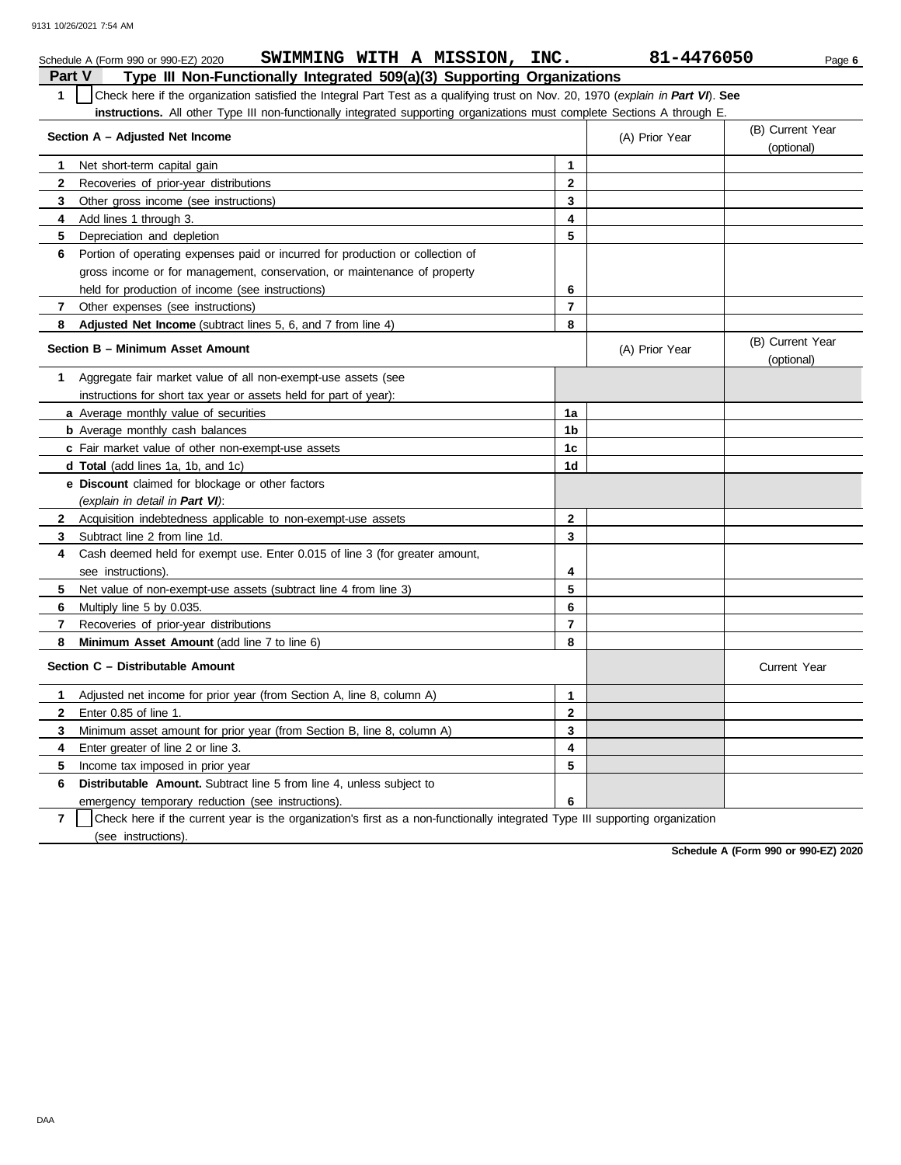|                | SWIMMING WITH A MISSION, INC.<br>Schedule A (Form 990 or 990-EZ) 2020                                                            |             | 81-4476050     | Page 6                         |  |  |  |
|----------------|----------------------------------------------------------------------------------------------------------------------------------|-------------|----------------|--------------------------------|--|--|--|
| <b>Part V</b>  | Type III Non-Functionally Integrated 509(a)(3) Supporting Organizations                                                          |             |                |                                |  |  |  |
| $\mathbf{1}$   | Check here if the organization satisfied the Integral Part Test as a qualifying trust on Nov. 20, 1970 (explain in Part VI). See |             |                |                                |  |  |  |
|                | instructions. All other Type III non-functionally integrated supporting organizations must complete Sections A through E.        |             |                |                                |  |  |  |
|                | Section A - Adjusted Net Income                                                                                                  |             | (A) Prior Year | (B) Current Year<br>(optional) |  |  |  |
| 1.             | Net short-term capital gain                                                                                                      | 1           |                |                                |  |  |  |
| $\mathbf{2}$   | Recoveries of prior-year distributions                                                                                           | $\mathbf 2$ |                |                                |  |  |  |
| 3              | Other gross income (see instructions)                                                                                            | 3           |                |                                |  |  |  |
| 4              | Add lines 1 through 3.                                                                                                           | 4           |                |                                |  |  |  |
| 5              | Depreciation and depletion                                                                                                       | 5           |                |                                |  |  |  |
| 6              | Portion of operating expenses paid or incurred for production or collection of                                                   |             |                |                                |  |  |  |
|                | gross income or for management, conservation, or maintenance of property                                                         |             |                |                                |  |  |  |
|                | held for production of income (see instructions)                                                                                 | 6           |                |                                |  |  |  |
| 7              | Other expenses (see instructions)                                                                                                | 7           |                |                                |  |  |  |
| 8              | Adjusted Net Income (subtract lines 5, 6, and 7 from line 4)                                                                     | 8           |                |                                |  |  |  |
|                | Section B - Minimum Asset Amount                                                                                                 |             | (A) Prior Year | (B) Current Year<br>(optional) |  |  |  |
| 1.             | Aggregate fair market value of all non-exempt-use assets (see                                                                    |             |                |                                |  |  |  |
|                | instructions for short tax year or assets held for part of year):                                                                |             |                |                                |  |  |  |
|                | a Average monthly value of securities                                                                                            | 1a          |                |                                |  |  |  |
|                | <b>b</b> Average monthly cash balances                                                                                           | 1b          |                |                                |  |  |  |
|                | c Fair market value of other non-exempt-use assets                                                                               | 1c          |                |                                |  |  |  |
|                | d Total (add lines 1a, 1b, and 1c)                                                                                               | 1d          |                |                                |  |  |  |
|                | e Discount claimed for blockage or other factors                                                                                 |             |                |                                |  |  |  |
|                | (explain in detail in Part VI):                                                                                                  |             |                |                                |  |  |  |
| $\mathbf{2}$   | Acquisition indebtedness applicable to non-exempt-use assets                                                                     | $\mathbf 2$ |                |                                |  |  |  |
| 3              | Subtract line 2 from line 1d.                                                                                                    | 3           |                |                                |  |  |  |
| 4              | Cash deemed held for exempt use. Enter 0.015 of line 3 (for greater amount,                                                      |             |                |                                |  |  |  |
|                | see instructions).                                                                                                               | 4           |                |                                |  |  |  |
| 5              | Net value of non-exempt-use assets (subtract line 4 from line 3)                                                                 | 5           |                |                                |  |  |  |
| 6              | Multiply line 5 by 0.035.                                                                                                        | 6           |                |                                |  |  |  |
| 7              | Recoveries of prior-year distributions                                                                                           | 7           |                |                                |  |  |  |
| 8              | Minimum Asset Amount (add line 7 to line 6)                                                                                      | 8           |                |                                |  |  |  |
|                | Section C - Distributable Amount                                                                                                 |             |                | <b>Current Year</b>            |  |  |  |
| 1.             | Adjusted net income for prior year (from Section A, line 8, column A)                                                            | 1           |                |                                |  |  |  |
| 2              | Enter 0.85 of line 1.                                                                                                            | 2           |                |                                |  |  |  |
| 3              | Minimum asset amount for prior year (from Section B, line 8, column A)                                                           | 3           |                |                                |  |  |  |
| 4              | Enter greater of line 2 or line 3.                                                                                               | 4           |                |                                |  |  |  |
| 5              | Income tax imposed in prior year                                                                                                 | 5           |                |                                |  |  |  |
| 6              | Distributable Amount. Subtract line 5 from line 4, unless subject to                                                             |             |                |                                |  |  |  |
|                | emergency temporary reduction (see instructions).                                                                                | 6           |                |                                |  |  |  |
| $\overline{7}$ | Check here if the current year is the organization's first as a non-functionally integrated Type III supporting organization     |             |                |                                |  |  |  |

(see instructions).

**Schedule A (Form 990 or 990-EZ) 2020**

DAA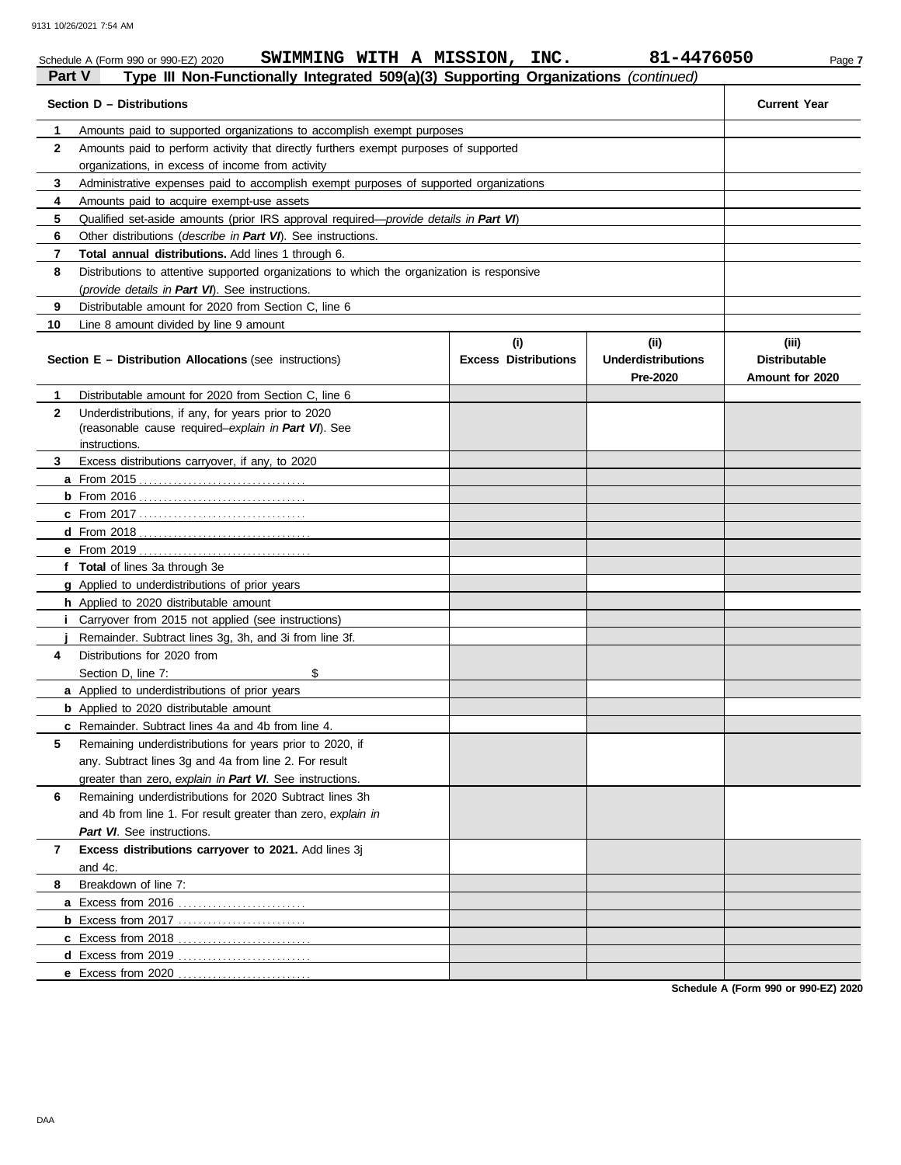|              | SWIMMING WITH A MISSION, INC.<br>Schedule A (Form 990 or 990-EZ) 2020                      |                             | 81-4476050                            | Page 7                                  |
|--------------|--------------------------------------------------------------------------------------------|-----------------------------|---------------------------------------|-----------------------------------------|
| Part V       | Type III Non-Functionally Integrated 509(a)(3) Supporting Organizations (continued)        |                             |                                       |                                         |
|              | Section D - Distributions                                                                  |                             |                                       | <b>Current Year</b>                     |
| 1            | Amounts paid to supported organizations to accomplish exempt purposes                      |                             |                                       |                                         |
| $\mathbf{2}$ | Amounts paid to perform activity that directly furthers exempt purposes of supported       |                             |                                       |                                         |
|              | organizations, in excess of income from activity                                           |                             |                                       |                                         |
| 3            | Administrative expenses paid to accomplish exempt purposes of supported organizations      |                             |                                       |                                         |
| 4            | Amounts paid to acquire exempt-use assets                                                  |                             |                                       |                                         |
| 5            | Qualified set-aside amounts (prior IRS approval required—provide details in Part VI)       |                             |                                       |                                         |
| 6            | Other distributions (describe in Part VI). See instructions.                               |                             |                                       |                                         |
| 7            | Total annual distributions. Add lines 1 through 6.                                         |                             |                                       |                                         |
| 8            | Distributions to attentive supported organizations to which the organization is responsive |                             |                                       |                                         |
|              | (provide details in Part VI). See instructions.                                            |                             |                                       |                                         |
| 9            | Distributable amount for 2020 from Section C, line 6                                       |                             |                                       |                                         |
| 10           | Line 8 amount divided by line 9 amount                                                     |                             |                                       |                                         |
|              |                                                                                            | (i)                         | (i)                                   | (iii)                                   |
|              | <b>Section E - Distribution Allocations (see instructions)</b>                             | <b>Excess Distributions</b> | <b>Underdistributions</b><br>Pre-2020 | <b>Distributable</b><br>Amount for 2020 |
| 1            | Distributable amount for 2020 from Section C, line 6                                       |                             |                                       |                                         |
| $\mathbf{2}$ | Underdistributions, if any, for years prior to 2020                                        |                             |                                       |                                         |
|              | (reasonable cause required-explain in Part VI). See                                        |                             |                                       |                                         |
|              | instructions.                                                                              |                             |                                       |                                         |
| 3            | Excess distributions carryover, if any, to 2020                                            |                             |                                       |                                         |
|              |                                                                                            |                             |                                       |                                         |
|              |                                                                                            |                             |                                       |                                         |
|              |                                                                                            |                             |                                       |                                         |
|              |                                                                                            |                             |                                       |                                         |
|              |                                                                                            |                             |                                       |                                         |
|              | f Total of lines 3a through 3e                                                             |                             |                                       |                                         |
|              | g Applied to underdistributions of prior years                                             |                             |                                       |                                         |
|              | h Applied to 2020 distributable amount                                                     |                             |                                       |                                         |
| Î.           | Carryover from 2015 not applied (see instructions)                                         |                             |                                       |                                         |
|              | Remainder. Subtract lines 3g, 3h, and 3i from line 3f.                                     |                             |                                       |                                         |
| 4            | Distributions for 2020 from                                                                |                             |                                       |                                         |
|              | Section D, line 7:<br>\$                                                                   |                             |                                       |                                         |
|              | a Applied to underdistributions of prior years                                             |                             |                                       |                                         |
|              | <b>b</b> Applied to 2020 distributable amount                                              |                             |                                       |                                         |
|              | c Remainder. Subtract lines 4a and 4b from line 4.                                         |                             |                                       |                                         |
| 5            | Remaining underdistributions for years prior to 2020, if                                   |                             |                                       |                                         |
|              | any. Subtract lines 3g and 4a from line 2. For result                                      |                             |                                       |                                         |
|              | greater than zero, explain in Part VI. See instructions.                                   |                             |                                       |                                         |
| 6            | Remaining underdistributions for 2020 Subtract lines 3h                                    |                             |                                       |                                         |
|              | and 4b from line 1. For result greater than zero, explain in                               |                             |                                       |                                         |
|              | Part VI. See instructions.                                                                 |                             |                                       |                                         |
| 7            | Excess distributions carryover to 2021. Add lines 3j                                       |                             |                                       |                                         |
|              | and 4c.                                                                                    |                             |                                       |                                         |
| 8            | Breakdown of line 7:                                                                       |                             |                                       |                                         |
|              | a Excess from 2016                                                                         |                             |                                       |                                         |
|              |                                                                                            |                             |                                       |                                         |
|              |                                                                                            |                             |                                       |                                         |
|              |                                                                                            |                             |                                       |                                         |
|              | e Excess from 2020                                                                         |                             |                                       |                                         |

**Schedule A (Form 990 or 990-EZ) 2020**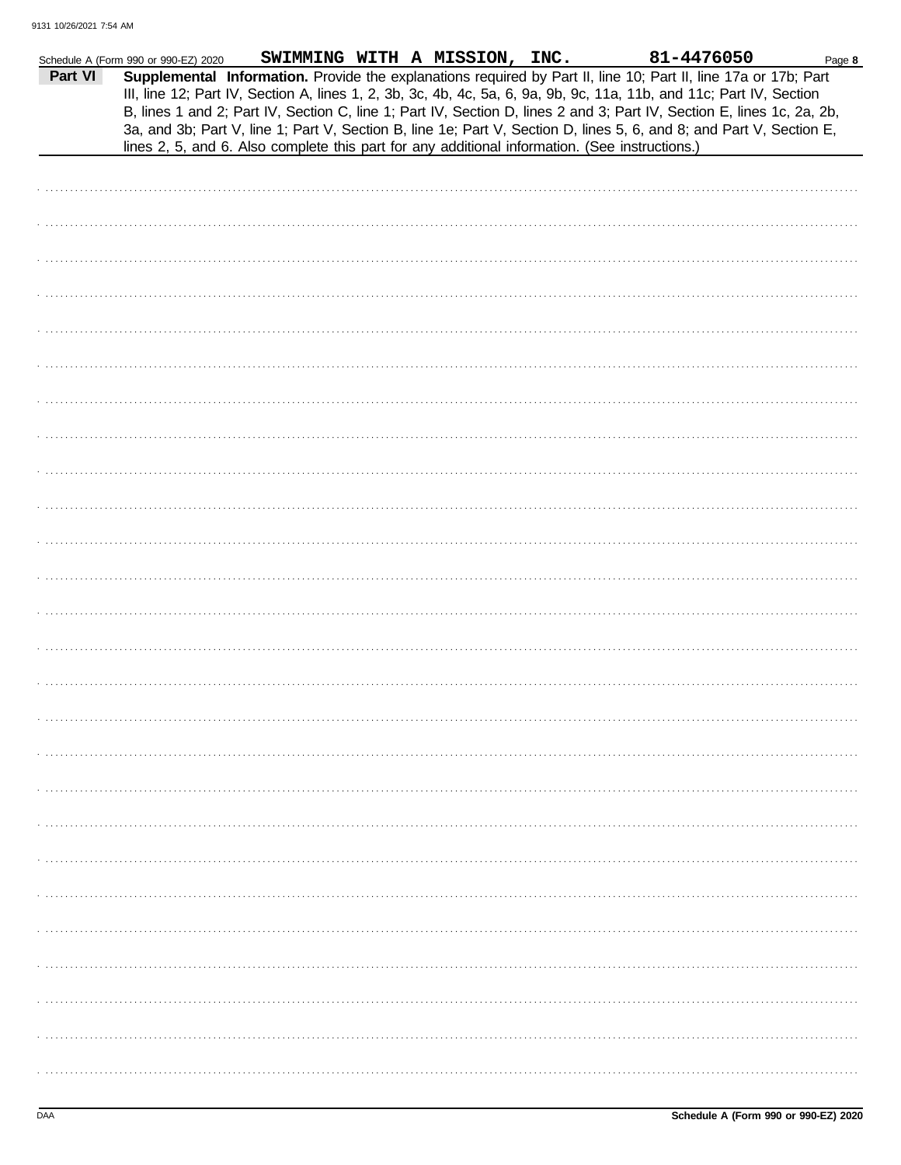|         | Schedule A (Form 990 or 990-EZ) 2020 |                                                                                                | SWIMMING WITH A MISSION, INC. | 81-4476050                                                                                                                                                                                                                                                                                                                                                                                                                                                                                | Page 8 |
|---------|--------------------------------------|------------------------------------------------------------------------------------------------|-------------------------------|-------------------------------------------------------------------------------------------------------------------------------------------------------------------------------------------------------------------------------------------------------------------------------------------------------------------------------------------------------------------------------------------------------------------------------------------------------------------------------------------|--------|
| Part VI |                                      | lines 2, 5, and 6. Also complete this part for any additional information. (See instructions.) |                               | Supplemental Information. Provide the explanations required by Part II, line 10; Part II, line 17a or 17b; Part<br>III, line 12; Part IV, Section A, lines 1, 2, 3b, 3c, 4b, 4c, 5a, 6, 9a, 9b, 9c, 11a, 11b, and 11c; Part IV, Section<br>B, lines 1 and 2; Part IV, Section C, line 1; Part IV, Section D, lines 2 and 3; Part IV, Section E, lines 1c, 2a, 2b,<br>3a, and 3b; Part V, line 1; Part V, Section B, line 1e; Part V, Section D, lines 5, 6, and 8; and Part V, Section E, |        |
|         |                                      |                                                                                                |                               |                                                                                                                                                                                                                                                                                                                                                                                                                                                                                           |        |
|         |                                      |                                                                                                |                               |                                                                                                                                                                                                                                                                                                                                                                                                                                                                                           |        |
|         |                                      |                                                                                                |                               |                                                                                                                                                                                                                                                                                                                                                                                                                                                                                           |        |
|         |                                      |                                                                                                |                               |                                                                                                                                                                                                                                                                                                                                                                                                                                                                                           |        |
|         |                                      |                                                                                                |                               |                                                                                                                                                                                                                                                                                                                                                                                                                                                                                           |        |
|         |                                      |                                                                                                |                               |                                                                                                                                                                                                                                                                                                                                                                                                                                                                                           |        |
|         |                                      |                                                                                                |                               |                                                                                                                                                                                                                                                                                                                                                                                                                                                                                           |        |
|         |                                      |                                                                                                |                               |                                                                                                                                                                                                                                                                                                                                                                                                                                                                                           |        |
|         |                                      |                                                                                                |                               |                                                                                                                                                                                                                                                                                                                                                                                                                                                                                           |        |
|         |                                      |                                                                                                |                               |                                                                                                                                                                                                                                                                                                                                                                                                                                                                                           |        |
|         |                                      |                                                                                                |                               |                                                                                                                                                                                                                                                                                                                                                                                                                                                                                           |        |
|         |                                      |                                                                                                |                               |                                                                                                                                                                                                                                                                                                                                                                                                                                                                                           |        |
|         |                                      |                                                                                                |                               |                                                                                                                                                                                                                                                                                                                                                                                                                                                                                           |        |
|         |                                      |                                                                                                |                               |                                                                                                                                                                                                                                                                                                                                                                                                                                                                                           |        |
|         |                                      |                                                                                                |                               |                                                                                                                                                                                                                                                                                                                                                                                                                                                                                           |        |
|         |                                      |                                                                                                |                               |                                                                                                                                                                                                                                                                                                                                                                                                                                                                                           |        |
|         |                                      |                                                                                                |                               |                                                                                                                                                                                                                                                                                                                                                                                                                                                                                           |        |
|         |                                      |                                                                                                |                               |                                                                                                                                                                                                                                                                                                                                                                                                                                                                                           |        |
|         |                                      |                                                                                                |                               |                                                                                                                                                                                                                                                                                                                                                                                                                                                                                           |        |
|         |                                      |                                                                                                |                               |                                                                                                                                                                                                                                                                                                                                                                                                                                                                                           |        |
|         |                                      |                                                                                                |                               |                                                                                                                                                                                                                                                                                                                                                                                                                                                                                           |        |
|         |                                      |                                                                                                |                               |                                                                                                                                                                                                                                                                                                                                                                                                                                                                                           |        |
|         |                                      |                                                                                                |                               |                                                                                                                                                                                                                                                                                                                                                                                                                                                                                           |        |
|         |                                      |                                                                                                |                               |                                                                                                                                                                                                                                                                                                                                                                                                                                                                                           |        |
|         |                                      |                                                                                                |                               |                                                                                                                                                                                                                                                                                                                                                                                                                                                                                           |        |
|         |                                      |                                                                                                |                               |                                                                                                                                                                                                                                                                                                                                                                                                                                                                                           |        |
|         |                                      |                                                                                                |                               |                                                                                                                                                                                                                                                                                                                                                                                                                                                                                           |        |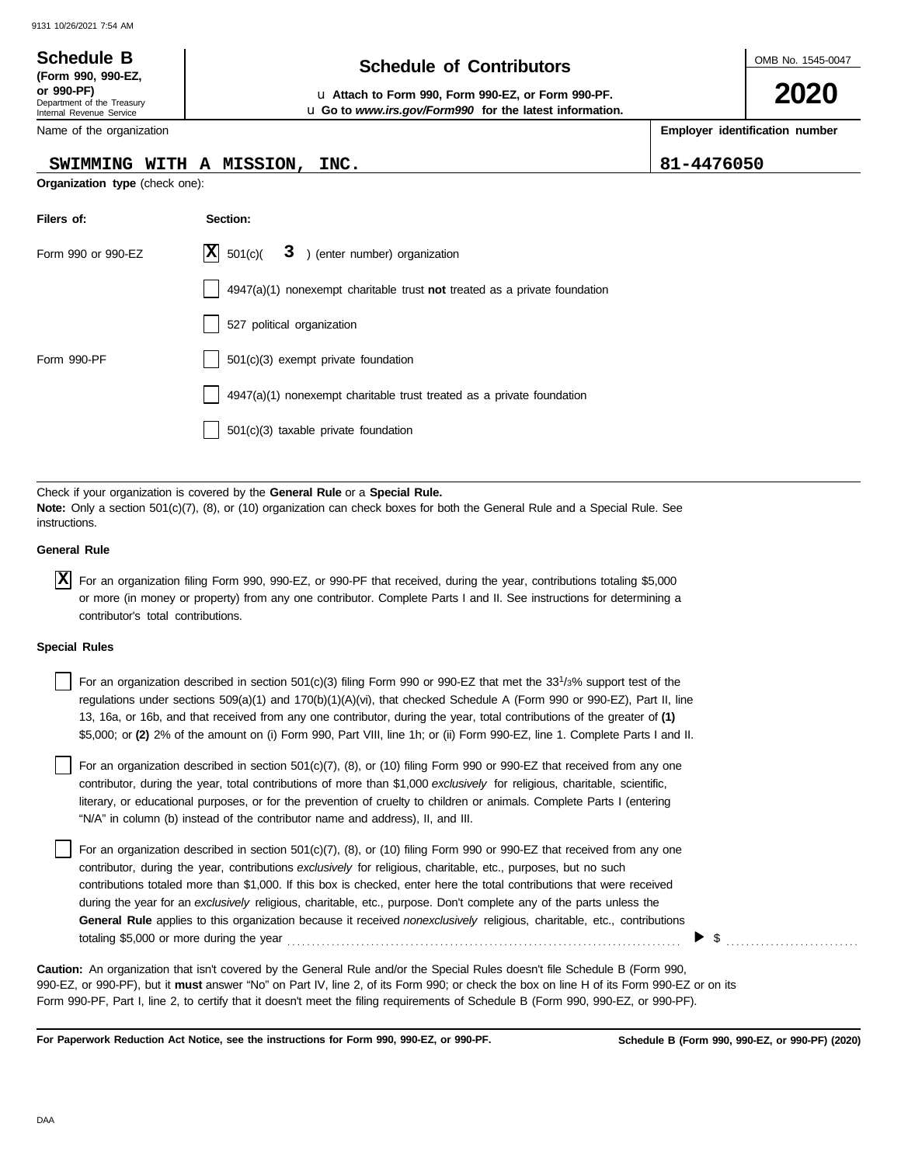#### OMB No. 1545-0047 Department of the Treasury Internal Revenue Service Name of the organization **2020 Schedule of Contributors Schedule B (Form 990, 990-EZ, or 990-PF)** u **Attach to Form 990, Form 990-EZ, or Form 990-PF. Employer identification number** u **Go to** *www.irs.gov/Form990* **for the latest information. SWIMMING WITH A MISSION, INC. 81-4476050**

**Organization type** (check one):

| Filers of:         | Section:                                                                    |
|--------------------|-----------------------------------------------------------------------------|
| Form 990 or 990-EZ | $ \mathbf{X} $ 501(c)( 3) (enter number) organization                       |
|                    | $4947(a)(1)$ nonexempt charitable trust not treated as a private foundation |
|                    | 527 political organization                                                  |
| Form 990-PF        | 501(c)(3) exempt private foundation                                         |
|                    | $4947(a)(1)$ nonexempt charitable trust treated as a private foundation     |
|                    | $501(c)(3)$ taxable private foundation                                      |

Check if your organization is covered by the **General Rule** or a **Special Rule. Note:** Only a section 501(c)(7), (8), or (10) organization can check boxes for both the General Rule and a Special Rule. See instructions.

#### **General Rule**

For an organization filing Form 990, 990-EZ, or 990-PF that received, during the year, contributions totaling \$5,000 **X** or more (in money or property) from any one contributor. Complete Parts I and II. See instructions for determining a contributor's total contributions.

#### **Special Rules**

| For an organization described in section 501(c)(3) filing Form 990 or 990-EZ that met the 33 <sup>1</sup> /3% support test of the |
|-----------------------------------------------------------------------------------------------------------------------------------|
| regulations under sections 509(a)(1) and 170(b)(1)(A)(vi), that checked Schedule A (Form 990 or 990-EZ), Part II, line            |
| 13, 16a, or 16b, and that received from any one contributor, during the year, total contributions of the greater of (1)           |
| \$5,000; or (2) 2% of the amount on (i) Form 990, Part VIII, line 1h; or (ii) Form 990-EZ, line 1. Complete Parts I and II.       |

literary, or educational purposes, or for the prevention of cruelty to children or animals. Complete Parts I (entering For an organization described in section 501(c)(7), (8), or (10) filing Form 990 or 990-EZ that received from any one contributor, during the year, total contributions of more than \$1,000 *exclusively* for religious, charitable, scientific, "N/A" in column (b) instead of the contributor name and address), II, and III.

For an organization described in section 501(c)(7), (8), or (10) filing Form 990 or 990-EZ that received from any one contributor, during the year, contributions *exclusively* for religious, charitable, etc., purposes, but no such contributions totaled more than \$1,000. If this box is checked, enter here the total contributions that were received during the year for an *exclusively* religious, charitable, etc., purpose. Don't complete any of the parts unless the **General Rule** applies to this organization because it received *nonexclusively* religious, charitable, etc., contributions totaling \$5,000 or more during the year . . . . . . . . . . . . . . . . . . . . . . . . . . . . . . . . . . . . . . . . . . . . . . . . . . . . . . . . . . . . . . . . . . . . . . . . . . . . . . . .

990-EZ, or 990-PF), but it **must** answer "No" on Part IV, line 2, of its Form 990; or check the box on line H of its Form 990-EZ or on its Form 990-PF, Part I, line 2, to certify that it doesn't meet the filing requirements of Schedule B (Form 990, 990-EZ, or 990-PF). **Caution:** An organization that isn't covered by the General Rule and/or the Special Rules doesn't file Schedule B (Form 990,

**For Paperwork Reduction Act Notice, see the instructions for Form 990, 990-EZ, or 990-PF.**

 $\triangleright$  \$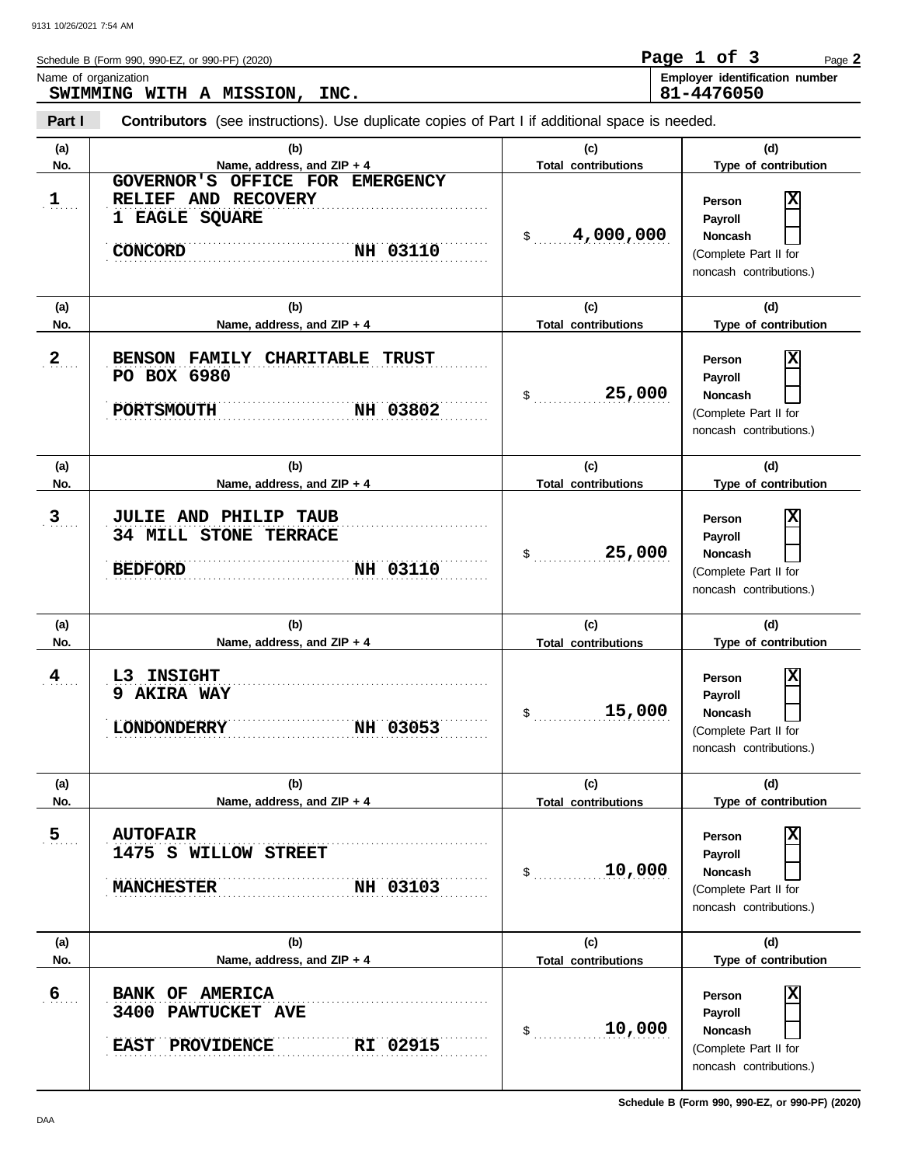| Schedule B (Form 990, 990-EZ, or 990-PF) (2020) | Page 1 of  |  | Page 2                                |
|-------------------------------------------------|------------|--|---------------------------------------|
| Name of organization                            |            |  | <b>Employer identification number</b> |
| SWIMMING WITH A MISSION, INC.                   | 81-4476050 |  |                                       |
|                                                 |            |  |                                       |

**Part I Contributors** (see instructions). Use duplicate copies of Part I if additional space is needed.

| (a)                     | (b)                                                                                                                           | (c)                                                      | (d)                                                                                                                  |
|-------------------------|-------------------------------------------------------------------------------------------------------------------------------|----------------------------------------------------------|----------------------------------------------------------------------------------------------------------------------|
| No.<br>1                | Name, address, and ZIP + 4<br>GOVERNOR'S OFFICE FOR EMERGENCY<br>RELIEF AND RECOVERY<br>1 EAGLE SQUARE<br>NH 03110<br>CONCORD | <b>Total contributions</b><br>4,000,000<br>$\mathsf{\$}$ | Type of contribution<br>х<br>Person<br>Payroll<br><b>Noncash</b><br>(Complete Part II for<br>noncash contributions.) |
| (a)<br>No.              | (b)<br>Name, address, and ZIP + 4                                                                                             | (c)<br><b>Total contributions</b>                        | (d)<br>Type of contribution                                                                                          |
| $\mathbf{2}$            | BENSON FAMILY CHARITABLE<br>TRUST<br>PO BOX 6980<br>NH 03802<br><b>PORTSMOUTH</b>                                             | 25,000<br>\$                                             | х<br>Person<br>Payroll<br><b>Noncash</b><br>(Complete Part II for<br>noncash contributions.)                         |
| (a)<br>No.              | (b)<br>Name, address, and ZIP + 4                                                                                             | (c)<br><b>Total contributions</b>                        | (d)<br>Type of contribution                                                                                          |
| $\mathbf{3}$            | JULIE AND PHILIP TAUB<br><b>34 MILL STONE TERRACE</b><br>NH 03110<br><b>BEDFORD</b>                                           | 25,000<br>\$                                             | х<br>Person<br>Payroll<br><b>Noncash</b><br>(Complete Part II for<br>noncash contributions.)                         |
|                         |                                                                                                                               |                                                          |                                                                                                                      |
| (a)<br>No.              | (b)<br>Name, address, and ZIP + 4                                                                                             | (c)<br><b>Total contributions</b>                        | (d)<br>Type of contribution                                                                                          |
| $\overline{\mathbf{4}}$ | <b>INSIGHT</b><br>L3 -<br><b>AKIRA WAY</b><br>9<br>NH 03053<br>LONDONDERRY                                                    | 15,000<br>\$                                             | ΙX<br>Person<br>Payroll<br><b>Noncash</b><br>(Complete Part II for<br>noncash contributions.)                        |
| (a)<br>No.              | (b)<br>Name, address, and ZIP + 4                                                                                             | (c)<br><b>Total contributions</b>                        | (d)<br>Type of contribution                                                                                          |
| $\overline{5}$          | <b>AUTOFAIR</b><br>1475 S WILLOW STREET<br>NH 03103<br><b>MANCHESTER</b>                                                      | 10,000<br>$\frac{1}{2}$                                  | X<br>Person<br>Payroll<br><b>Noncash</b><br>(Complete Part II for<br>noncash contributions.)                         |
| (a)<br>No.              | (b)<br>Name, address, and ZIP + 4                                                                                             | (c)<br><b>Total contributions</b>                        | (d)<br>Type of contribution                                                                                          |

**Schedule B (Form 990, 990-EZ, or 990-PF) (2020)**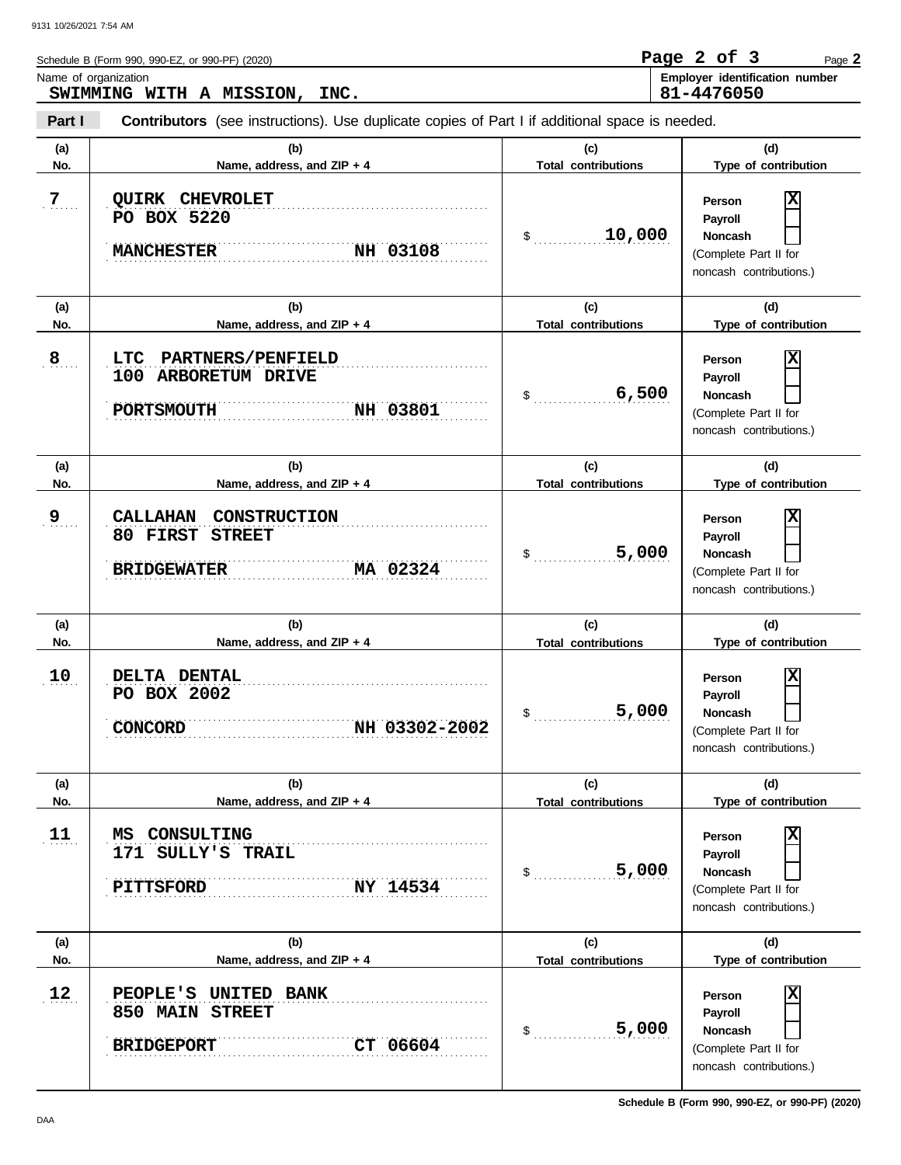$\overline{\phantom{0}}$ 

| Schedule B (Form 990, 990-EZ, or 990-PF) (2020)       | Page 2 of 3 |  | Page 2                                |
|-------------------------------------------------------|-------------|--|---------------------------------------|
| Name of organization<br>SWIMMING WITH A MISSION, INC. | 81-4476050  |  | <b>Employer identification number</b> |
|                                                       |             |  |                                       |

**Part I Contributors** (see instructions). Use duplicate copies of Part I if additional space is needed.

| (a)<br>No. | (b)<br>Name, address, and ZIP + 4                                                          | (c)<br><b>Total contributions</b> | (d)<br>Type of contribution                                                                                        |
|------------|--------------------------------------------------------------------------------------------|-----------------------------------|--------------------------------------------------------------------------------------------------------------------|
| 7          | QUIRK CHEVROLET<br>PO BOX 5220<br>NH 03108<br><b>MANCHESTER</b>                            | 10,000<br>\$                      | X<br>Person<br>Payroll<br><b>Noncash</b><br>(Complete Part II for<br>noncash contributions.)                       |
| (a)<br>No. | (b)<br>Name, address, and ZIP + 4                                                          | (c)<br><b>Total contributions</b> | (d)<br>Type of contribution                                                                                        |
| 8          | PARTNERS/PENFIELD<br>LTC<br>100<br><b>ARBORETUM DRIVE</b><br>NH 03801<br><b>PORTSMOUTH</b> | 6,500<br>\$                       | X<br>Person<br>Payroll<br><b>Noncash</b><br>(Complete Part II for<br>noncash contributions.)                       |
| (a)<br>No. | (b)<br>Name, address, and ZIP + 4                                                          | (c)<br><b>Total contributions</b> | (d)<br>Type of contribution                                                                                        |
| 9          | <b>CALLAHAN</b><br>CONSTRUCTION<br>80 FIRST STREET<br>MA 02324<br><b>BRIDGEWATER</b>       | 5,000<br>\$                       | X<br>Person<br>Payroll<br><b>Noncash</b><br>(Complete Part II for<br>noncash contributions.)                       |
| (a)<br>No. | (b)<br>Name, address, and ZIP + 4                                                          | (c)<br><b>Total contributions</b> | (d)<br>Type of contribution                                                                                        |
| 10         | DELTA DENTAL<br>PO BOX 2002<br>NH 03302-2002<br>CONCORD                                    | 5,000<br>\$                       | x<br>Person<br>Payroll<br><b>Noncash</b><br>(Complete Part II for<br>noncash contributions.)                       |
| (a)<br>No. | (b)<br>Name, address, and ZIP + 4                                                          | (c)<br><b>Total contributions</b> | (d)<br>Type of contribution                                                                                        |
| 11         | CONSULTING<br>MS<br>171 SULLY'S TRAIL<br>NY 14534<br><b>PITTSFORD</b>                      | 5,000<br>\$                       | $\overline{\mathbf{x}}$<br>Person<br>Payroll<br><b>Noncash</b><br>(Complete Part II for<br>noncash contributions.) |
| (a)<br>No. | (b)<br>Name, address, and ZIP + 4                                                          | (c)<br><b>Total contributions</b> | (d)<br>Type of contribution                                                                                        |
| 12         | PEOPLE'S UNITED BANK<br>850 MAIN STREET                                                    |                                   | $\overline{\mathbf{x}}$<br>Person<br>Payroll                                                                       |

**Schedule B (Form 990, 990-EZ, or 990-PF) (2020)**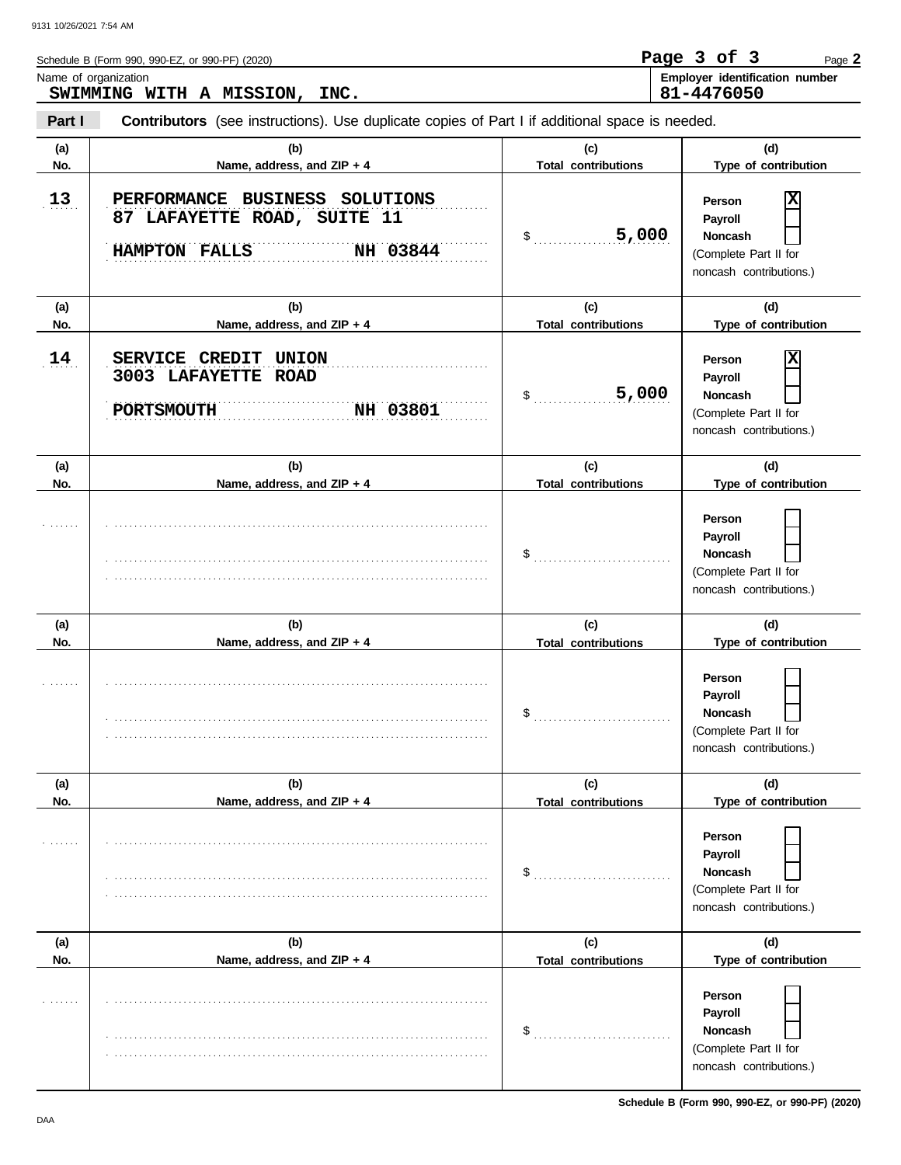|            | Schedule B (Form 990, 990-EZ, or 990-PF) (2020)                                                   |                                   | Page 3 of 3<br>Page 2                                                                   |
|------------|---------------------------------------------------------------------------------------------------|-----------------------------------|-----------------------------------------------------------------------------------------|
|            | Name of organization<br>SWIMMING WITH A MISSION, INC.                                             |                                   | Employer identification number<br>81-4476050                                            |
| Part I     | Contributors (see instructions). Use duplicate copies of Part I if additional space is needed.    |                                   |                                                                                         |
| (a)<br>No. | (b)<br>Name, address, and ZIP + 4                                                                 | (c)<br><b>Total contributions</b> | (d)<br>Type of contribution                                                             |
| 13         | PERFORMANCE BUSINESS SOLUTIONS<br>87 LAFAYETTE ROAD, SUITE 11<br>NH 03844<br><b>HAMPTON FALLS</b> | 5,000<br>\$                       | Person<br>Payroll<br><b>Noncash</b><br>(Complete Part II for<br>noncash contributions.) |
| (a)        | (b)                                                                                               | (c)                               | (d)                                                                                     |
| No.        | Name, address, and ZIP + 4                                                                        | <b>Total contributions</b>        | Type of contribution                                                                    |
| 14         | SERVICE CREDIT UNION<br>3003 LAFAYETTE ROAD<br><b>PORTSMOUTH</b><br>NH 03801                      | 5,000<br>\$                       |                                                                                         |
| (a)        | (b)                                                                                               | (c)                               | (d)                                                                                     |
| No.        | Name, address, and ZIP + 4                                                                        | <b>Total contributions</b>        | Type of contribution                                                                    |
|            |                                                                                                   | \$                                | Person<br>Payroll<br><b>Noncash</b><br>(Complete Part II for<br>noncash contributions.) |
| (a)        | (b)                                                                                               | (c)                               | (d)                                                                                     |
| No.        | Name, address, and ZIP + 4                                                                        | <b>Total contributions</b>        | Type of contribution                                                                    |
|            |                                                                                                   | \$                                | Person<br>Payroll<br>Noncash<br>(Complete Part II for<br>noncash contributions.)        |
| (a)        | (b)                                                                                               | (c)                               | (d)                                                                                     |
| No.        | Name, address, and ZIP + 4                                                                        | <b>Total contributions</b>        | Type of contribution                                                                    |
|            |                                                                                                   | \$                                | Person<br>Payroll<br><b>Noncash</b><br>(Complete Part II for<br>noncash contributions.) |
| (a)        | (b)                                                                                               | (c)                               | (d)                                                                                     |
| No.        | Name, address, and ZIP + 4                                                                        | <b>Total contributions</b>        | Type of contribution                                                                    |
|            |                                                                                                   | \$                                | Person<br>Payroll<br><b>Noncash</b><br>(Complete Part II for<br>noncash contributions.) |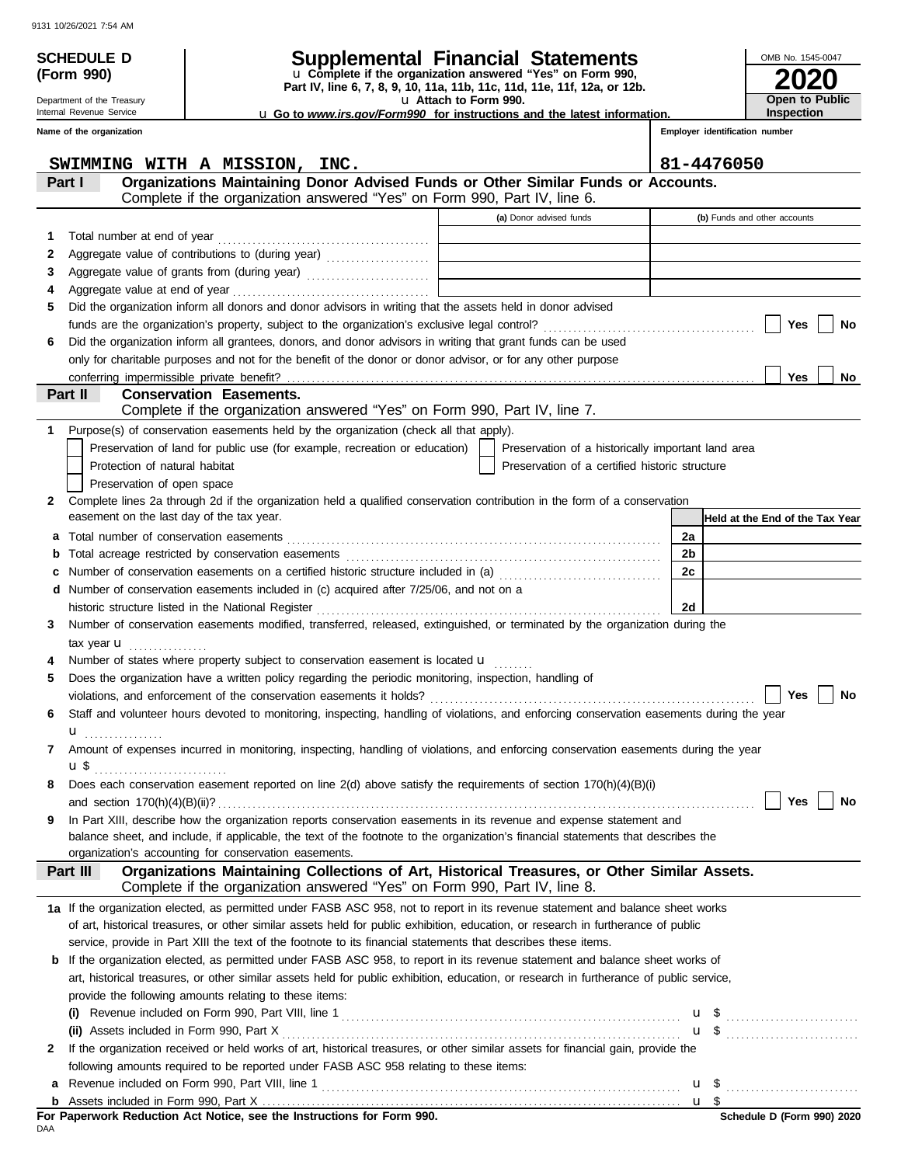Department of the Treasury Internal Revenue Service

**(Form 990)**

# **SCHEDULE D Supplemental Financial Statements**

**Part IV, line 6, 7, 8, 9, 10, 11a, 11b, 11c, 11d, 11e, 11f, 12a, or 12b.** u **Complete if the organization answered "Yes" on Form 990,**

u **Attach to Form 990.** 

u **Go to** *www.irs.gov/Form990* **for instructions and the latest information.**

**2020 Open to Public Inspection**

OMB No. 1545-0047

**Employer identification number**

|    | Name of the organization |                                                                                                                                                                                                                                |                | Employer identification number  |
|----|--------------------------|--------------------------------------------------------------------------------------------------------------------------------------------------------------------------------------------------------------------------------|----------------|---------------------------------|
|    |                          | SWIMMING WITH A MISSION, INC.                                                                                                                                                                                                  |                | 81-4476050                      |
|    | Part I                   | Organizations Maintaining Donor Advised Funds or Other Similar Funds or Accounts.<br>Complete if the organization answered "Yes" on Form 990, Part IV, line 6.                                                                 |                |                                 |
|    |                          | (a) Donor advised funds                                                                                                                                                                                                        |                | (b) Funds and other accounts    |
| 1. |                          | Total number at end of year<br><u> 1980 - Johann Barbara, martxa a</u>                                                                                                                                                         |                |                                 |
| 2  |                          | Aggregate value of contributions to (during year)<br>the control of the control of the control of the control of the control of                                                                                                |                |                                 |
| 3  |                          | Aggregate value of grants from (during year) entitled and all products and all products of the set of the set of the set of the set of the set of the set of the set of the set of the set of the set of the set of the set of |                |                                 |
| 4  |                          |                                                                                                                                                                                                                                |                |                                 |
| 5  |                          | Did the organization inform all donors and donor advisors in writing that the assets held in donor advised                                                                                                                     |                |                                 |
|    |                          |                                                                                                                                                                                                                                |                | Yes<br>No                       |
| 6  |                          | Did the organization inform all grantees, donors, and donor advisors in writing that grant funds can be used                                                                                                                   |                |                                 |
|    |                          | only for charitable purposes and not for the benefit of the donor or donor advisor, or for any other purpose                                                                                                                   |                |                                 |
|    |                          |                                                                                                                                                                                                                                |                | Yes<br>No                       |
|    | Part II                  | <b>Conservation Easements.</b><br>Complete if the organization answered "Yes" on Form 990, Part IV, line 7.                                                                                                                    |                |                                 |
| 1  |                          | Purpose(s) of conservation easements held by the organization (check all that apply).                                                                                                                                          |                |                                 |
|    |                          | Preservation of land for public use (for example, recreation or education)<br>Preservation of a historically important land area                                                                                               |                |                                 |
|    |                          | Protection of natural habitat<br>Preservation of a certified historic structure                                                                                                                                                |                |                                 |
|    |                          | Preservation of open space                                                                                                                                                                                                     |                |                                 |
| 2  |                          | Complete lines 2a through 2d if the organization held a qualified conservation contribution in the form of a conservation                                                                                                      |                |                                 |
|    |                          | easement on the last day of the tax year.                                                                                                                                                                                      |                | Held at the End of the Tax Year |
| a  |                          |                                                                                                                                                                                                                                | 2a             |                                 |
| b  |                          |                                                                                                                                                                                                                                | 2 <sub>b</sub> |                                 |
| с  |                          | Number of conservation easements on a certified historic structure included in (a) [[[[[[[[[[[[[[[[[[[[[[[[[]]]]]]]                                                                                                            | 2c             |                                 |
| d  |                          | Number of conservation easements included in (c) acquired after 7/25/06, and not on a                                                                                                                                          |                |                                 |
|    |                          | historic structure listed in the National Register                                                                                                                                                                             | 2d             |                                 |
| 3  |                          | Number of conservation easements modified, transferred, released, extinguished, or terminated by the organization during the                                                                                                   |                |                                 |
|    |                          | tax year $\mathbf u$                                                                                                                                                                                                           |                |                                 |
|    |                          | Number of states where property subject to conservation easement is located u                                                                                                                                                  |                |                                 |
| 5  |                          | Does the organization have a written policy regarding the periodic monitoring, inspection, handling of                                                                                                                         |                |                                 |
|    |                          |                                                                                                                                                                                                                                |                | Yes<br>No                       |
| 6  |                          | Staff and volunteer hours devoted to monitoring, inspecting, handling of violations, and enforcing conservation easements during the year                                                                                      |                |                                 |
|    | u                        | Amount of expenses incurred in monitoring, inspecting, handling of violations, and enforcing conservation easements during the year                                                                                            |                |                                 |
|    | $\mathbf{u}$             |                                                                                                                                                                                                                                |                |                                 |
|    |                          | Does each conservation easement reported on line 2(d) above satisfy the requirements of section 170(h)(4)(B)(i)                                                                                                                |                |                                 |
|    |                          | and section $170(h)(4)(B)(ii)?$                                                                                                                                                                                                |                | Yes<br>No                       |
| 9  |                          | In Part XIII, describe how the organization reports conservation easements in its revenue and expense statement and                                                                                                            |                |                                 |
|    |                          | balance sheet, and include, if applicable, the text of the footnote to the organization's financial statements that describes the                                                                                              |                |                                 |
|    |                          | organization's accounting for conservation easements.                                                                                                                                                                          |                |                                 |
|    | Part III                 | Organizations Maintaining Collections of Art, Historical Treasures, or Other Similar Assets.<br>Complete if the organization answered "Yes" on Form 990, Part IV, line 8.                                                      |                |                                 |
|    |                          | 1a If the organization elected, as permitted under FASB ASC 958, not to report in its revenue statement and balance sheet works                                                                                                |                |                                 |
|    |                          | of art, historical treasures, or other similar assets held for public exhibition, education, or research in furtherance of public                                                                                              |                |                                 |
|    |                          | service, provide in Part XIII the text of the footnote to its financial statements that describes these items.                                                                                                                 |                |                                 |
| b  |                          | If the organization elected, as permitted under FASB ASC 958, to report in its revenue statement and balance sheet works of                                                                                                    |                |                                 |
|    |                          | art, historical treasures, or other similar assets held for public exhibition, education, or research in furtherance of public service,                                                                                        |                |                                 |
|    |                          | provide the following amounts relating to these items:                                                                                                                                                                         |                |                                 |
|    | (i)                      |                                                                                                                                                                                                                                |                |                                 |
|    |                          | (ii) Assets included in Form 990, Part X                                                                                                                                                                                       |                | $\mathbf{u}$ \$                 |
| 2  |                          | If the organization received or held works of art, historical treasures, or other similar assets for financial gain, provide the                                                                                               |                |                                 |
|    |                          | following amounts required to be reported under FASB ASC 958 relating to these items:                                                                                                                                          |                |                                 |
| a  |                          |                                                                                                                                                                                                                                |                |                                 |
|    |                          |                                                                                                                                                                                                                                |                |                                 |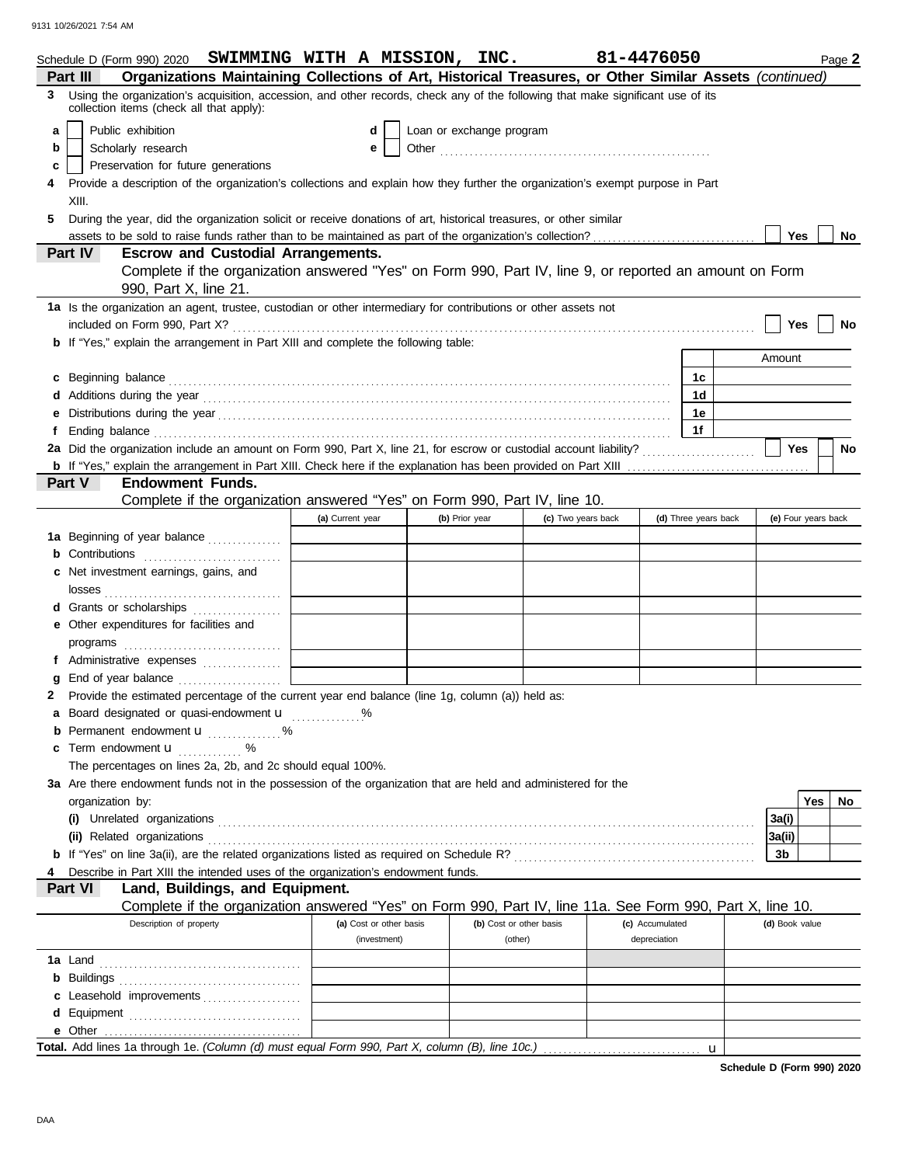|   | Schedule D (Form 990) 2020 SWIMMING WITH A MISSION, INC.                                                                                                                                                                             |                                              |                          |                         |                    | 81-4476050      |                      |                     |     | Page 2    |
|---|--------------------------------------------------------------------------------------------------------------------------------------------------------------------------------------------------------------------------------------|----------------------------------------------|--------------------------|-------------------------|--------------------|-----------------|----------------------|---------------------|-----|-----------|
|   | Organizations Maintaining Collections of Art, Historical Treasures, or Other Similar Assets (continued)<br>Part III                                                                                                                  |                                              |                          |                         |                    |                 |                      |                     |     |           |
|   | 3 Using the organization's acquisition, accession, and other records, check any of the following that make significant use of its<br>collection items (check all that apply):                                                        |                                              |                          |                         |                    |                 |                      |                     |     |           |
| a | Public exhibition                                                                                                                                                                                                                    | d                                            | Loan or exchange program |                         |                    |                 |                      |                     |     |           |
| b | Scholarly research                                                                                                                                                                                                                   | e                                            |                          |                         |                    |                 |                      |                     |     |           |
| c | Preservation for future generations                                                                                                                                                                                                  |                                              |                          |                         |                    |                 |                      |                     |     |           |
|   | Provide a description of the organization's collections and explain how they further the organization's exempt purpose in Part                                                                                                       |                                              |                          |                         |                    |                 |                      |                     |     |           |
|   | XIII.                                                                                                                                                                                                                                |                                              |                          |                         |                    |                 |                      |                     |     |           |
| 5 | During the year, did the organization solicit or receive donations of art, historical treasures, or other similar                                                                                                                    |                                              |                          |                         |                    |                 |                      |                     |     |           |
|   |                                                                                                                                                                                                                                      |                                              |                          |                         |                    |                 |                      | Yes                 |     | No        |
|   | <b>Escrow and Custodial Arrangements.</b><br><b>Part IV</b>                                                                                                                                                                          |                                              |                          |                         |                    |                 |                      |                     |     |           |
|   | Complete if the organization answered "Yes" on Form 990, Part IV, line 9, or reported an amount on Form                                                                                                                              |                                              |                          |                         |                    |                 |                      |                     |     |           |
|   | 990, Part X, line 21.                                                                                                                                                                                                                |                                              |                          |                         |                    |                 |                      |                     |     |           |
|   | 1a Is the organization an agent, trustee, custodian or other intermediary for contributions or other assets not                                                                                                                      |                                              |                          |                         |                    |                 |                      |                     |     |           |
|   |                                                                                                                                                                                                                                      |                                              |                          |                         |                    |                 |                      | Yes                 |     | No        |
|   | <b>b</b> If "Yes," explain the arrangement in Part XIII and complete the following table:                                                                                                                                            |                                              |                          |                         |                    |                 |                      |                     |     |           |
|   |                                                                                                                                                                                                                                      |                                              |                          |                         |                    |                 |                      | Amount              |     |           |
|   | c Beginning balance <b>contract to the contract of the set of the contract of the contract of the contract of the contract of the contract of the contract of the contract of the contract of the contract of the contract of th</b> |                                              |                          |                         |                    |                 | 1c                   |                     |     |           |
|   |                                                                                                                                                                                                                                      |                                              |                          |                         |                    |                 | 1d                   |                     |     |           |
|   |                                                                                                                                                                                                                                      |                                              |                          |                         |                    |                 | 1e                   |                     |     |           |
| f | Ending balance contains and account of the contact of the contact of the contact of the contact of the contact of the contact of the contact of the contact of the contact of the contact of the contact of the contact of the       |                                              |                          |                         |                    |                 | 1f                   |                     |     |           |
|   |                                                                                                                                                                                                                                      |                                              |                          |                         |                    |                 |                      | Yes                 |     | <b>No</b> |
|   |                                                                                                                                                                                                                                      |                                              |                          |                         |                    |                 |                      |                     |     |           |
|   | <b>Endowment Funds.</b><br><b>Part V</b>                                                                                                                                                                                             |                                              |                          |                         |                    |                 |                      |                     |     |           |
|   | Complete if the organization answered "Yes" on Form 990, Part IV, line 10.                                                                                                                                                           |                                              |                          |                         |                    |                 |                      |                     |     |           |
|   |                                                                                                                                                                                                                                      | (a) Current year                             | (b) Prior year           |                         | (c) Two years back |                 | (d) Three years back | (e) Four years back |     |           |
|   | 1a Beginning of year balance                                                                                                                                                                                                         |                                              |                          |                         |                    |                 |                      |                     |     |           |
|   | <b>b</b> Contributions                                                                                                                                                                                                               |                                              |                          |                         |                    |                 |                      |                     |     |           |
|   | c Net investment earnings, gains, and                                                                                                                                                                                                |                                              |                          |                         |                    |                 |                      |                     |     |           |
|   |                                                                                                                                                                                                                                      |                                              |                          |                         |                    |                 |                      |                     |     |           |
|   | d Grants or scholarships<br>e Other expenditures for facilities and                                                                                                                                                                  |                                              |                          |                         |                    |                 |                      |                     |     |           |
|   |                                                                                                                                                                                                                                      |                                              |                          |                         |                    |                 |                      |                     |     |           |
|   | f Administrative expenses                                                                                                                                                                                                            | the control of the control of the control of |                          |                         |                    |                 |                      |                     |     |           |
|   | End of year balance <i>[[[[[[[[[[[[[[[[[[[[[[[[[[[[[]]</i> ]]]]                                                                                                                                                                      |                                              |                          |                         |                    |                 |                      |                     |     |           |
|   | 2 Provide the estimated percentage of the current year end balance (line 1g, column (a)) held as:                                                                                                                                    |                                              |                          |                         |                    |                 |                      |                     |     |           |
|   | a Board designated or quasi-endowment u                                                                                                                                                                                              |                                              |                          |                         |                    |                 |                      |                     |     |           |
|   | <b>b</b> Permanent endowment <b>u</b> %                                                                                                                                                                                              |                                              |                          |                         |                    |                 |                      |                     |     |           |
|   | <b>c</b> Term endowment $\mathbf{u}$ %                                                                                                                                                                                               |                                              |                          |                         |                    |                 |                      |                     |     |           |
|   | The percentages on lines 2a, 2b, and 2c should equal 100%.                                                                                                                                                                           |                                              |                          |                         |                    |                 |                      |                     |     |           |
|   | 3a Are there endowment funds not in the possession of the organization that are held and administered for the                                                                                                                        |                                              |                          |                         |                    |                 |                      |                     |     |           |
|   | organization by:                                                                                                                                                                                                                     |                                              |                          |                         |                    |                 |                      |                     | Yes | No.       |
|   |                                                                                                                                                                                                                                      |                                              |                          |                         |                    |                 |                      | 3a(i)               |     |           |
|   | (ii) Related organizations <b>constants</b> and constant of the constant of the constant of the constant of the constant of the constant of the constant of the constant of the constant of the constant of the constant of the con  |                                              |                          |                         |                    |                 |                      | 3a(ii)              |     |           |
|   |                                                                                                                                                                                                                                      |                                              |                          |                         |                    |                 |                      | 3b                  |     |           |
|   | Describe in Part XIII the intended uses of the organization's endowment funds.                                                                                                                                                       |                                              |                          |                         |                    |                 |                      |                     |     |           |
|   | Land, Buildings, and Equipment.<br><b>Part VI</b>                                                                                                                                                                                    |                                              |                          |                         |                    |                 |                      |                     |     |           |
|   | Complete if the organization answered "Yes" on Form 990, Part IV, line 11a. See Form 990, Part X, line 10.                                                                                                                           |                                              |                          |                         |                    |                 |                      |                     |     |           |
|   | Description of property                                                                                                                                                                                                              | (a) Cost or other basis                      |                          | (b) Cost or other basis |                    | (c) Accumulated |                      | (d) Book value      |     |           |
|   |                                                                                                                                                                                                                                      | (investment)                                 |                          | (other)                 |                    | depreciation    |                      |                     |     |           |
|   |                                                                                                                                                                                                                                      |                                              |                          |                         |                    |                 |                      |                     |     |           |
|   |                                                                                                                                                                                                                                      |                                              |                          |                         |                    |                 |                      |                     |     |           |
|   | c Leasehold improvements                                                                                                                                                                                                             |                                              |                          |                         |                    |                 |                      |                     |     |           |
| d |                                                                                                                                                                                                                                      |                                              |                          |                         |                    |                 |                      |                     |     |           |
|   |                                                                                                                                                                                                                                      |                                              |                          |                         |                    |                 |                      |                     |     |           |
|   | Total. Add lines 1a through 1e. (Column (d) must equal Form 990, Part X, column (B), line 10c.)                                                                                                                                      |                                              |                          |                         |                    |                 | u                    |                     |     |           |

**Schedule D (Form 990) 2020**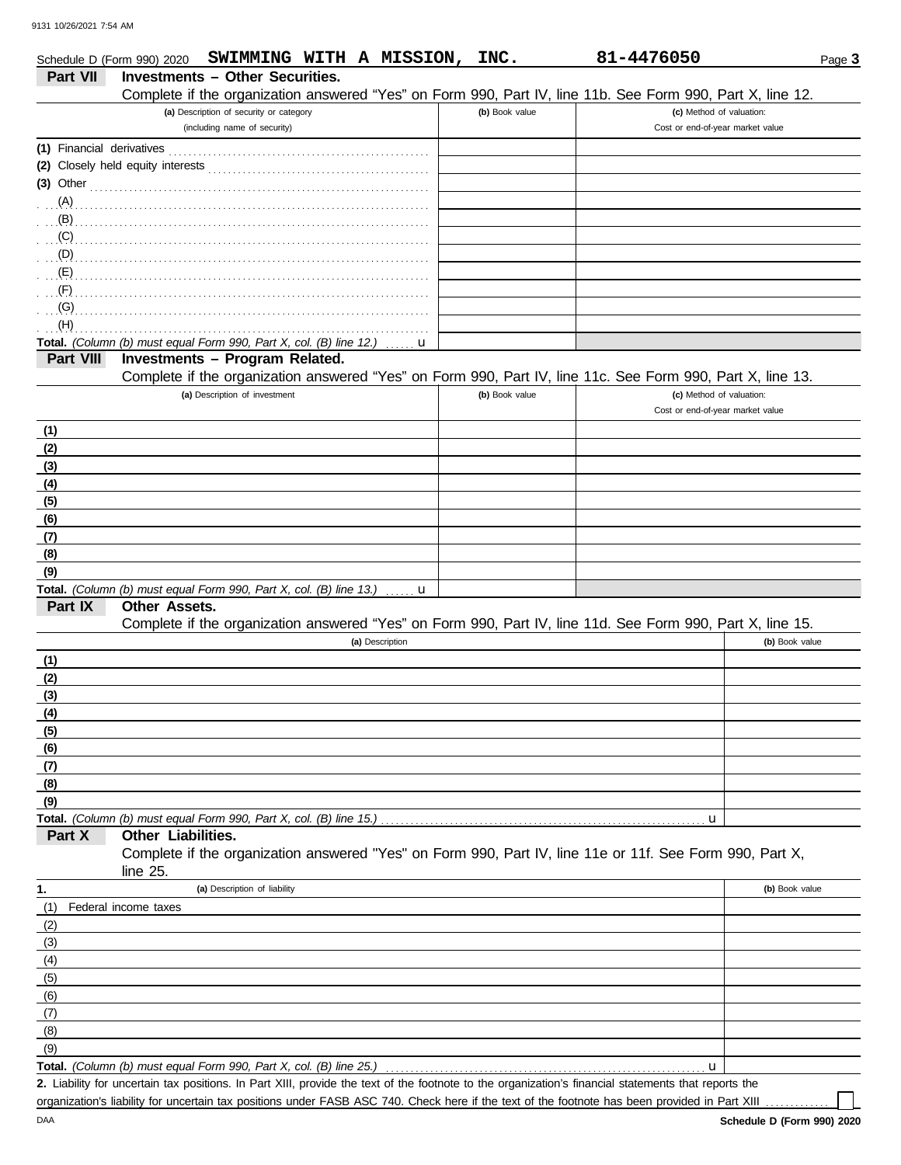| Schedule D (Form 990) 2020 |                      | SWIMMING WITH A MISSION,                                           |                 | INC.           | 81-4476050                                                                                                 | Page 3         |
|----------------------------|----------------------|--------------------------------------------------------------------|-----------------|----------------|------------------------------------------------------------------------------------------------------------|----------------|
| <b>Part VII</b>            |                      | <b>Investments - Other Securities.</b>                             |                 |                |                                                                                                            |                |
|                            |                      |                                                                    |                 |                | Complete if the organization answered "Yes" on Form 990, Part IV, line 11b. See Form 990, Part X, line 12. |                |
|                            |                      | (a) Description of security or category                            |                 | (b) Book value | (c) Method of valuation:                                                                                   |                |
|                            |                      | (including name of security)                                       |                 |                | Cost or end-of-year market value                                                                           |                |
| (1) Financial derivatives  |                      |                                                                    |                 |                |                                                                                                            |                |
|                            |                      |                                                                    |                 |                |                                                                                                            |                |
| $(3)$ Other                |                      |                                                                    |                 |                |                                                                                                            |                |
| (A)                        |                      |                                                                    |                 |                |                                                                                                            |                |
| (B)                        |                      |                                                                    |                 |                |                                                                                                            |                |
| (C)                        |                      |                                                                    |                 |                |                                                                                                            |                |
| (D)                        |                      |                                                                    |                 |                |                                                                                                            |                |
| (E)<br>(F)                 |                      |                                                                    |                 |                |                                                                                                            |                |
| (G)                        |                      |                                                                    |                 |                |                                                                                                            |                |
| (H)                        |                      |                                                                    |                 |                |                                                                                                            |                |
|                            |                      | Total. (Column (b) must equal Form 990, Part X, col. (B) line 12.) | u               |                |                                                                                                            |                |
| Part VIII                  |                      | <b>Investments - Program Related.</b>                              |                 |                |                                                                                                            |                |
|                            |                      |                                                                    |                 |                | Complete if the organization answered "Yes" on Form 990, Part IV, line 11c. See Form 990, Part X, line 13. |                |
|                            |                      | (a) Description of investment                                      |                 | (b) Book value | (c) Method of valuation:                                                                                   |                |
|                            |                      |                                                                    |                 |                | Cost or end-of-year market value                                                                           |                |
| (1)                        |                      |                                                                    |                 |                |                                                                                                            |                |
| (2)                        |                      |                                                                    |                 |                |                                                                                                            |                |
| (3)                        |                      |                                                                    |                 |                |                                                                                                            |                |
| (4)                        |                      |                                                                    |                 |                |                                                                                                            |                |
| (5)                        |                      |                                                                    |                 |                |                                                                                                            |                |
| (6)                        |                      |                                                                    |                 |                |                                                                                                            |                |
| (7)                        |                      |                                                                    |                 |                |                                                                                                            |                |
| (8)                        |                      |                                                                    |                 |                |                                                                                                            |                |
| (9)                        |                      |                                                                    |                 |                |                                                                                                            |                |
|                            |                      | Total. (Column (b) must equal Form 990, Part X, col. (B) line 13.) | . <b>u</b>      |                |                                                                                                            |                |
| Part IX                    | Other Assets.        |                                                                    |                 |                |                                                                                                            |                |
|                            |                      |                                                                    |                 |                | Complete if the organization answered "Yes" on Form 990, Part IV, line 11d. See Form 990, Part X, line 15. | (b) Book value |
|                            |                      |                                                                    | (a) Description |                |                                                                                                            |                |
| (1)                        |                      |                                                                    |                 |                |                                                                                                            |                |
| (2)<br>(3)                 |                      |                                                                    |                 |                |                                                                                                            |                |
| (4)                        |                      |                                                                    |                 |                |                                                                                                            |                |
| (5)                        |                      |                                                                    |                 |                |                                                                                                            |                |
| (6)                        |                      |                                                                    |                 |                |                                                                                                            |                |
| (7)                        |                      |                                                                    |                 |                |                                                                                                            |                |
| (8)                        |                      |                                                                    |                 |                |                                                                                                            |                |
| (9)                        |                      |                                                                    |                 |                |                                                                                                            |                |
|                            |                      | Total. (Column (b) must equal Form 990, Part X, col. (B) line 15.) |                 |                | u                                                                                                          |                |
| Part X                     | Other Liabilities.   |                                                                    |                 |                |                                                                                                            |                |
|                            |                      |                                                                    |                 |                | Complete if the organization answered "Yes" on Form 990, Part IV, line 11e or 11f. See Form 990, Part X,   |                |
|                            | line 25.             |                                                                    |                 |                |                                                                                                            |                |
| 1.                         |                      | (a) Description of liability                                       |                 |                |                                                                                                            | (b) Book value |
| (1)                        | Federal income taxes |                                                                    |                 |                |                                                                                                            |                |
| (2)                        |                      |                                                                    |                 |                |                                                                                                            |                |
| (3)                        |                      |                                                                    |                 |                |                                                                                                            |                |
| (4)                        |                      |                                                                    |                 |                |                                                                                                            |                |
| (5)                        |                      |                                                                    |                 |                |                                                                                                            |                |
| (6)                        |                      |                                                                    |                 |                |                                                                                                            |                |
| (7)                        |                      |                                                                    |                 |                |                                                                                                            |                |
| (8)                        |                      |                                                                    |                 |                |                                                                                                            |                |
| (9)                        |                      | Total. (Column (b) must equal Form 990, Part X, col. (B) line 25.) |                 |                |                                                                                                            |                |
|                            |                      |                                                                    |                 |                | $\mathbf u$                                                                                                |                |

Liability for uncertain tax positions. In Part XIII, provide the text of the footnote to the organization's financial statements that reports the **2.** organization's liability for uncertain tax positions under FASB ASC 740. Check here if the text of the footnote has been provided in Part XIII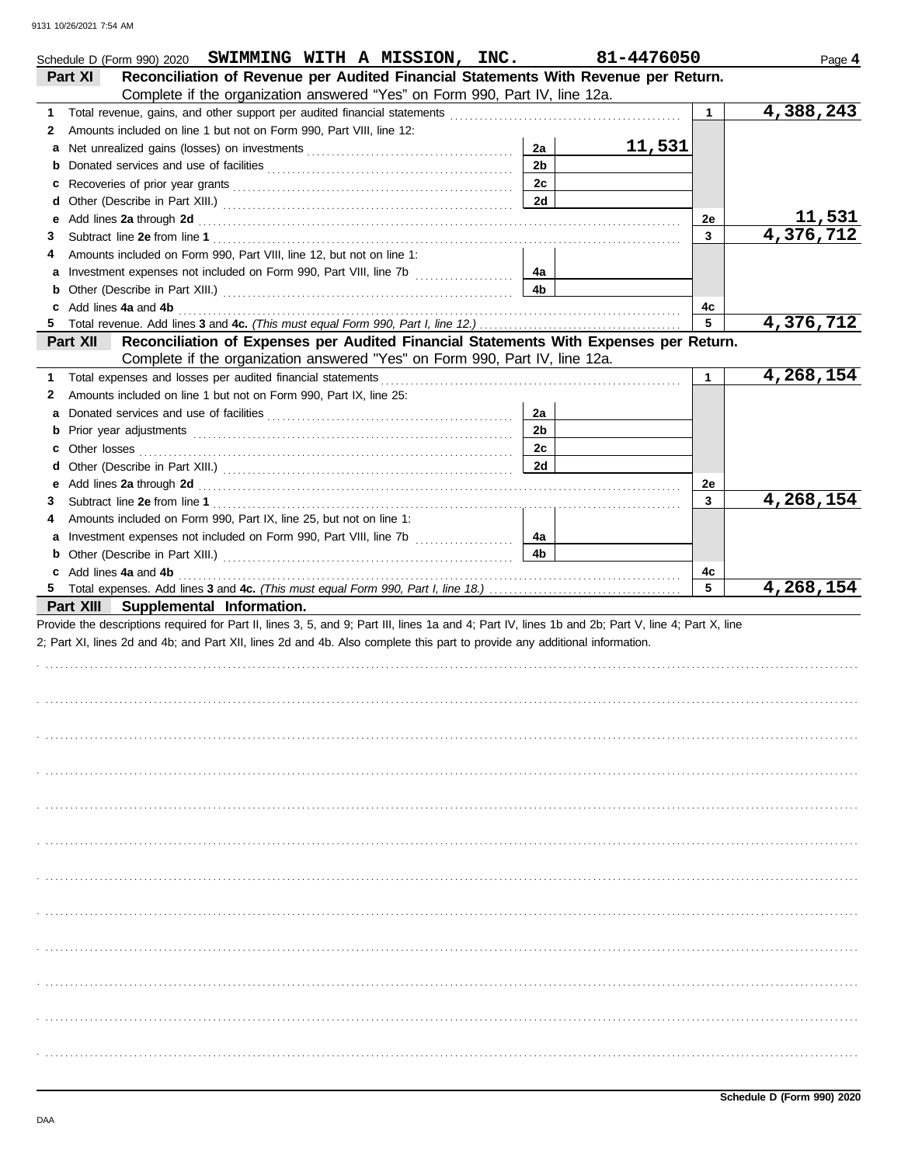|              | Schedule D (Form 990) 2020 SWIMMING WITH A MISSION, INC.                                                                                                                                                                                                                         |                | 81-4476050 |              | Page 4              |
|--------------|----------------------------------------------------------------------------------------------------------------------------------------------------------------------------------------------------------------------------------------------------------------------------------|----------------|------------|--------------|---------------------|
|              | Reconciliation of Revenue per Audited Financial Statements With Revenue per Return.<br>Part XI                                                                                                                                                                                   |                |            |              |                     |
|              | Complete if the organization answered "Yes" on Form 990, Part IV, line 12a.                                                                                                                                                                                                      |                |            |              |                     |
| 1            |                                                                                                                                                                                                                                                                                  |                |            | $\mathbf{1}$ | 4,388,243           |
| $\mathbf{2}$ | Amounts included on line 1 but not on Form 990, Part VIII, line 12:                                                                                                                                                                                                              |                |            |              |                     |
| a            |                                                                                                                                                                                                                                                                                  | 2a             | 11,531     |              |                     |
|              |                                                                                                                                                                                                                                                                                  | 2 <sub>b</sub> |            |              |                     |
| c            |                                                                                                                                                                                                                                                                                  | 2c             |            |              |                     |
| d            |                                                                                                                                                                                                                                                                                  | 2d             |            |              |                     |
| е            | Add lines 2a through 2d [11] Additional Property and Property and Property and Property and Property and Property and Property and Property and Property and Property and Property and Property and Property and Property and                                                    |                |            | 2e           | 11,531<br>4,376,712 |
| З            |                                                                                                                                                                                                                                                                                  |                |            | 3            |                     |
| 4            | Amounts included on Form 990, Part VIII, line 12, but not on line 1:                                                                                                                                                                                                             |                |            |              |                     |
| a            |                                                                                                                                                                                                                                                                                  | 4а             |            |              |                     |
|              |                                                                                                                                                                                                                                                                                  | 4b             |            |              |                     |
|              | c Add lines 4a and 4b                                                                                                                                                                                                                                                            |                |            | 4с           |                     |
| 5            |                                                                                                                                                                                                                                                                                  |                |            | 5            | 4,376,712           |
|              | Reconciliation of Expenses per Audited Financial Statements With Expenses per Return.<br>Part XII                                                                                                                                                                                |                |            |              |                     |
|              | Complete if the organization answered "Yes" on Form 990, Part IV, line 12a.                                                                                                                                                                                                      |                |            |              |                     |
| 1            | Total expenses and losses per audited financial statements                                                                                                                                                                                                                       |                |            | 1            | 4,268,154           |
| 2            | Amounts included on line 1 but not on Form 990, Part IX, line 25:                                                                                                                                                                                                                |                |            |              |                     |
| a            |                                                                                                                                                                                                                                                                                  | 2a             |            |              |                     |
|              |                                                                                                                                                                                                                                                                                  | 2b             |            |              |                     |
|              | <b>c</b> Other losses                                                                                                                                                                                                                                                            | 2c             |            |              |                     |
| d            |                                                                                                                                                                                                                                                                                  | 2d             |            |              |                     |
| е            | Add lines 2a through 2d [11] March 2014 [12] March 2014 [12] March 2014 [12] March 2014 [12] March 2014 [12] March 2015 [12] March 2014 [12] March 2014 [12] March 2014 [12] March 2014 [12] March 2014 [12] March 2014 [12] M                                                   |                |            | 2e           | 4,268,154           |
| 3            |                                                                                                                                                                                                                                                                                  |                |            | 3            |                     |
| 4            | Amounts included on Form 990, Part IX, line 25, but not on line 1:                                                                                                                                                                                                               |                |            |              |                     |
| a            |                                                                                                                                                                                                                                                                                  | 4а             |            |              |                     |
|              |                                                                                                                                                                                                                                                                                  | 4b             |            |              |                     |
| 5            | c Add lines 4a and 4b                                                                                                                                                                                                                                                            |                |            | 4c<br>5      | 4,268,154           |
|              | Part XIII Supplemental Information.                                                                                                                                                                                                                                              |                |            |              |                     |
|              | Provide the descriptions required for Part II, lines 3, 5, and 9; Part III, lines 1a and 4; Part IV, lines 1b and 2b; Part V, line 4; Part X, line<br>2; Part XI, lines 2d and 4b; and Part XII, lines 2d and 4b. Also complete this part to provide any additional information. |                |            |              |                     |
|              |                                                                                                                                                                                                                                                                                  |                |            |              |                     |
|              |                                                                                                                                                                                                                                                                                  |                |            |              |                     |
|              |                                                                                                                                                                                                                                                                                  |                |            |              |                     |
|              |                                                                                                                                                                                                                                                                                  |                |            |              |                     |
|              |                                                                                                                                                                                                                                                                                  |                |            |              |                     |
|              |                                                                                                                                                                                                                                                                                  |                |            |              |                     |
|              |                                                                                                                                                                                                                                                                                  |                |            |              |                     |
|              |                                                                                                                                                                                                                                                                                  |                |            |              |                     |
|              |                                                                                                                                                                                                                                                                                  |                |            |              |                     |
|              |                                                                                                                                                                                                                                                                                  |                |            |              |                     |
|              |                                                                                                                                                                                                                                                                                  |                |            |              |                     |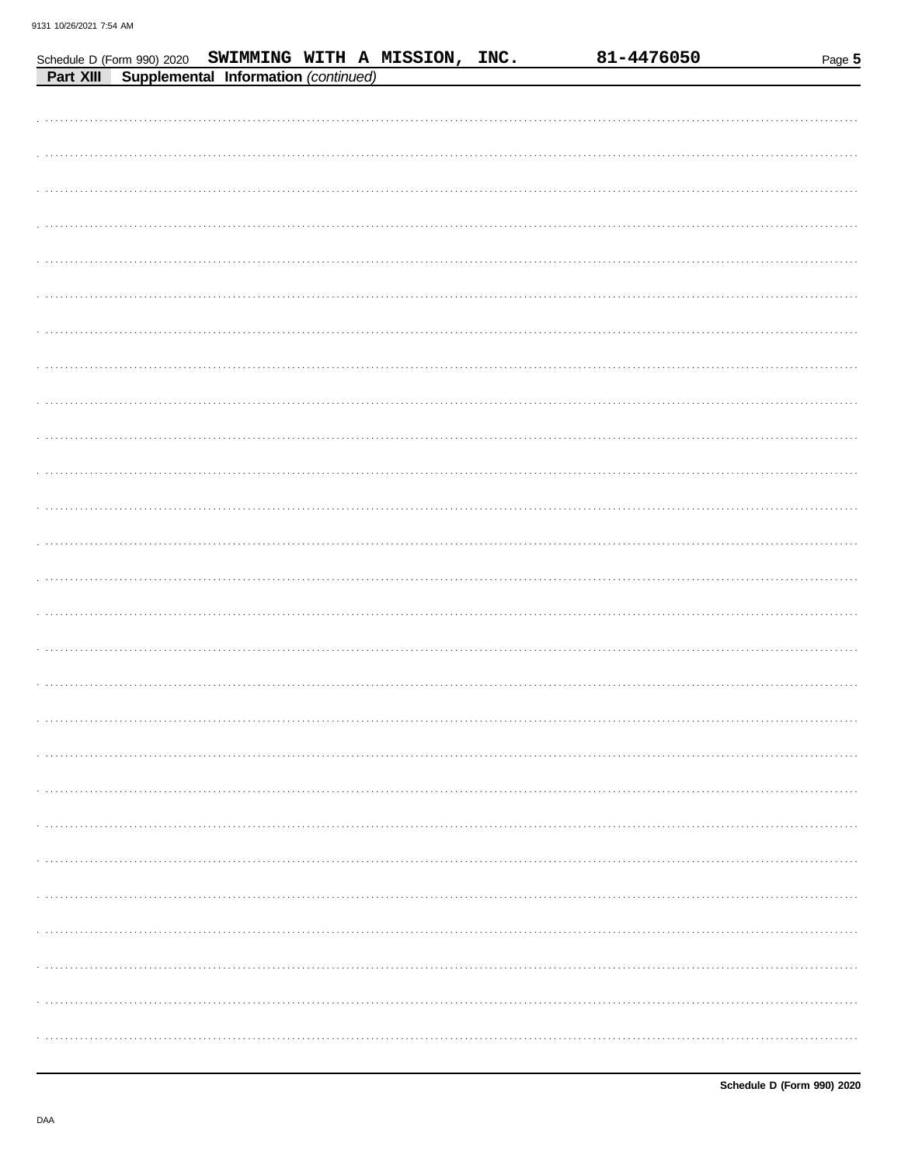|           | Schedule D (Form 990) 2020 SWIMMING WITH A MISSION, INC. |  | 81-4476050 | Page 5 |
|-----------|----------------------------------------------------------|--|------------|--------|
| Part XIII | Supplemental Information (continued)                     |  |            |        |
|           |                                                          |  |            |        |
|           |                                                          |  |            |        |
|           |                                                          |  |            |        |
|           |                                                          |  |            |        |
|           |                                                          |  |            |        |
|           |                                                          |  |            |        |
|           |                                                          |  |            |        |
|           |                                                          |  |            |        |
|           |                                                          |  |            |        |
|           |                                                          |  |            |        |
|           |                                                          |  |            |        |
|           |                                                          |  |            |        |
|           |                                                          |  |            |        |
|           |                                                          |  |            |        |
|           |                                                          |  |            |        |
|           |                                                          |  |            |        |
|           |                                                          |  |            |        |
|           |                                                          |  |            |        |
|           |                                                          |  |            |        |
|           |                                                          |  |            |        |
|           |                                                          |  |            |        |
|           |                                                          |  |            |        |
|           |                                                          |  |            |        |
|           |                                                          |  |            |        |
|           |                                                          |  |            |        |
|           |                                                          |  |            |        |
|           |                                                          |  |            |        |
|           |                                                          |  |            |        |
|           |                                                          |  |            |        |
|           |                                                          |  |            |        |
|           |                                                          |  |            |        |
|           |                                                          |  |            |        |
|           |                                                          |  |            |        |
|           |                                                          |  |            |        |
|           |                                                          |  |            |        |
|           |                                                          |  |            |        |
|           |                                                          |  |            |        |
|           |                                                          |  |            |        |
|           |                                                          |  |            |        |
|           |                                                          |  |            |        |
|           |                                                          |  |            |        |
|           |                                                          |  |            |        |
|           |                                                          |  |            |        |
|           |                                                          |  |            |        |
|           |                                                          |  |            |        |
|           |                                                          |  |            |        |
|           |                                                          |  |            |        |
|           |                                                          |  |            |        |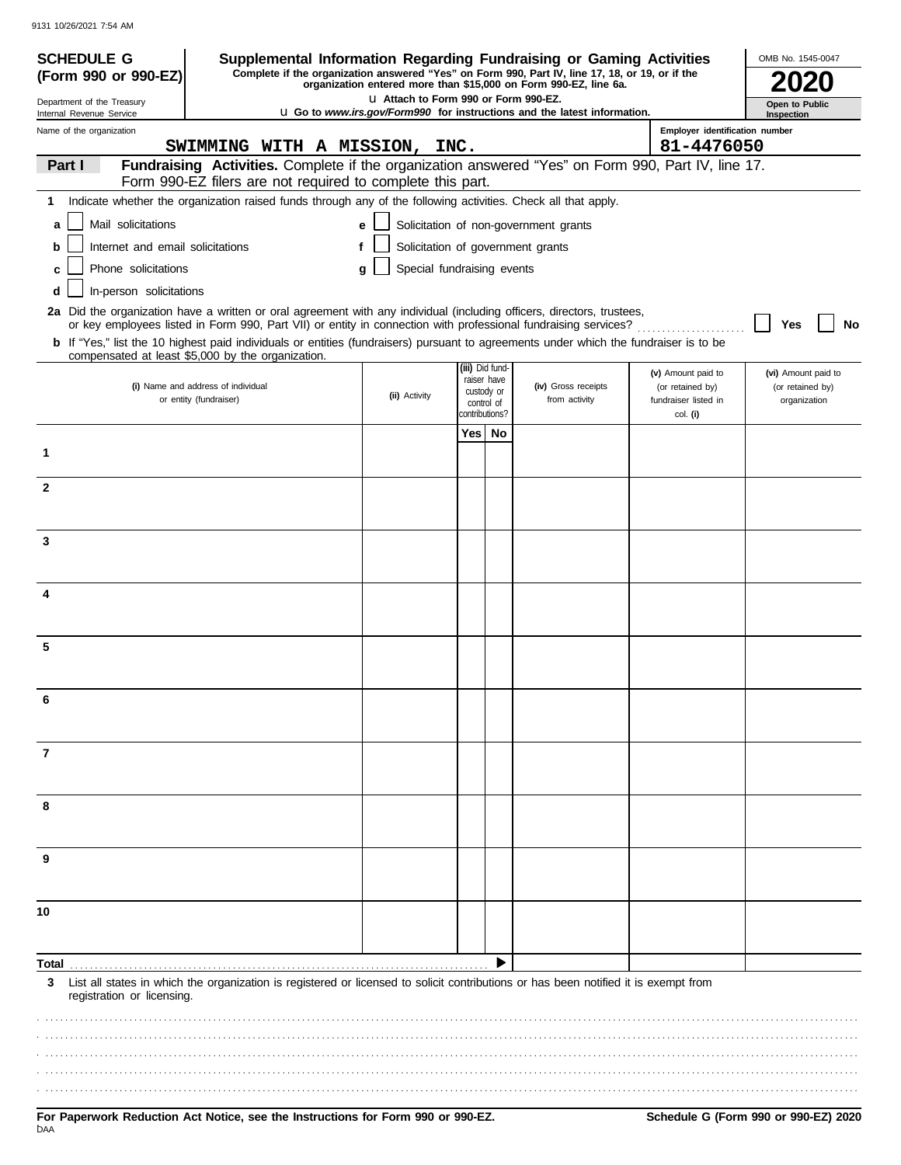| <b>SCHEDULE G</b>                                      | Supplemental Information Regarding Fundraising or Gaming Activities<br>Complete if the organization answered "Yes" on Form 990, Part IV, line 17, 18, or 19, or if the                                                                   |                                       |                                |  |                                                                                 |                                          | OMB No. 1545-0047                |  |  |
|--------------------------------------------------------|------------------------------------------------------------------------------------------------------------------------------------------------------------------------------------------------------------------------------------------|---------------------------------------|--------------------------------|--|---------------------------------------------------------------------------------|------------------------------------------|----------------------------------|--|--|
| (Form 990 or 990-EZ)                                   |                                                                                                                                                                                                                                          |                                       |                                |  | organization entered more than \$15,000 on Form 990-EZ, line 6a.                |                                          |                                  |  |  |
| Department of the Treasury<br>Internal Revenue Service |                                                                                                                                                                                                                                          | LI Attach to Form 990 or Form 990-EZ. |                                |  | <b>u</b> Go to www.irs.gov/Form990 for instructions and the latest information. |                                          | Open to Public<br>Inspection     |  |  |
| Name of the organization                               | Employer identification number<br>81-4476050<br>SWIMMING WITH A MISSION, INC.                                                                                                                                                            |                                       |                                |  |                                                                                 |                                          |                                  |  |  |
| Part I                                                 | Fundraising Activities. Complete if the organization answered "Yes" on Form 990, Part IV, line 17.                                                                                                                                       |                                       |                                |  |                                                                                 |                                          |                                  |  |  |
|                                                        | Form 990-EZ filers are not required to complete this part.                                                                                                                                                                               |                                       |                                |  |                                                                                 |                                          |                                  |  |  |
| 1                                                      | Indicate whether the organization raised funds through any of the following activities. Check all that apply.                                                                                                                            |                                       |                                |  |                                                                                 |                                          |                                  |  |  |
| Mail solicitations<br>a                                |                                                                                                                                                                                                                                          | e                                     |                                |  | Solicitation of non-government grants                                           |                                          |                                  |  |  |
| Internet and email solicitations<br>b                  |                                                                                                                                                                                                                                          | f                                     |                                |  | Solicitation of government grants                                               |                                          |                                  |  |  |
| Phone solicitations<br>C                               |                                                                                                                                                                                                                                          | Special fundraising events<br>a       |                                |  |                                                                                 |                                          |                                  |  |  |
| In-person solicitations<br>d                           |                                                                                                                                                                                                                                          |                                       |                                |  |                                                                                 |                                          |                                  |  |  |
|                                                        | 2a Did the organization have a written or oral agreement with any individual (including officers, directors, trustees,<br>or key employees listed in Form 990, Part VII) or entity in connection with professional fundraising services? |                                       |                                |  |                                                                                 |                                          | Yes<br>No                        |  |  |
|                                                        | <b>b</b> If "Yes," list the 10 highest paid individuals or entities (fundraisers) pursuant to agreements under which the fundraiser is to be<br>compensated at least \$5,000 by the organization.                                        |                                       |                                |  |                                                                                 |                                          |                                  |  |  |
|                                                        |                                                                                                                                                                                                                                          |                                       | (iii) Did fund-<br>raiser have |  |                                                                                 | (v) Amount paid to                       | (vi) Amount paid to              |  |  |
|                                                        | (i) Name and address of individual<br>or entity (fundraiser)                                                                                                                                                                             | (ii) Activity                         | custody or                     |  | (iv) Gross receipts<br>from activity                                            | (or retained by)<br>fundraiser listed in | (or retained by)<br>organization |  |  |
|                                                        |                                                                                                                                                                                                                                          |                                       | control of<br>contributions?   |  |                                                                                 | col. (i)                                 |                                  |  |  |
|                                                        |                                                                                                                                                                                                                                          |                                       | Yes   No                       |  |                                                                                 |                                          |                                  |  |  |
| 1                                                      |                                                                                                                                                                                                                                          |                                       |                                |  |                                                                                 |                                          |                                  |  |  |
| $\mathbf{2}$                                           |                                                                                                                                                                                                                                          |                                       |                                |  |                                                                                 |                                          |                                  |  |  |
|                                                        |                                                                                                                                                                                                                                          |                                       |                                |  |                                                                                 |                                          |                                  |  |  |
|                                                        |                                                                                                                                                                                                                                          |                                       |                                |  |                                                                                 |                                          |                                  |  |  |
| 3                                                      |                                                                                                                                                                                                                                          |                                       |                                |  |                                                                                 |                                          |                                  |  |  |
|                                                        |                                                                                                                                                                                                                                          |                                       |                                |  |                                                                                 |                                          |                                  |  |  |
| 4                                                      |                                                                                                                                                                                                                                          |                                       |                                |  |                                                                                 |                                          |                                  |  |  |
|                                                        |                                                                                                                                                                                                                                          |                                       |                                |  |                                                                                 |                                          |                                  |  |  |
|                                                        |                                                                                                                                                                                                                                          |                                       |                                |  |                                                                                 |                                          |                                  |  |  |
| 5                                                      |                                                                                                                                                                                                                                          |                                       |                                |  |                                                                                 |                                          |                                  |  |  |
|                                                        |                                                                                                                                                                                                                                          |                                       |                                |  |                                                                                 |                                          |                                  |  |  |
|                                                        |                                                                                                                                                                                                                                          |                                       |                                |  |                                                                                 |                                          |                                  |  |  |
|                                                        |                                                                                                                                                                                                                                          |                                       |                                |  |                                                                                 |                                          |                                  |  |  |
|                                                        |                                                                                                                                                                                                                                          |                                       |                                |  |                                                                                 |                                          |                                  |  |  |
| 7                                                      |                                                                                                                                                                                                                                          |                                       |                                |  |                                                                                 |                                          |                                  |  |  |
|                                                        |                                                                                                                                                                                                                                          |                                       |                                |  |                                                                                 |                                          |                                  |  |  |
| 8                                                      |                                                                                                                                                                                                                                          |                                       |                                |  |                                                                                 |                                          |                                  |  |  |
|                                                        |                                                                                                                                                                                                                                          |                                       |                                |  |                                                                                 |                                          |                                  |  |  |
|                                                        |                                                                                                                                                                                                                                          |                                       |                                |  |                                                                                 |                                          |                                  |  |  |
| 9                                                      |                                                                                                                                                                                                                                          |                                       |                                |  |                                                                                 |                                          |                                  |  |  |
|                                                        |                                                                                                                                                                                                                                          |                                       |                                |  |                                                                                 |                                          |                                  |  |  |
| 10                                                     |                                                                                                                                                                                                                                          |                                       |                                |  |                                                                                 |                                          |                                  |  |  |
|                                                        |                                                                                                                                                                                                                                          |                                       |                                |  |                                                                                 |                                          |                                  |  |  |
|                                                        |                                                                                                                                                                                                                                          |                                       |                                |  |                                                                                 |                                          |                                  |  |  |
| Total<br>3                                             | List all states in which the organization is registered or licensed to solicit contributions or has been notified it is exempt from                                                                                                      |                                       |                                |  |                                                                                 |                                          |                                  |  |  |
| registration or licensing.                             |                                                                                                                                                                                                                                          |                                       |                                |  |                                                                                 |                                          |                                  |  |  |
|                                                        |                                                                                                                                                                                                                                          |                                       |                                |  |                                                                                 |                                          |                                  |  |  |
|                                                        |                                                                                                                                                                                                                                          |                                       |                                |  |                                                                                 |                                          |                                  |  |  |
|                                                        |                                                                                                                                                                                                                                          |                                       |                                |  |                                                                                 |                                          |                                  |  |  |
|                                                        |                                                                                                                                                                                                                                          |                                       |                                |  |                                                                                 |                                          |                                  |  |  |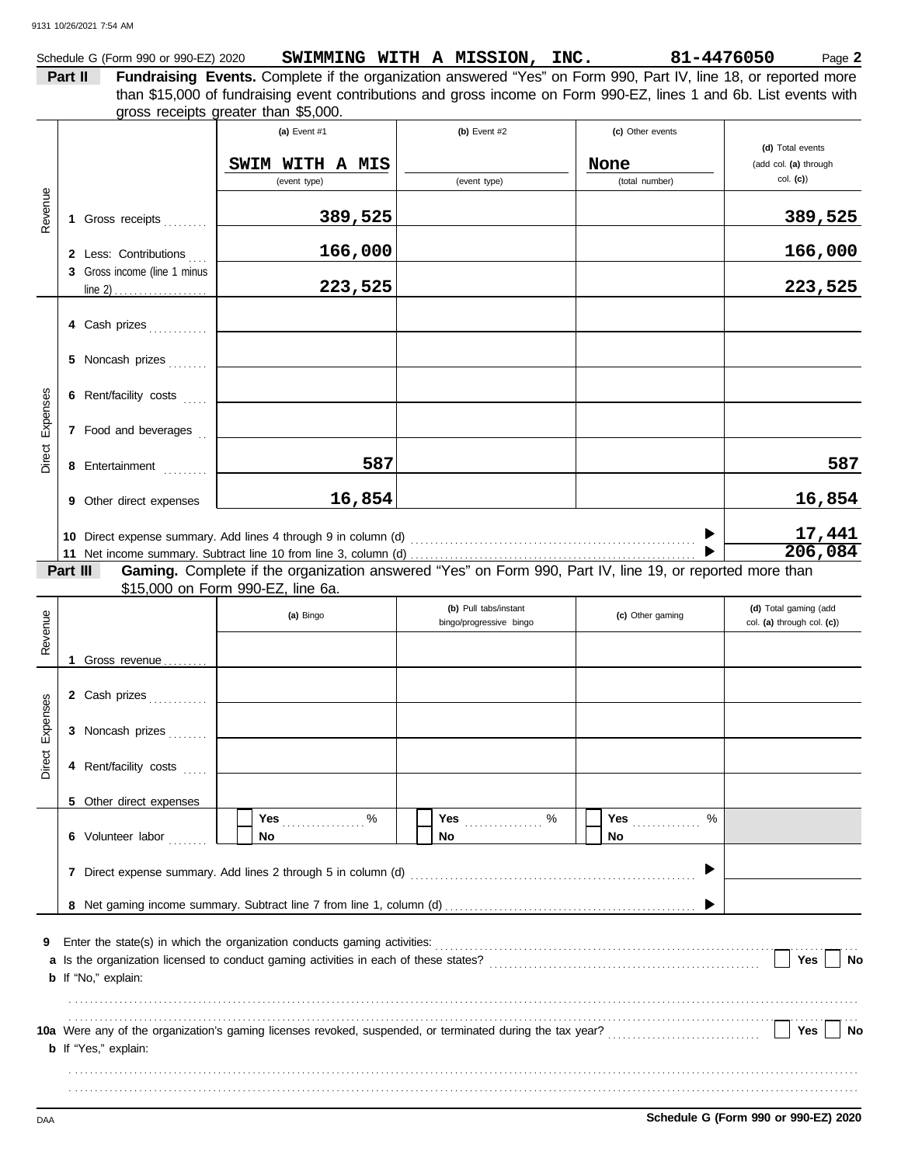|          | Schedule G (Form 990 or 990-EZ) 2020 |                                                                                                                                                                                                                        | SWIMMING WITH A MISSION, INC.                    |                        | 81-4476050<br>Page 2                                |
|----------|--------------------------------------|------------------------------------------------------------------------------------------------------------------------------------------------------------------------------------------------------------------------|--------------------------------------------------|------------------------|-----------------------------------------------------|
|          | Part II                              | Fundraising Events. Complete if the organization answered "Yes" on Form 990, Part IV, line 18, or reported more                                                                                                        |                                                  |                        |                                                     |
|          |                                      | than \$15,000 of fundraising event contributions and gross income on Form 990-EZ, lines 1 and 6b. List events with                                                                                                     |                                                  |                        |                                                     |
|          |                                      | gross receipts greater than \$5,000.                                                                                                                                                                                   |                                                  |                        |                                                     |
|          |                                      | (a) Event #1                                                                                                                                                                                                           | (b) Event #2                                     | (c) Other events       |                                                     |
|          |                                      | SWIM WITH A MIS                                                                                                                                                                                                        |                                                  |                        | (d) Total events                                    |
|          |                                      | (event type)                                                                                                                                                                                                           | (event type)                                     | None<br>(total number) | (add col. (a) through<br>col. (c)                   |
|          |                                      |                                                                                                                                                                                                                        |                                                  |                        |                                                     |
| Revenue  |                                      | 389,525                                                                                                                                                                                                                |                                                  |                        | 389,525                                             |
|          | 1 Gross receipts                     |                                                                                                                                                                                                                        |                                                  |                        |                                                     |
|          | 2 Less: Contributions                | 166,000                                                                                                                                                                                                                |                                                  |                        | 166,000                                             |
|          | 3 Gross income (line 1 minus         |                                                                                                                                                                                                                        |                                                  |                        |                                                     |
|          |                                      | 223,525                                                                                                                                                                                                                |                                                  |                        | 223,525                                             |
|          |                                      |                                                                                                                                                                                                                        |                                                  |                        |                                                     |
|          | 4 Cash prizes                        |                                                                                                                                                                                                                        |                                                  |                        |                                                     |
|          |                                      |                                                                                                                                                                                                                        |                                                  |                        |                                                     |
|          | 5 Noncash prizes                     |                                                                                                                                                                                                                        |                                                  |                        |                                                     |
|          |                                      |                                                                                                                                                                                                                        |                                                  |                        |                                                     |
|          | 6 Rent/facility costs                |                                                                                                                                                                                                                        |                                                  |                        |                                                     |
| Expenses |                                      |                                                                                                                                                                                                                        |                                                  |                        |                                                     |
|          | 7 Food and beverages                 |                                                                                                                                                                                                                        |                                                  |                        |                                                     |
| Direct   | 8 Entertainment                      | 587                                                                                                                                                                                                                    |                                                  |                        | 587                                                 |
|          |                                      |                                                                                                                                                                                                                        |                                                  |                        |                                                     |
|          | <b>9</b> Other direct expenses       | 16,854                                                                                                                                                                                                                 |                                                  |                        | 16,854                                              |
|          |                                      |                                                                                                                                                                                                                        |                                                  |                        |                                                     |
|          |                                      |                                                                                                                                                                                                                        |                                                  |                        | 17,441                                              |
|          |                                      |                                                                                                                                                                                                                        |                                                  |                        | 206,084                                             |
|          | Part III                             | Gaming. Complete if the organization answered "Yes" on Form 990, Part IV, line 19, or reported more than                                                                                                               |                                                  |                        |                                                     |
|          |                                      | \$15,000 on Form 990-EZ, line 6a.                                                                                                                                                                                      |                                                  |                        |                                                     |
|          |                                      | (a) Bingo                                                                                                                                                                                                              | (b) Pull tabs/instant<br>bingo/progressive bingo | (c) Other gaming       | (d) Total gaming (add<br>col. (a) through col. (c)) |
| Revenue  |                                      |                                                                                                                                                                                                                        |                                                  |                        |                                                     |
|          | Gross revenue                        |                                                                                                                                                                                                                        |                                                  |                        |                                                     |
|          |                                      |                                                                                                                                                                                                                        |                                                  |                        |                                                     |
|          | 2 Cash prizes                        |                                                                                                                                                                                                                        |                                                  |                        |                                                     |
| Ses      |                                      |                                                                                                                                                                                                                        |                                                  |                        |                                                     |
| Expens   | 3 Noncash prizes                     |                                                                                                                                                                                                                        |                                                  |                        |                                                     |
|          |                                      |                                                                                                                                                                                                                        |                                                  |                        |                                                     |
| Direct   | 4 Rent/facility costs                |                                                                                                                                                                                                                        |                                                  |                        |                                                     |
|          |                                      |                                                                                                                                                                                                                        |                                                  |                        |                                                     |
|          | 5 Other direct expenses              |                                                                                                                                                                                                                        |                                                  |                        |                                                     |
|          |                                      | Yes<br>. %                                                                                                                                                                                                             | <b>Yes</b>                                       | %<br>%<br>Yes          |                                                     |
|          | 6 Volunteer labor                    | No                                                                                                                                                                                                                     | No.                                              | No                     |                                                     |
|          |                                      |                                                                                                                                                                                                                        |                                                  |                        |                                                     |
|          |                                      |                                                                                                                                                                                                                        |                                                  |                        |                                                     |
|          |                                      |                                                                                                                                                                                                                        |                                                  |                        |                                                     |
|          |                                      |                                                                                                                                                                                                                        |                                                  |                        |                                                     |
| 9        |                                      |                                                                                                                                                                                                                        |                                                  |                        |                                                     |
|          |                                      |                                                                                                                                                                                                                        |                                                  |                        | Yes<br><b>No</b>                                    |
|          | b If "No," explain:                  |                                                                                                                                                                                                                        |                                                  |                        |                                                     |
|          |                                      |                                                                                                                                                                                                                        |                                                  |                        |                                                     |
|          |                                      |                                                                                                                                                                                                                        |                                                  |                        |                                                     |
|          |                                      | 10a Were any of the organization's gaming licenses revoked, suspended, or terminated during the tax year?<br>10a Were any of the organization's gaming licenses revoked, suspended, or terminated during the tax year? |                                                  |                        | Yes<br><b>No</b>                                    |
|          | b If "Yes," explain:                 |                                                                                                                                                                                                                        |                                                  |                        |                                                     |
|          |                                      |                                                                                                                                                                                                                        |                                                  |                        |                                                     |

. . . . . . . . . . . . . . . . . . . . . . . . . . . . . . . . . . . . . . . . . . . . . . . . . . . . . . . . . . . . . . . . . . . . . . . . . . . . . . . . . . . . . . . . . . . . . . . . . . . . . . . . . . . . . . . . . . . . . . . . . . . . . . . . . . . . . . . . . . . . . . . . . . . . . . . . . . . . . . . .

DAA **Schedule G (Form 990 or 990-EZ) 2020**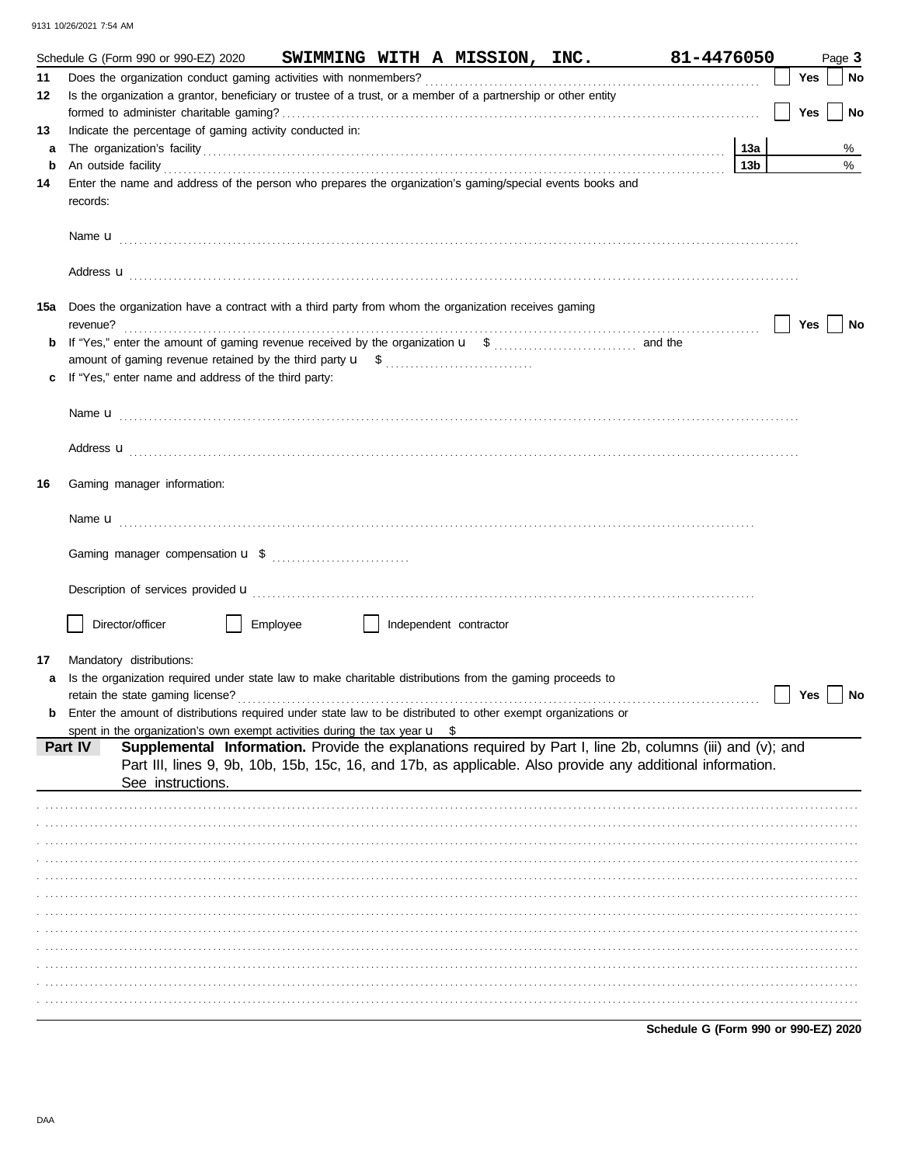|     | Schedule G (Form 990 or 990-EZ) 2020                                                                                                                                                                                                                                                                                                            | SWIMMING WITH A MISSION, INC. |                        |  | 81-4476050      |     | Page 3 |
|-----|-------------------------------------------------------------------------------------------------------------------------------------------------------------------------------------------------------------------------------------------------------------------------------------------------------------------------------------------------|-------------------------------|------------------------|--|-----------------|-----|--------|
| 11  |                                                                                                                                                                                                                                                                                                                                                 |                               |                        |  |                 | Yes | No     |
| 12  | Is the organization a grantor, beneficiary or trustee of a trust, or a member of a partnership or other entity                                                                                                                                                                                                                                  |                               |                        |  |                 |     |        |
|     |                                                                                                                                                                                                                                                                                                                                                 |                               |                        |  |                 | Yes | No     |
| 13  | Indicate the percentage of gaming activity conducted in:                                                                                                                                                                                                                                                                                        |                               |                        |  |                 |     |        |
| a   |                                                                                                                                                                                                                                                                                                                                                 |                               |                        |  | 13a             |     | %      |
| b   | An outside facility <b>contained a control of the facility</b> contained a control of the facility contained a control of the facility contained a control of the facility contained a control of the facility control of the facil<br>Enter the name and address of the person who prepares the organization's gaming/special events books and |                               |                        |  | 13 <sub>b</sub> |     | %      |
| 14  | records:                                                                                                                                                                                                                                                                                                                                        |                               |                        |  |                 |     |        |
|     |                                                                                                                                                                                                                                                                                                                                                 |                               |                        |  |                 |     |        |
|     | Address <b>u</b>                                                                                                                                                                                                                                                                                                                                |                               |                        |  |                 |     |        |
| 15a | Does the organization have a contract with a third party from whom the organization receives gaming<br>revenue?                                                                                                                                                                                                                                 |                               |                        |  |                 | Yes | No     |
| b   |                                                                                                                                                                                                                                                                                                                                                 |                               |                        |  |                 |     |        |
|     |                                                                                                                                                                                                                                                                                                                                                 |                               |                        |  |                 |     |        |
| c   | If "Yes," enter name and address of the third party:                                                                                                                                                                                                                                                                                            |                               |                        |  |                 |     |        |
|     |                                                                                                                                                                                                                                                                                                                                                 |                               |                        |  |                 |     |        |
|     | Address <b>u</b>                                                                                                                                                                                                                                                                                                                                |                               |                        |  |                 |     |        |
| 16  | Gaming manager information:                                                                                                                                                                                                                                                                                                                     |                               |                        |  |                 |     |        |
|     |                                                                                                                                                                                                                                                                                                                                                 |                               |                        |  |                 |     |        |
|     |                                                                                                                                                                                                                                                                                                                                                 |                               |                        |  |                 |     |        |
|     |                                                                                                                                                                                                                                                                                                                                                 |                               |                        |  |                 |     |        |
|     | Director/officer                                                                                                                                                                                                                                                                                                                                | Employee                      | Independent contractor |  |                 |     |        |
|     |                                                                                                                                                                                                                                                                                                                                                 |                               |                        |  |                 |     |        |
| 17  | Mandatory distributions:                                                                                                                                                                                                                                                                                                                        |                               |                        |  |                 |     |        |
| a   | Is the organization required under state law to make charitable distributions from the gaming proceeds to                                                                                                                                                                                                                                       |                               |                        |  |                 | Yes | No     |
| b   | Enter the amount of distributions required under state law to be distributed to other exempt organizations or                                                                                                                                                                                                                                   |                               |                        |  |                 |     |        |
|     | spent in the organization's own exempt activities during the tax year $\mathbf{u}$ \$                                                                                                                                                                                                                                                           |                               |                        |  |                 |     |        |
|     | Supplemental Information. Provide the explanations required by Part I, line 2b, columns (iii) and (v); and<br>Part IV<br>Part III, lines 9, 9b, 10b, 15b, 15c, 16, and 17b, as applicable. Also provide any additional information.                                                                                                             |                               |                        |  |                 |     |        |
|     | See instructions.                                                                                                                                                                                                                                                                                                                               |                               |                        |  |                 |     |        |
|     |                                                                                                                                                                                                                                                                                                                                                 |                               |                        |  |                 |     |        |
|     |                                                                                                                                                                                                                                                                                                                                                 |                               |                        |  |                 |     |        |
|     |                                                                                                                                                                                                                                                                                                                                                 |                               |                        |  |                 |     |        |
|     |                                                                                                                                                                                                                                                                                                                                                 |                               |                        |  |                 |     |        |
|     |                                                                                                                                                                                                                                                                                                                                                 |                               |                        |  |                 |     |        |
|     |                                                                                                                                                                                                                                                                                                                                                 |                               |                        |  |                 |     |        |
|     |                                                                                                                                                                                                                                                                                                                                                 |                               |                        |  |                 |     |        |
|     |                                                                                                                                                                                                                                                                                                                                                 |                               |                        |  |                 |     |        |
|     |                                                                                                                                                                                                                                                                                                                                                 |                               |                        |  |                 |     |        |
|     |                                                                                                                                                                                                                                                                                                                                                 |                               |                        |  |                 |     |        |
|     |                                                                                                                                                                                                                                                                                                                                                 |                               |                        |  |                 |     |        |
|     |                                                                                                                                                                                                                                                                                                                                                 |                               |                        |  |                 |     |        |

Schedule G (Form 990 or 990-EZ) 2020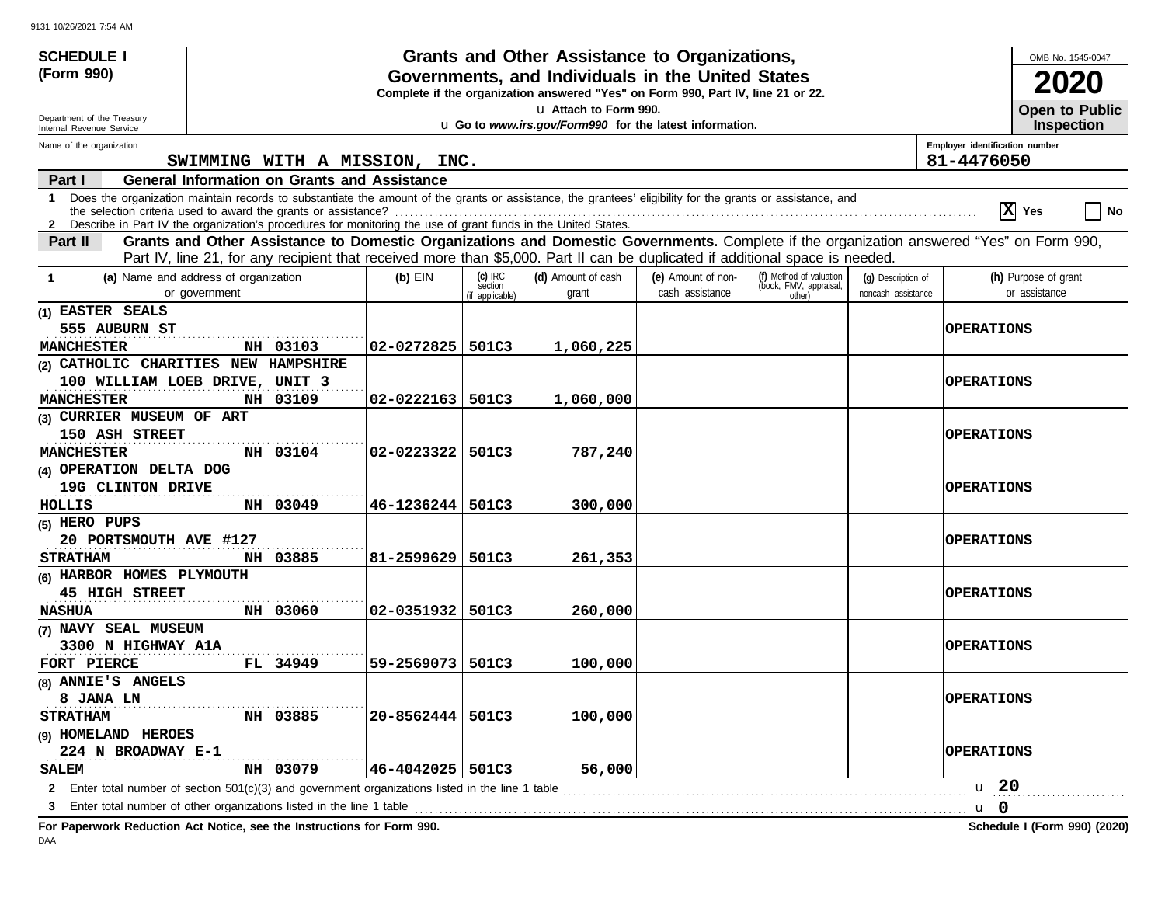| <b>SCHEDULE I</b>                                                                                                                                                                                                                                                               |                                                                                                                                       |                                         | Grants and Other Assistance to Organizations,           |                                       |                                                             |                                          | OMB No. 1545-0047                     |  |  |
|---------------------------------------------------------------------------------------------------------------------------------------------------------------------------------------------------------------------------------------------------------------------------------|---------------------------------------------------------------------------------------------------------------------------------------|-----------------------------------------|---------------------------------------------------------|---------------------------------------|-------------------------------------------------------------|------------------------------------------|---------------------------------------|--|--|
| (Form 990)                                                                                                                                                                                                                                                                      | Governments, and Individuals in the United States<br>Complete if the organization answered "Yes" on Form 990, Part IV, line 21 or 22. |                                         |                                                         |                                       |                                                             |                                          |                                       |  |  |
|                                                                                                                                                                                                                                                                                 |                                                                                                                                       |                                         | La Attach to Form 990.                                  |                                       |                                                             |                                          | <b>Open to Public</b>                 |  |  |
| Department of the Treasury<br>Internal Revenue Service                                                                                                                                                                                                                          |                                                                                                                                       |                                         | u Go to www.irs.gov/Form990 for the latest information. |                                       |                                                             |                                          | <b>Inspection</b>                     |  |  |
| Name of the organization                                                                                                                                                                                                                                                        |                                                                                                                                       |                                         |                                                         |                                       |                                                             |                                          | Employer identification number        |  |  |
| SWIMMING WITH A MISSION, INC.                                                                                                                                                                                                                                                   |                                                                                                                                       |                                         |                                                         |                                       |                                                             |                                          | 81-4476050                            |  |  |
| <b>General Information on Grants and Assistance</b><br>Part I                                                                                                                                                                                                                   |                                                                                                                                       |                                         |                                                         |                                       |                                                             |                                          |                                       |  |  |
| 1 Does the organization maintain records to substantiate the amount of the grants or assistance, the grantees' eligibility for the grants or assistance, and<br>2 Describe in Part IV the organization's procedures for monitoring the use of grant funds in the United States. |                                                                                                                                       |                                         |                                                         |                                       |                                                             |                                          | $ \mathbf{X} $ Yes<br>  No            |  |  |
| Grants and Other Assistance to Domestic Organizations and Domestic Governments. Complete if the organization answered "Yes" on Form 990,<br><b>Part II</b>                                                                                                                      |                                                                                                                                       |                                         |                                                         |                                       |                                                             |                                          |                                       |  |  |
| Part IV, line 21, for any recipient that received more than \$5,000. Part II can be duplicated if additional space is needed.                                                                                                                                                   |                                                                                                                                       |                                         |                                                         |                                       |                                                             |                                          |                                       |  |  |
| (a) Name and address of organization<br>$\mathbf 1$<br>or government                                                                                                                                                                                                            | $(b)$ EIN                                                                                                                             | $(c)$ IRC<br>section<br>(if applicable) | (d) Amount of cash<br>grant                             | (e) Amount of non-<br>cash assistance | (f) Method of valuation<br>(book, FMV, appraisal,<br>other) | (q) Description of<br>noncash assistance | (h) Purpose of grant<br>or assistance |  |  |
| (1) EASTER SEALS                                                                                                                                                                                                                                                                |                                                                                                                                       |                                         |                                                         |                                       |                                                             |                                          |                                       |  |  |
| 555 AUBURN ST                                                                                                                                                                                                                                                                   |                                                                                                                                       |                                         |                                                         |                                       |                                                             |                                          | <b>OPERATIONS</b>                     |  |  |
| NH 03103<br><b>MANCHESTER</b>                                                                                                                                                                                                                                                   | $02 - 0272825$ 501C3                                                                                                                  |                                         | 1,060,225                                               |                                       |                                                             |                                          |                                       |  |  |
| (2) CATHOLIC CHARITIES NEW HAMPSHIRE                                                                                                                                                                                                                                            |                                                                                                                                       |                                         |                                                         |                                       |                                                             |                                          |                                       |  |  |
| 100 WILLIAM LOEB DRIVE, UNIT 3                                                                                                                                                                                                                                                  |                                                                                                                                       |                                         |                                                         |                                       |                                                             |                                          | <b>OPERATIONS</b>                     |  |  |
| NH 03109<br><b>MANCHESTER</b>                                                                                                                                                                                                                                                   | $02 - 0222163$ 501C3                                                                                                                  |                                         | 1,060,000                                               |                                       |                                                             |                                          |                                       |  |  |
| (3) CURRIER MUSEUM OF ART                                                                                                                                                                                                                                                       |                                                                                                                                       |                                         |                                                         |                                       |                                                             |                                          |                                       |  |  |
| 150 ASH STREET                                                                                                                                                                                                                                                                  |                                                                                                                                       |                                         |                                                         |                                       |                                                             |                                          | <b>OPERATIONS</b>                     |  |  |
| NH 03104<br><b>MANCHESTER</b>                                                                                                                                                                                                                                                   | 02-0223322 501C3                                                                                                                      |                                         | 787,240                                                 |                                       |                                                             |                                          |                                       |  |  |
| (4) OPERATION DELTA DOG                                                                                                                                                                                                                                                         |                                                                                                                                       |                                         |                                                         |                                       |                                                             |                                          |                                       |  |  |
| 19G CLINTON DRIVE                                                                                                                                                                                                                                                               |                                                                                                                                       |                                         |                                                         |                                       |                                                             |                                          | <b>OPERATIONS</b>                     |  |  |
| NH 03049<br>HOLLIS                                                                                                                                                                                                                                                              | 46-1236244   501C3                                                                                                                    |                                         | 300,000                                                 |                                       |                                                             |                                          |                                       |  |  |
| (5) HERO PUPS                                                                                                                                                                                                                                                                   |                                                                                                                                       |                                         |                                                         |                                       |                                                             |                                          |                                       |  |  |
| 20 PORTSMOUTH AVE #127                                                                                                                                                                                                                                                          |                                                                                                                                       |                                         |                                                         |                                       |                                                             |                                          | <b>OPERATIONS</b>                     |  |  |
| <b>STRATHAM</b><br>NH 03885                                                                                                                                                                                                                                                     | 81-2599629   501C3                                                                                                                    |                                         | 261,353                                                 |                                       |                                                             |                                          |                                       |  |  |
| (6) HARBOR HOMES PLYMOUTH                                                                                                                                                                                                                                                       |                                                                                                                                       |                                         |                                                         |                                       |                                                             |                                          |                                       |  |  |
| <b>45 HIGH STREET</b>                                                                                                                                                                                                                                                           |                                                                                                                                       |                                         |                                                         |                                       |                                                             |                                          | <b>OPERATIONS</b>                     |  |  |
| NH 03060<br><b>NASHUA</b>                                                                                                                                                                                                                                                       | $02 - 0351932$ 501C3                                                                                                                  |                                         | 260,000                                                 |                                       |                                                             |                                          |                                       |  |  |
| (7) NAVY SEAL MUSEUM                                                                                                                                                                                                                                                            |                                                                                                                                       |                                         |                                                         |                                       |                                                             |                                          |                                       |  |  |
| 3300 N HIGHWAY A1A                                                                                                                                                                                                                                                              |                                                                                                                                       |                                         |                                                         |                                       |                                                             |                                          | <b> OPERATIONS</b>                    |  |  |
| FORT PIERCE<br>FL 34949                                                                                                                                                                                                                                                         | 59-2569073   501C3                                                                                                                    |                                         | 100,000                                                 |                                       |                                                             |                                          |                                       |  |  |
| (8) ANNIE'S ANGELS                                                                                                                                                                                                                                                              |                                                                                                                                       |                                         |                                                         |                                       |                                                             |                                          |                                       |  |  |
| 8 JANA LN                                                                                                                                                                                                                                                                       |                                                                                                                                       |                                         |                                                         |                                       |                                                             |                                          | <b>OPERATIONS</b>                     |  |  |
| NH 03885<br><b>STRATHAM</b>                                                                                                                                                                                                                                                     | 20-8562444   501C3                                                                                                                    |                                         | 100,000                                                 |                                       |                                                             |                                          |                                       |  |  |
| (9) HOMELAND HEROES                                                                                                                                                                                                                                                             |                                                                                                                                       |                                         |                                                         |                                       |                                                             |                                          |                                       |  |  |
| 224 N BROADWAY E-1                                                                                                                                                                                                                                                              |                                                                                                                                       |                                         |                                                         |                                       |                                                             |                                          | <b>OPERATIONS</b>                     |  |  |
| NH 03079<br><b>SALEM</b>                                                                                                                                                                                                                                                        | $46 - 4042025$ 501C3                                                                                                                  |                                         | 56,000                                                  |                                       |                                                             |                                          |                                       |  |  |
| Enter total number of section $501(c)(3)$ and government organizations listed in the line 1 table<br>$\mathbf{2}$                                                                                                                                                               |                                                                                                                                       |                                         |                                                         |                                       |                                                             |                                          | u 20                                  |  |  |
| Enter total number of other organizations listed in the line 1 table<br>3                                                                                                                                                                                                       |                                                                                                                                       |                                         |                                                         |                                       |                                                             |                                          |                                       |  |  |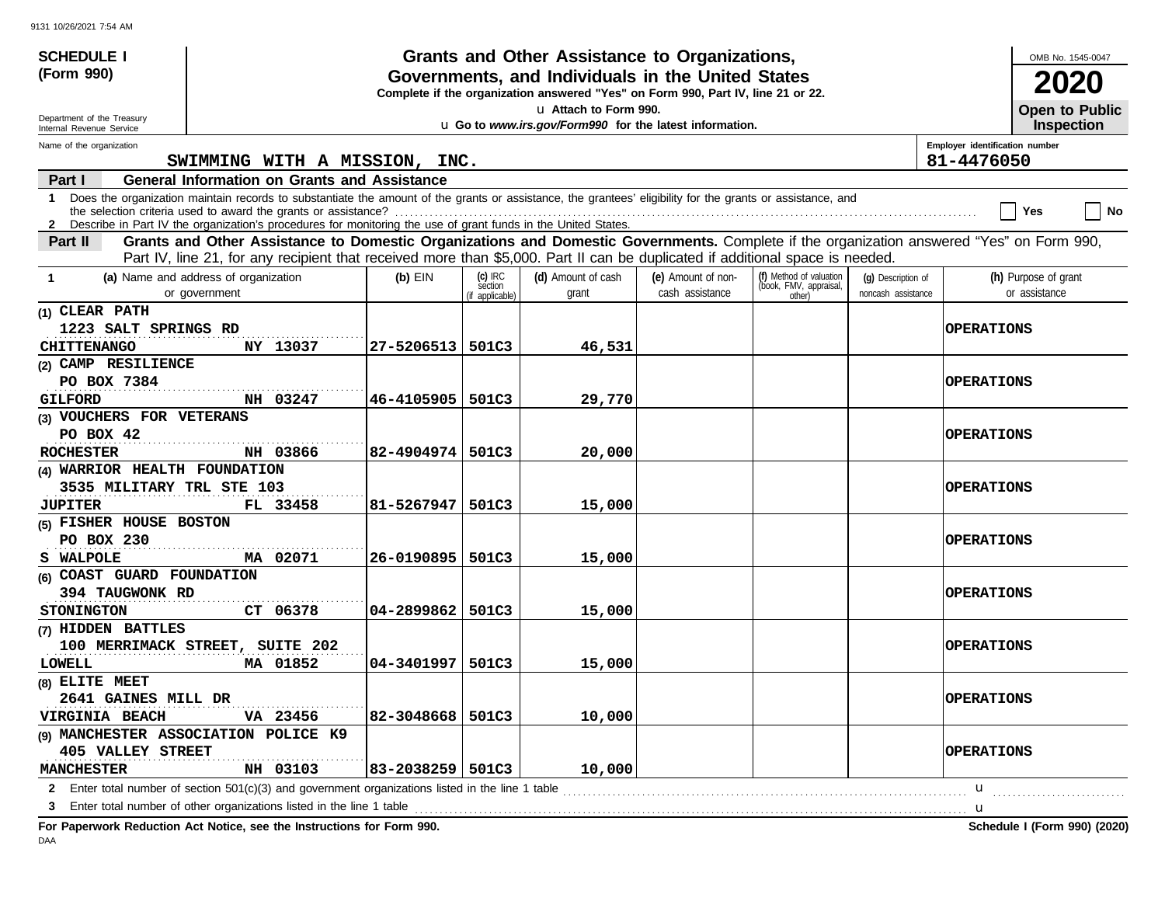| <b>SCHEDULE I</b>                                                                                                                                                                                                                                                               |                                                                                                                                               |                                         | Grants and Other Assistance to Organizations,           |                                       |                                                             |                                          |                                | OMB No. 1545-0047                     |
|---------------------------------------------------------------------------------------------------------------------------------------------------------------------------------------------------------------------------------------------------------------------------------|-----------------------------------------------------------------------------------------------------------------------------------------------|-----------------------------------------|---------------------------------------------------------|---------------------------------------|-------------------------------------------------------------|------------------------------------------|--------------------------------|---------------------------------------|
| (Form 990)                                                                                                                                                                                                                                                                      | Governments, and Individuals in the United States<br>2020<br>Complete if the organization answered "Yes" on Form 990, Part IV, line 21 or 22. |                                         |                                                         |                                       |                                                             |                                          |                                |                                       |
|                                                                                                                                                                                                                                                                                 |                                                                                                                                               |                                         | La Attach to Form 990.                                  |                                       |                                                             |                                          |                                | <b>Open to Public</b>                 |
| Department of the Treasury<br>Internal Revenue Service                                                                                                                                                                                                                          |                                                                                                                                               |                                         | u Go to www.irs.gov/Form990 for the latest information. |                                       |                                                             |                                          |                                | <b>Inspection</b>                     |
| Name of the organization                                                                                                                                                                                                                                                        |                                                                                                                                               |                                         |                                                         |                                       |                                                             |                                          | Employer identification number |                                       |
| SWIMMING WITH A MISSION, INC.                                                                                                                                                                                                                                                   |                                                                                                                                               |                                         |                                                         |                                       |                                                             |                                          | 81-4476050                     |                                       |
| <b>General Information on Grants and Assistance</b><br>Part I                                                                                                                                                                                                                   |                                                                                                                                               |                                         |                                                         |                                       |                                                             |                                          |                                |                                       |
| 1 Does the organization maintain records to substantiate the amount of the grants or assistance, the grantees' eligibility for the grants or assistance, and<br>2 Describe in Part IV the organization's procedures for monitoring the use of grant funds in the United States. |                                                                                                                                               |                                         |                                                         |                                       |                                                             |                                          |                                | No<br>Yes                             |
| Grants and Other Assistance to Domestic Organizations and Domestic Governments. Complete if the organization answered "Yes" on Form 990,<br>Part II                                                                                                                             |                                                                                                                                               |                                         |                                                         |                                       |                                                             |                                          |                                |                                       |
| Part IV, line 21, for any recipient that received more than \$5,000. Part II can be duplicated if additional space is needed.                                                                                                                                                   |                                                                                                                                               |                                         |                                                         |                                       |                                                             |                                          |                                |                                       |
| (a) Name and address of organization<br>-1<br>or government                                                                                                                                                                                                                     | $(b)$ EIN                                                                                                                                     | $(c)$ IRC<br>section<br>(if applicable) | (d) Amount of cash<br>grant                             | (e) Amount of non-<br>cash assistance | (f) Method of valuation<br>(book, FMV, appraisal,<br>other) | (q) Description of<br>noncash assistance |                                | (h) Purpose of grant<br>or assistance |
| (1) CLEAR PATH                                                                                                                                                                                                                                                                  |                                                                                                                                               |                                         |                                                         |                                       |                                                             |                                          |                                |                                       |
| 1223 SALT SPRINGS RD                                                                                                                                                                                                                                                            |                                                                                                                                               |                                         |                                                         |                                       |                                                             |                                          | <b>OPERATIONS</b>              |                                       |
| <b>CHITTENANGO</b><br>NY 13037                                                                                                                                                                                                                                                  | $27 - 5206513$ 501C3                                                                                                                          |                                         | 46,531                                                  |                                       |                                                             |                                          |                                |                                       |
| (2) CAMP RESILIENCE                                                                                                                                                                                                                                                             |                                                                                                                                               |                                         |                                                         |                                       |                                                             |                                          |                                |                                       |
| PO BOX 7384                                                                                                                                                                                                                                                                     |                                                                                                                                               |                                         |                                                         |                                       |                                                             |                                          | <b>OPERATIONS</b>              |                                       |
| NH 03247<br><b>GILFORD</b>                                                                                                                                                                                                                                                      | 46-4105905   501C3                                                                                                                            |                                         | 29,770                                                  |                                       |                                                             |                                          |                                |                                       |
| (3) VOUCHERS FOR VETERANS                                                                                                                                                                                                                                                       |                                                                                                                                               |                                         |                                                         |                                       |                                                             |                                          |                                |                                       |
| PO BOX 42                                                                                                                                                                                                                                                                       |                                                                                                                                               |                                         |                                                         |                                       |                                                             |                                          | <b>OPERATIONS</b>              |                                       |
| NH 03866<br><b>ROCHESTER</b>                                                                                                                                                                                                                                                    | 82-4904974   501C3                                                                                                                            |                                         | 20,000                                                  |                                       |                                                             |                                          |                                |                                       |
| (4) WARRIOR HEALTH FOUNDATION                                                                                                                                                                                                                                                   |                                                                                                                                               |                                         |                                                         |                                       |                                                             |                                          |                                |                                       |
| 3535 MILITARY TRL STE 103                                                                                                                                                                                                                                                       |                                                                                                                                               |                                         |                                                         |                                       |                                                             |                                          | <b>OPERATIONS</b>              |                                       |
| <b>JUPITER</b><br>FL 33458                                                                                                                                                                                                                                                      | 81-5267947   501C3                                                                                                                            |                                         | 15,000                                                  |                                       |                                                             |                                          |                                |                                       |
| (5) FISHER HOUSE BOSTON                                                                                                                                                                                                                                                         |                                                                                                                                               |                                         |                                                         |                                       |                                                             |                                          |                                |                                       |
| PO BOX 230                                                                                                                                                                                                                                                                      |                                                                                                                                               |                                         |                                                         |                                       |                                                             |                                          | <b>OPERATIONS</b>              |                                       |
| MA 02071<br>S WALPOLE                                                                                                                                                                                                                                                           | 26-0190895   501C3                                                                                                                            |                                         | 15,000                                                  |                                       |                                                             |                                          |                                |                                       |
| (6) COAST GUARD FOUNDATION                                                                                                                                                                                                                                                      |                                                                                                                                               |                                         |                                                         |                                       |                                                             |                                          |                                |                                       |
| 394 TAUGWONK RD                                                                                                                                                                                                                                                                 |                                                                                                                                               |                                         |                                                         |                                       |                                                             |                                          | <b>OPERATIONS</b>              |                                       |
| CT 06378<br><b>STONINGTON</b>                                                                                                                                                                                                                                                   | 04-2899862   501C3                                                                                                                            |                                         | 15,000                                                  |                                       |                                                             |                                          |                                |                                       |
| (7) HIDDEN BATTLES                                                                                                                                                                                                                                                              |                                                                                                                                               |                                         |                                                         |                                       |                                                             |                                          |                                |                                       |
| 100 MERRIMACK STREET, SUITE 202                                                                                                                                                                                                                                                 |                                                                                                                                               |                                         |                                                         |                                       |                                                             |                                          | <b>OPERATIONS</b>              |                                       |
| MA 01852<br><b>LOWELL</b>                                                                                                                                                                                                                                                       | $04 - 3401997$ 501C3                                                                                                                          |                                         | 15,000                                                  |                                       |                                                             |                                          |                                |                                       |
| (8) ELITE MEET                                                                                                                                                                                                                                                                  |                                                                                                                                               |                                         |                                                         |                                       |                                                             |                                          |                                |                                       |
| 2641 GAINES MILL DR                                                                                                                                                                                                                                                             |                                                                                                                                               |                                         |                                                         |                                       |                                                             |                                          | <b>OPERATIONS</b>              |                                       |
| VA 23456<br><b>VIRGINIA BEACH</b>                                                                                                                                                                                                                                               | 82-3048668   501C3                                                                                                                            |                                         | 10,000                                                  |                                       |                                                             |                                          |                                |                                       |
| (9) MANCHESTER ASSOCIATION POLICE K9                                                                                                                                                                                                                                            |                                                                                                                                               |                                         |                                                         |                                       |                                                             |                                          |                                |                                       |
| <b>405 VALLEY STREET</b>                                                                                                                                                                                                                                                        |                                                                                                                                               |                                         |                                                         |                                       |                                                             |                                          | <b>OPERATIONS</b>              |                                       |
| NH 03103<br><b>MANCHESTER</b>                                                                                                                                                                                                                                                   | 83-2038259   501C3<br>10,000                                                                                                                  |                                         |                                                         |                                       |                                                             |                                          |                                |                                       |
| 2 Enter total number of section 501(c)(3) and government organizations listed in the line 1 table                                                                                                                                                                               |                                                                                                                                               |                                         |                                                         |                                       |                                                             |                                          | u                              |                                       |
| 3 Enter total number of other organizations listed in the line 1 table                                                                                                                                                                                                          |                                                                                                                                               |                                         |                                                         |                                       |                                                             |                                          |                                |                                       |

**For Paperwork Reduction Act Notice, see the Instructions for Form 990. Schedule I (Form 990) (2020)**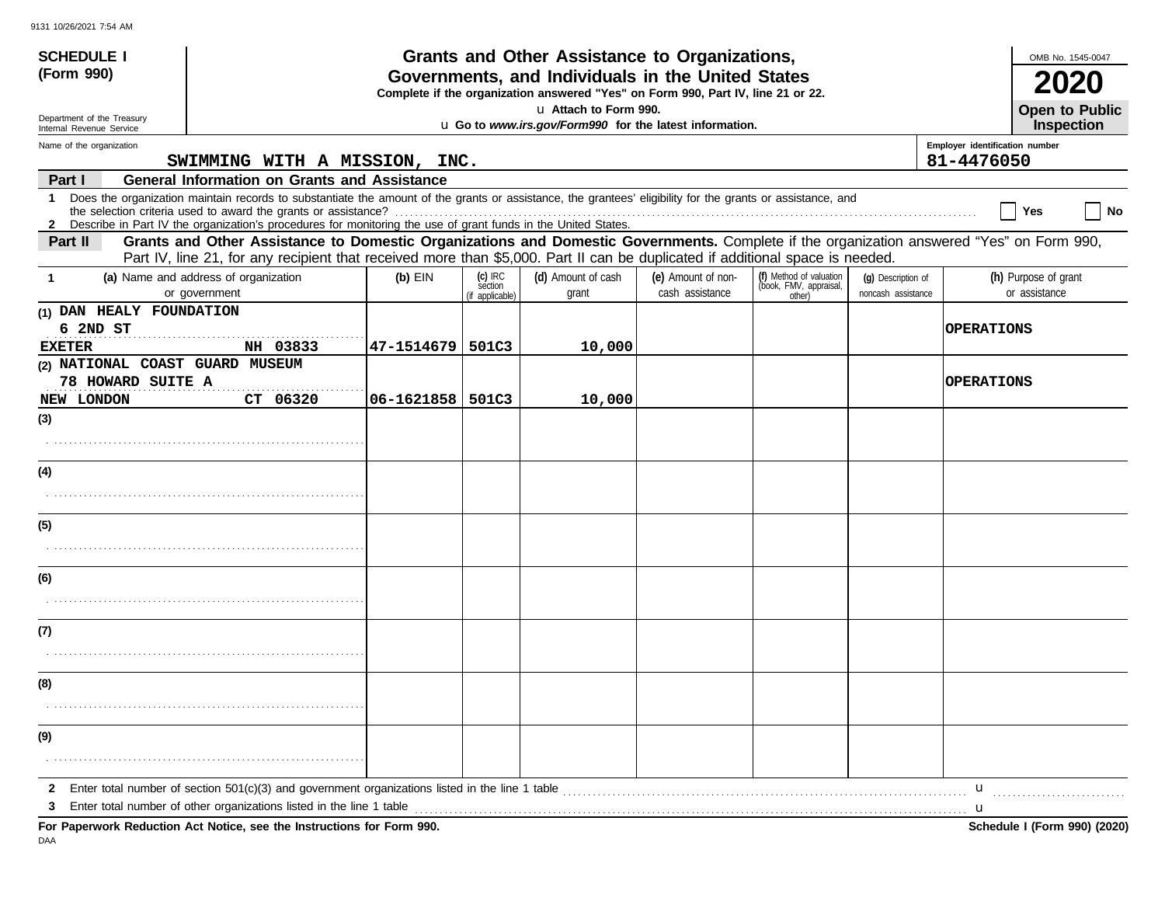| <b>SCHEDULE I</b>                                                         |                                                                                                                                                                                                                                                                               |                    |                                         | Grants and Other Assistance to Organizations,                                     |                                       |                                                             |                                          |                                              | OMB No. 1545-0047                          |
|---------------------------------------------------------------------------|-------------------------------------------------------------------------------------------------------------------------------------------------------------------------------------------------------------------------------------------------------------------------------|--------------------|-----------------------------------------|-----------------------------------------------------------------------------------|---------------------------------------|-------------------------------------------------------------|------------------------------------------|----------------------------------------------|--------------------------------------------|
| (Form 990)                                                                | Governments, and Individuals in the United States<br>Complete if the organization answered "Yes" on Form 990, Part IV, line 21 or 22.                                                                                                                                         |                    |                                         |                                                                                   |                                       |                                                             |                                          |                                              |                                            |
| Department of the Treasury<br>Internal Revenue Service                    |                                                                                                                                                                                                                                                                               |                    |                                         | La Attach to Form 990.<br>u Go to www.irs.gov/Form990 for the latest information. |                                       |                                                             |                                          |                                              | <b>Open to Public</b><br><b>Inspection</b> |
| Name of the organization                                                  | SWIMMING WITH A MISSION, INC.                                                                                                                                                                                                                                                 |                    |                                         |                                                                                   |                                       |                                                             |                                          | Employer identification number<br>81-4476050 |                                            |
| Part I                                                                    | <b>General Information on Grants and Assistance</b>                                                                                                                                                                                                                           |                    |                                         |                                                                                   |                                       |                                                             |                                          |                                              |                                            |
| 1                                                                         | Does the organization maintain records to substantiate the amount of the grants or assistance, the grantees' eligibility for the grants or assistance, and<br>2 Describe in Part IV the organization's procedures for monitoring the use of grant funds in the United States. |                    |                                         |                                                                                   |                                       |                                                             |                                          |                                              | Yes<br>No                                  |
| Part II                                                                   | Grants and Other Assistance to Domestic Organizations and Domestic Governments. Complete if the organization answered "Yes" on Form 990,<br>Part IV, line 21, for any recipient that received more than \$5,000. Part II can be duplicated if additional space is needed.     |                    |                                         |                                                                                   |                                       |                                                             |                                          |                                              |                                            |
| -1                                                                        | (a) Name and address of organization<br>or government                                                                                                                                                                                                                         | $(b)$ EIN          | $(c)$ IRC<br>section<br>(if applicable) | (d) Amount of cash<br>grant                                                       | (e) Amount of non-<br>cash assistance | (f) Method of valuation<br>(book, FMV, appraisal,<br>other) | (q) Description of<br>noncash assistance |                                              | (h) Purpose of grant<br>or assistance      |
| (1) DAN HEALY FOUNDATION<br>6 2ND ST<br><b>EXETER</b>                     | NH 03833                                                                                                                                                                                                                                                                      | 47-1514679 501C3   |                                         | 10,000                                                                            |                                       |                                                             |                                          | <b>OPERATIONS</b>                            |                                            |
| (2) NATIONAL COAST GUARD MUSEUM<br><b>78 HOWARD SUITE A</b><br>NEW LONDON | CT 06320                                                                                                                                                                                                                                                                      | 06-1621858   501C3 |                                         | 10,000                                                                            |                                       |                                                             |                                          | <b>OPERATIONS</b>                            |                                            |
| (3)                                                                       |                                                                                                                                                                                                                                                                               |                    |                                         |                                                                                   |                                       |                                                             |                                          |                                              |                                            |
| (4)                                                                       |                                                                                                                                                                                                                                                                               |                    |                                         |                                                                                   |                                       |                                                             |                                          |                                              |                                            |
| (5)                                                                       |                                                                                                                                                                                                                                                                               |                    |                                         |                                                                                   |                                       |                                                             |                                          |                                              |                                            |
| (6)                                                                       |                                                                                                                                                                                                                                                                               |                    |                                         |                                                                                   |                                       |                                                             |                                          |                                              |                                            |
| (7)                                                                       |                                                                                                                                                                                                                                                                               |                    |                                         |                                                                                   |                                       |                                                             |                                          |                                              |                                            |
| (8)                                                                       |                                                                                                                                                                                                                                                                               |                    |                                         |                                                                                   |                                       |                                                             |                                          |                                              |                                            |
| (9)                                                                       |                                                                                                                                                                                                                                                                               |                    |                                         |                                                                                   |                                       |                                                             |                                          |                                              |                                            |
| 2<br>З                                                                    | Enter total number of section 501(c)(3) and government organizations listed in the line 1 table<br>Enter total number of other organizations listed in the line 1 table                                                                                                       |                    |                                         |                                                                                   |                                       |                                                             |                                          | u<br>u                                       |                                            |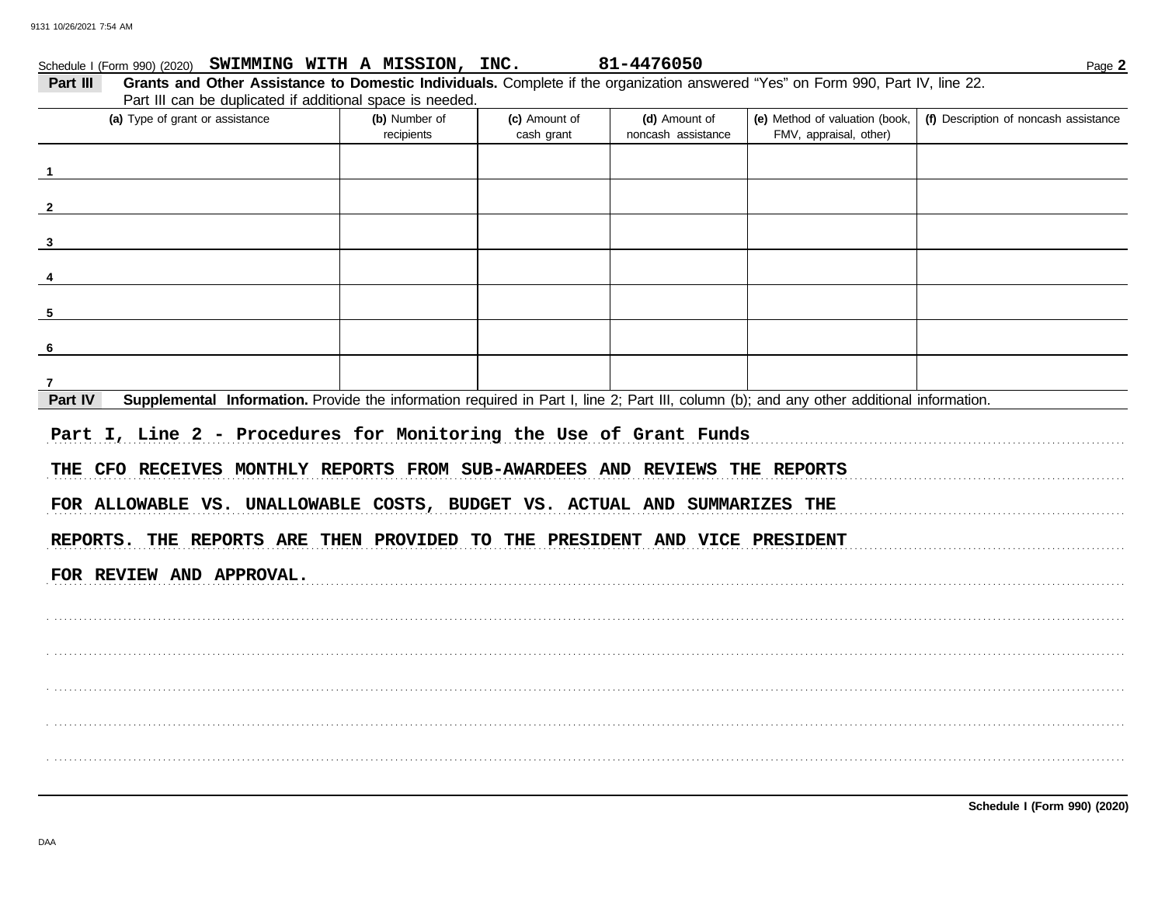#### Schedule I (Form 990) (2020) SWIMMING WITH A MISSION, INC. 81-4476050

| Grants and Other Assistance to Domestic Individuals. Complete if the organization answered "Yes" on Form 990, Part IV, line 22.<br>Part III<br>Part III can be duplicated if additional space is needed. |                             |                             |                                     |                                                          |                                       |  |
|----------------------------------------------------------------------------------------------------------------------------------------------------------------------------------------------------------|-----------------------------|-----------------------------|-------------------------------------|----------------------------------------------------------|---------------------------------------|--|
| (a) Type of grant or assistance                                                                                                                                                                          | (b) Number of<br>recipients | (c) Amount of<br>cash grant | (d) Amount of<br>noncash assistance | (e) Method of valuation (book,<br>FMV, appraisal, other) | (f) Description of noncash assistance |  |
|                                                                                                                                                                                                          |                             |                             |                                     |                                                          |                                       |  |
|                                                                                                                                                                                                          |                             |                             |                                     |                                                          |                                       |  |
|                                                                                                                                                                                                          |                             |                             |                                     |                                                          |                                       |  |
|                                                                                                                                                                                                          |                             |                             |                                     |                                                          |                                       |  |
| -5                                                                                                                                                                                                       |                             |                             |                                     |                                                          |                                       |  |
| -6                                                                                                                                                                                                       |                             |                             |                                     |                                                          |                                       |  |
| 7                                                                                                                                                                                                        |                             |                             |                                     |                                                          |                                       |  |
| Supplemental Information. Provide the information required in Part I, line 2; Part III, column (b); and any other additional information.<br>Part IV                                                     |                             |                             |                                     |                                                          |                                       |  |
| Part I, Line 2 - Procedures for Monitoring the Use of Grant Funds<br>THE CFO RECEIVES MONTHLY REPORTS FROM SUB-AWARDEES AND REVIEWS THE REPORTS                                                          |                             |                             |                                     |                                                          |                                       |  |
| FOR ALLOWABLE VS. UNALLOWABLE COSTS, BUDGET VS. ACTUAL AND SUMMARIZES THE                                                                                                                                |                             |                             |                                     |                                                          |                                       |  |
| REPORTS. THE REPORTS ARE THEN PROVIDED TO THE PRESIDENT AND VICE PRESIDENT                                                                                                                               |                             |                             |                                     |                                                          |                                       |  |
| FOR REVIEW AND APPROVAL.                                                                                                                                                                                 |                             |                             |                                     |                                                          |                                       |  |
|                                                                                                                                                                                                          |                             |                             |                                     |                                                          |                                       |  |
|                                                                                                                                                                                                          |                             |                             |                                     |                                                          |                                       |  |
|                                                                                                                                                                                                          |                             |                             |                                     |                                                          |                                       |  |
|                                                                                                                                                                                                          |                             |                             |                                     |                                                          |                                       |  |
|                                                                                                                                                                                                          |                             |                             |                                     |                                                          |                                       |  |
|                                                                                                                                                                                                          |                             |                             |                                     |                                                          |                                       |  |